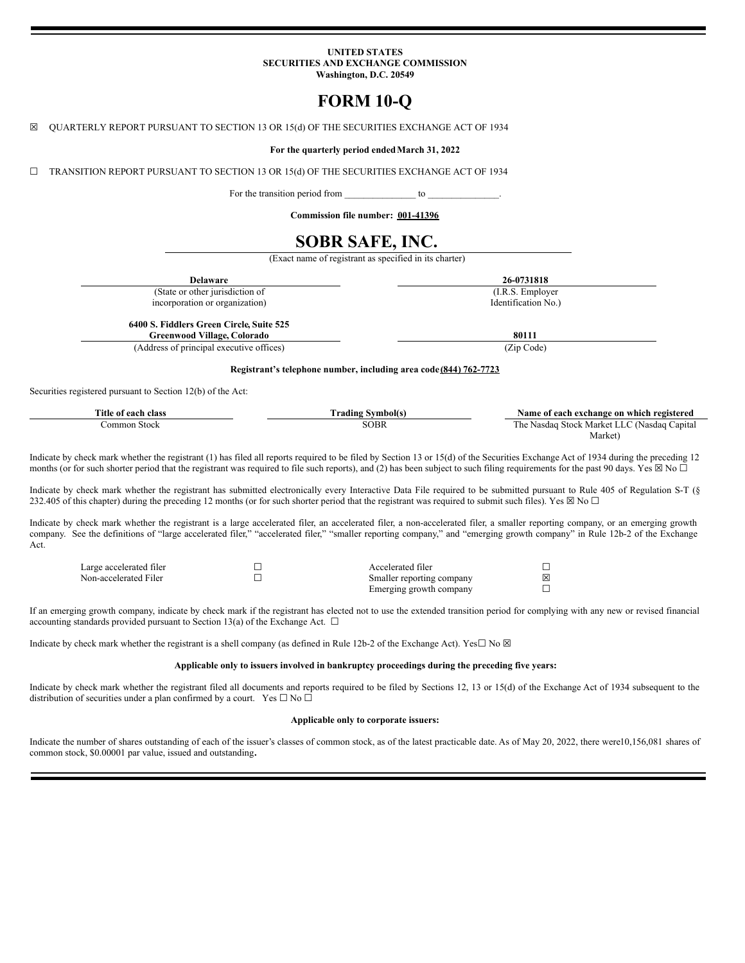#### **UNITED STATES SECURITIES AND EXCHANGE COMMISSION Washington, D.C. 20549**

# **FORM 10-Q**

☒ QUARTERLY REPORT PURSUANT TO SECTION 13 OR 15(d) OF THE SECURITIES EXCHANGE ACT OF 1934

**For the quarterly period endedMarch 31, 2022**

☐ TRANSITION REPORT PURSUANT TO SECTION 13 OR 15(d) OF THE SECURITIES EXCHANGE ACT OF 1934

For the transition period from \_\_\_\_\_\_\_\_\_\_\_\_\_\_\_\_\_\_ to \_

**Commission file number: 001-41396**

# **SOBR SAFE, INC.**

(Exact name of registrant as specified in its charter)

| <b>Delaware</b>                          | 26-0731818          |
|------------------------------------------|---------------------|
| (State or other jurisdiction of          | (I.R.S. Employer)   |
| incorporation or organization)           | Identification No.) |
| 6400 S. Fiddlers Green Circle, Suite 525 |                     |
| Greenwood Village, Colorado              | 80111               |

(Address of principal executive offices) (Zip Code)

# **Registrant's telephone number, including area code (844) 762-7723**

Securities registered pursuant to Section 12(b) of the Act:

| Title of each class | rading Symbol(s) | Name of each exchange on which registered                      |
|---------------------|------------------|----------------------------------------------------------------|
| Stock<br>.ommon     | <b>SOBR</b>      | $N$ asdaq $\sim$<br>The<br>⊦Stock Market L<br>apital<br>Nasdag |
|                     |                  | Marke.                                                         |

Indicate by check mark whether the registrant (1) has filed all reports required to be filed by Section 13 or 15(d) of the Securities Exchange Act of 1934 during the preceding 12 months (or for such shorter period that the registrant was required to file such reports), and (2) has been subject to such filing requirements for the past 90 days. Yes  $\boxtimes$  No  $\Box$ 

Indicate by check mark whether the registrant has submitted electronically every Interactive Data File required to be submitted pursuant to Rule 405 of Regulation S-T (§ 232.405 of this chapter) during the preceding 12 months (or for such shorter period that the registrant was required to submit such files). Yes  $\boxtimes$  No  $\Box$ 

Indicate by check mark whether the registrant is a large accelerated filer, an accelerated filer, a non-accelerated filer, a smaller reporting company, or an emerging growth company. See the definitions of "large accelerated filer," "accelerated filer," "smaller reporting company," and "emerging growth company" in Rule 12b-2 of the Exchange Act.

| Large accelerated filer | Accelerated filer         |   |
|-------------------------|---------------------------|---|
| Non-accelerated Filer   | Smaller reporting company | ⊠ |
|                         | Emerging growth company   |   |

If an emerging growth company, indicate by check mark if the registrant has elected not to use the extended transition period for complying with any new or revised financial accounting standards provided pursuant to Section 13(a) of the Exchange Act.  $\Box$ 

Indicate by check mark whether the registrant is a shell company (as defined in Rule 12b-2 of the Exchange Act). Yes $\Box$  No  $\boxtimes$ 

#### **Applicable only to issuers involved in bankruptcy proceedings during the preceding five years:**

Indicate by check mark whether the registrant filed all documents and reports required to be filed by Sections 12, 13 or 15(d) of the Exchange Act of 1934 subsequent to the distribution of securities under a plan confirmed by a court. Yes  $\Box$  No  $\Box$ 

### **Applicable only to corporate issuers:**

Indicate the number of shares outstanding of each of the issuer's classes of common stock, as of the latest practicable date. As of May 20, 2022, there were10,156,081 shares of common stock, \$0.00001 par value, issued and outstanding**.**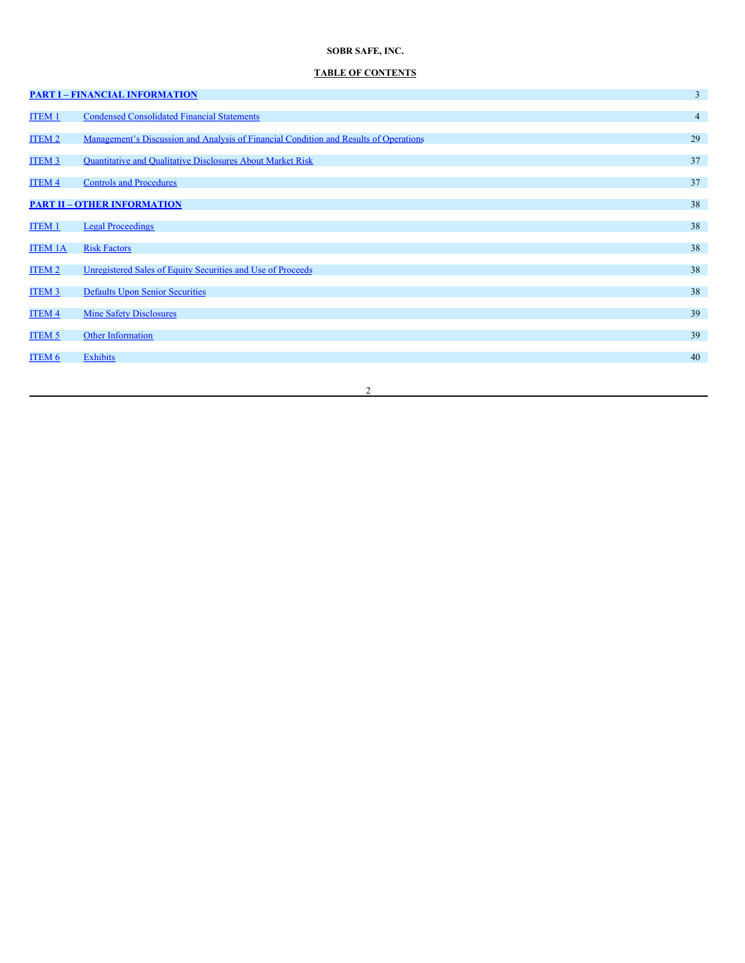# **SOBR SAFE, INC.**

# <span id="page-1-0"></span>**TABLE OF CONTENTS**

|                | <b>PART I - FINANCIAL INFORMATION</b>                                                 | $\overline{3}$ |
|----------------|---------------------------------------------------------------------------------------|----------------|
| <b>ITEM 1</b>  | <b>Condensed Consolidated Financial Statements</b>                                    | $\overline{4}$ |
| <b>ITEM 2</b>  | Management's Discussion and Analysis of Financial Condition and Results of Operations | 29             |
| <b>ITEM 3</b>  | Quantitative and Qualitative Disclosures About Market Risk                            | 37             |
| <b>ITEM 4</b>  | <b>Controls and Procedures</b>                                                        | 37             |
|                | <b>PART II - OTHER INFORMATION</b>                                                    | 38             |
| <b>ITEM 1</b>  | <b>Legal Proceedings</b>                                                              | 38             |
| <b>ITEM 1A</b> | <b>Risk Factors</b>                                                                   | 38             |
| <b>ITEM 2</b>  | Unregistered Sales of Equity Securities and Use of Proceeds                           | 38             |
| <b>ITEM 3</b>  | <b>Defaults Upon Senior Securities</b>                                                | 38             |
| <b>ITEM 4</b>  | <b>Mine Safety Disclosures</b>                                                        | 39             |
| <b>ITEM 5</b>  | Other Information                                                                     | 39             |
| ITEM 6         | <b>Exhibits</b>                                                                       | 40             |
|                |                                                                                       |                |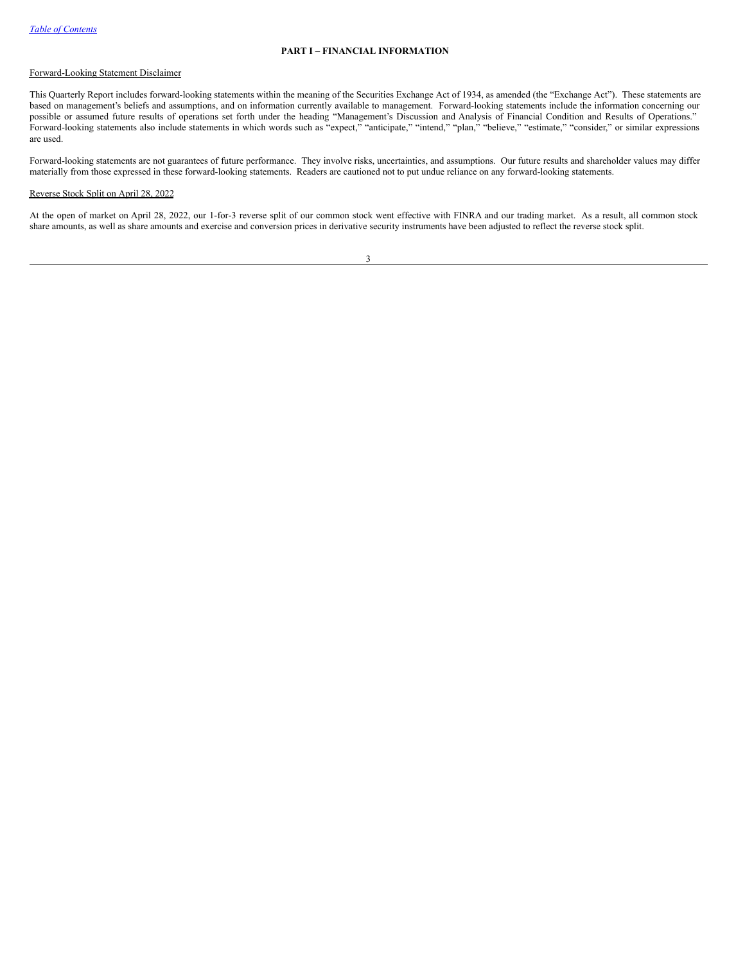### <span id="page-2-0"></span>**PART I – FINANCIAL INFORMATION**

# Forward-Looking Statement Disclaimer

This Quarterly Report includes forward-looking statements within the meaning of the Securities Exchange Act of 1934, as amended (the "Exchange Act"). These statements are based on management's beliefs and assumptions, and on information currently available to management. Forward-looking statements include the information concerning our possible or assumed future results of operations set forth under the heading "Management's Discussion and Analysis of Financial Condition and Results of Operations." Forward-looking statements also include statements in which words such as "expect," "anticipate," "intend," "plan," "believe," "estimate," "consider," or similar expressions are used.

Forward-looking statements are not guarantees of future performance. They involve risks, uncertainties, and assumptions. Our future results and shareholder values may differ materially from those expressed in these forward-looking statements. Readers are cautioned not to put undue reliance on any forward-looking statements.

# Reverse Stock Split on April 28, 2022

At the open of market on April 28, 2022, our 1-for-3 reverse split of our common stock went effective with FINRA and our trading market. As a result, all common stock share amounts, as well as share amounts and exercise and conversion prices in derivative security instruments have been adjusted to reflect the reverse stock split.

| ۰,<br>I<br>v |  |
|--------------|--|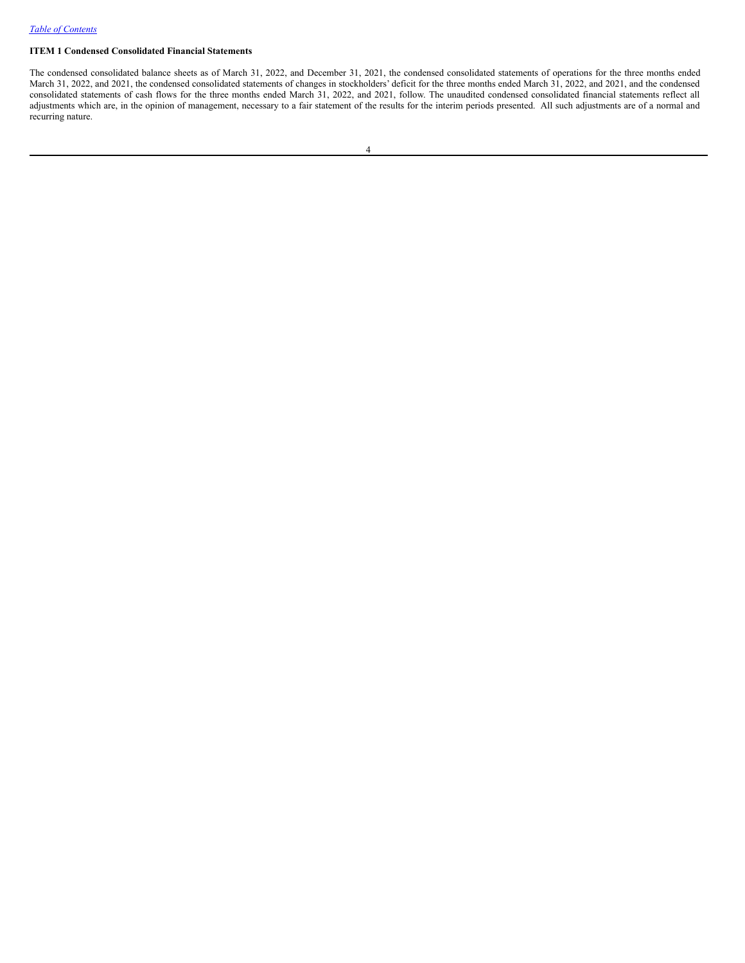# <span id="page-3-0"></span>**ITEM 1 Condensed Consolidated Financial Statements**

The condensed consolidated balance sheets as of March 31, 2022, and December 31, 2021, the condensed consolidated statements of operations for the three months ended March 31, 2022, and 2021, the condensed consolidated statements of changes in stockholders' deficit for the three months ended March 31, 2022, and 2021, and the condensed consolidated statements of cash flows for the three months ended March 31, 2022, and 2021, follow. The unaudited condensed consolidated financial statements reflect all adjustments which are, in the opinion of management, necessary to a fair statement of the results for the interim periods presented. All such adjustments are of a normal and recurring nature.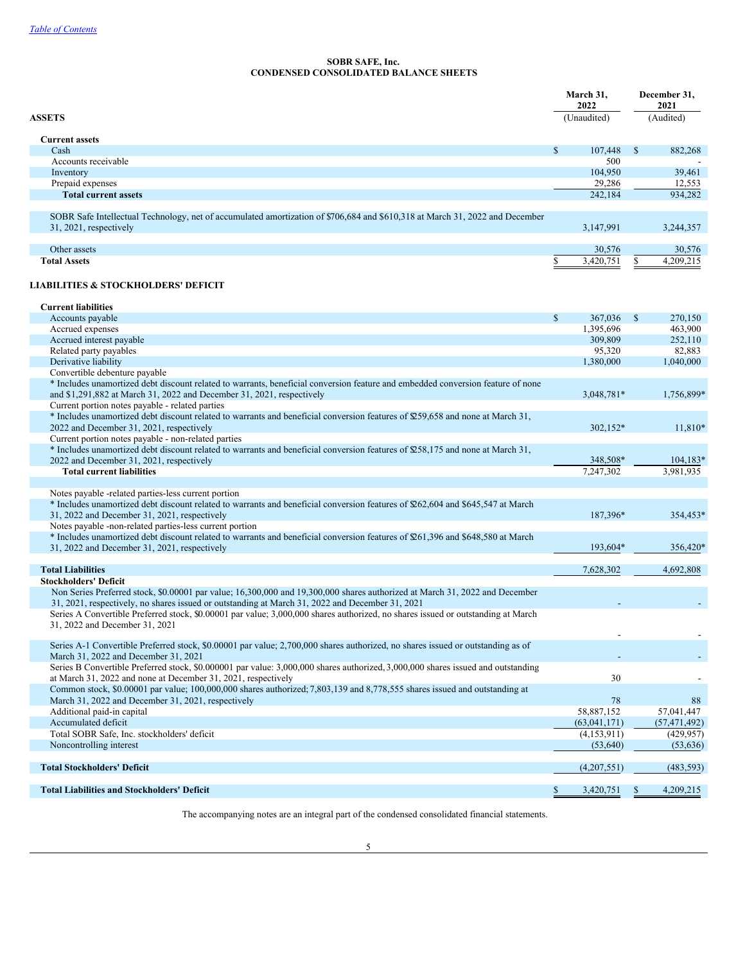### **SOBR SAFE, Inc. CONDENSED CONSOLIDATED BALANCE SHEETS**

|                                                                                                                                                                                                                                     |              | March 31,<br>2022           |              | December 31,<br>2021         |
|-------------------------------------------------------------------------------------------------------------------------------------------------------------------------------------------------------------------------------------|--------------|-----------------------------|--------------|------------------------------|
| <b>ASSETS</b>                                                                                                                                                                                                                       |              | (Unaudited)                 |              | (Audited)                    |
| <b>Current assets</b>                                                                                                                                                                                                               |              |                             |              |                              |
| Cash                                                                                                                                                                                                                                | $\mathbb{S}$ | 107,448                     | $\mathbb{S}$ | 882,268                      |
| Accounts receivable                                                                                                                                                                                                                 |              | 500                         |              |                              |
| Inventory                                                                                                                                                                                                                           |              | 104,950                     |              | 39,461                       |
| Prepaid expenses<br><b>Total current assets</b>                                                                                                                                                                                     |              | 29,286<br>242,184           |              | 12,553<br>934,282            |
|                                                                                                                                                                                                                                     |              |                             |              |                              |
| SOBR Safe Intellectual Technology, net of accumulated amortization of \$706,684 and \$610,318 at March 31, 2022 and December                                                                                                        |              |                             |              |                              |
| 31, 2021, respectively                                                                                                                                                                                                              |              | 3,147,991                   |              | 3,244,357                    |
| Other assets                                                                                                                                                                                                                        |              | 30,576                      |              | 30,576                       |
| <b>Total Assets</b>                                                                                                                                                                                                                 | \$           | 3,420,751                   | \$           | 4,209,215                    |
|                                                                                                                                                                                                                                     |              |                             |              |                              |
| <b>LIABILITIES &amp; STOCKHOLDERS' DEFICIT</b>                                                                                                                                                                                      |              |                             |              |                              |
| <b>Current liabilities</b>                                                                                                                                                                                                          |              |                             |              |                              |
| Accounts payable                                                                                                                                                                                                                    | \$           | 367,036                     | - \$         | 270,150                      |
| Accrued expenses                                                                                                                                                                                                                    |              | 1,395,696                   |              | 463,900                      |
| Accrued interest payable                                                                                                                                                                                                            |              | 309,809                     |              | 252,110                      |
| Related party payables                                                                                                                                                                                                              |              | 95.320                      |              | 82,883                       |
| Derivative liability<br>Convertible debenture payable                                                                                                                                                                               |              | 1,380,000                   |              | 1,040,000                    |
| * Includes unamortized debt discount related to warrants, beneficial conversion feature and embedded conversion feature of none                                                                                                     |              |                             |              |                              |
| and \$1,291,882 at March 31, 2022 and December 31, 2021, respectively                                                                                                                                                               |              | 3,048,781*                  |              | 1,756,899*                   |
| Current portion notes payable - related parties                                                                                                                                                                                     |              |                             |              |                              |
| * Includes unamortized debt discount related to warrants and beneficial conversion features of \$259,658 and none at March 31,<br>2022 and December 31, 2021, respectively                                                          |              | 302.152*                    |              | 11,810*                      |
| Current portion notes payable - non-related parties                                                                                                                                                                                 |              |                             |              |                              |
| * Includes unamortized debt discount related to warrants and beneficial conversion features of \$258,175 and none at March 31,                                                                                                      |              |                             |              |                              |
| 2022 and December 31, 2021, respectively<br><b>Total current liabilities</b>                                                                                                                                                        |              | 348,508*<br>7,247,302       |              | $104,183*$<br>3,981,935      |
|                                                                                                                                                                                                                                     |              |                             |              |                              |
| Notes payable -related parties-less current portion                                                                                                                                                                                 |              |                             |              |                              |
| * Includes unamortized debt discount related to warrants and beneficial conversion features of \$262,604 and \$645,547 at March                                                                                                     |              |                             |              |                              |
| 31, 2022 and December 31, 2021, respectively                                                                                                                                                                                        |              | 187,396*                    |              | 354,453*                     |
| Notes payable -non-related parties-less current portion<br>* Includes unamortized debt discount related to warrants and beneficial conversion features of \$261,396 and \$648,580 at March                                          |              |                             |              |                              |
| 31, 2022 and December 31, 2021, respectively                                                                                                                                                                                        |              | 193,604*                    |              | 356,420*                     |
|                                                                                                                                                                                                                                     |              |                             |              |                              |
| <b>Total Liabilities</b>                                                                                                                                                                                                            |              | 7,628,302                   |              | 4,692,808                    |
| <b>Stockholders' Deficit</b>                                                                                                                                                                                                        |              |                             |              |                              |
| Non Series Preferred stock, \$0.00001 par value; 16,300,000 and 19,300,000 shares authorized at March 31, 2022 and December                                                                                                         |              |                             |              |                              |
| 31, 2021, respectively, no shares issued or outstanding at March 31, 2022 and December 31, 2021<br>Series A Convertible Preferred stock, \$0,00001 par value; 3,000,000 shares authorized, no shares issued or outstanding at March |              |                             |              |                              |
| 31, 2022 and December 31, 2021                                                                                                                                                                                                      |              |                             |              |                              |
|                                                                                                                                                                                                                                     |              |                             |              |                              |
| Series A-1 Convertible Preferred stock, \$0.00001 par value; 2,700,000 shares authorized, no shares issued or outstanding as of                                                                                                     |              |                             |              |                              |
| March 31, 2022 and December 31, 2021<br>Series B Convertible Preferred stock, \$0.000001 par value: 3,000,000 shares authorized, 3,000,000 shares issued and outstanding                                                            |              |                             |              |                              |
| at March 31, 2022 and none at December 31, 2021, respectively                                                                                                                                                                       |              | 30                          |              |                              |
| Common stock, \$0.00001 par value; 100,000,000 shares authorized; 7,803,139 and 8,778,555 shares issued and outstanding at                                                                                                          |              |                             |              |                              |
| March 31, 2022 and December 31, 2021, respectively                                                                                                                                                                                  |              | 78                          |              | 88                           |
| Additional paid-in capital                                                                                                                                                                                                          |              | 58,887,152                  |              | 57,041,447                   |
| Accumulated deficit<br>Total SOBR Safe, Inc. stockholders' deficit                                                                                                                                                                  |              | (63,041,171)<br>(4,153,911) |              | (57, 471, 492)<br>(429, 957) |
| Noncontrolling interest                                                                                                                                                                                                             |              | (53, 640)                   |              | (53, 636)                    |
|                                                                                                                                                                                                                                     |              |                             |              |                              |
| <b>Total Stockholders' Deficit</b>                                                                                                                                                                                                  |              | (4,207,551)                 |              | (483, 593)                   |
| <b>Total Liabilities and Stockholders' Deficit</b>                                                                                                                                                                                  | \$           | 3,420,751                   | \$           | 4,209,215                    |

The accompanying notes are an integral part of the condensed consolidated financial statements.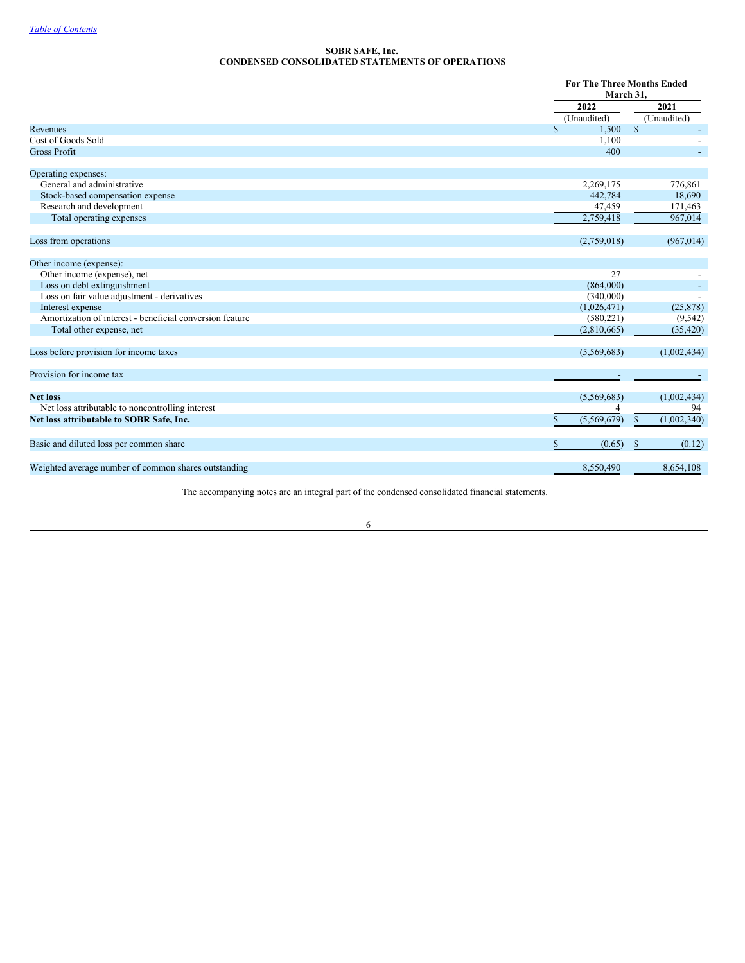# **SOBR SAFE, Inc. CONDENSED CONSOLIDATED STATEMENTS OF OPERATIONS**

|                                                          |                             | <b>For The Three Months Ended</b><br>March 31, |  |  |
|----------------------------------------------------------|-----------------------------|------------------------------------------------|--|--|
|                                                          | 2022                        | 2021                                           |  |  |
|                                                          | (Unaudited)                 | (Unaudited)                                    |  |  |
| Revenues                                                 | 1,500<br>\$.                | $\mathbf S$                                    |  |  |
| Cost of Goods Sold                                       | 1,100                       |                                                |  |  |
| <b>Gross Profit</b>                                      | 400                         |                                                |  |  |
| Operating expenses:                                      |                             |                                                |  |  |
| General and administrative                               | 2,269,175                   | 776,861                                        |  |  |
| Stock-based compensation expense                         | 442,784                     | 18,690                                         |  |  |
| Research and development                                 | 47,459                      | 171,463                                        |  |  |
| Total operating expenses                                 | 2,759,418                   | 967,014                                        |  |  |
| Loss from operations                                     | (2,759,018)                 | (967, 014)                                     |  |  |
| Other income (expense):                                  |                             |                                                |  |  |
| Other income (expense), net                              | 27                          |                                                |  |  |
| Loss on debt extinguishment                              | (864,000)                   |                                                |  |  |
| Loss on fair value adjustment - derivatives              | (340,000)                   |                                                |  |  |
| Interest expense                                         | (1,026,471)                 | (25, 878)                                      |  |  |
| Amortization of interest - beneficial conversion feature | (580, 221)                  | (9, 542)                                       |  |  |
| Total other expense, net                                 | (2,810,665)                 | (35, 420)                                      |  |  |
| Loss before provision for income taxes                   | (5,569,683)                 | (1,002,434)                                    |  |  |
| Provision for income tax                                 |                             |                                                |  |  |
| <b>Net loss</b>                                          | (5,569,683)                 | (1,002,434)                                    |  |  |
| Net loss attributable to noncontrolling interest         | 4                           | 94                                             |  |  |
| Net loss attributable to SOBR Safe, Inc.                 | (5,569,679)<br>$\mathbb{S}$ | (1,002,340)<br>$\mathbb{S}$                    |  |  |
| Basic and diluted loss per common share                  | (0.65)<br>\$                | (0.12)<br><sup>\$</sup>                        |  |  |
| Weighted average number of common shares outstanding     | 8,550,490                   | 8,654,108                                      |  |  |

The accompanying notes are an integral part of the condensed consolidated financial statements.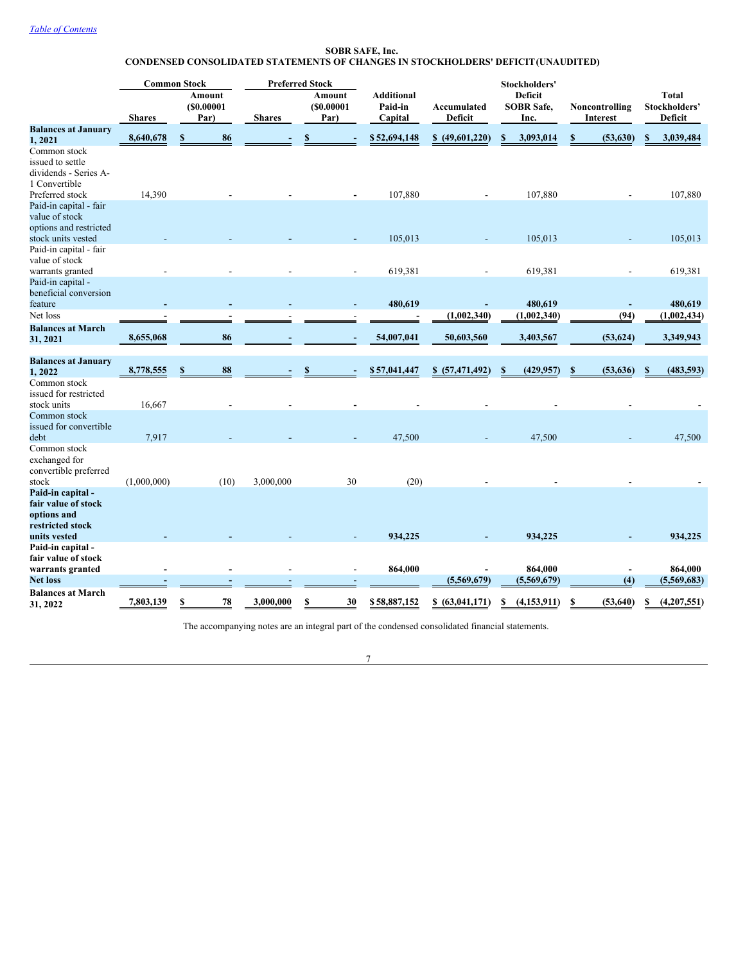# **SOBR SAFE, Inc. CONDENSED CONSOLIDATED STATEMENTS OF CHANGES IN STOCKHOLDERS' DEFICIT(UNAUDITED)**

|                                      | <b>Common Stock</b> |                              | <b>Preferred Stock</b> |               |                              |                                         | Stockholders'          |                                      |                                   |                                          |
|--------------------------------------|---------------------|------------------------------|------------------------|---------------|------------------------------|-----------------------------------------|------------------------|--------------------------------------|-----------------------------------|------------------------------------------|
|                                      | <b>Shares</b>       | Amount<br>(S0.00001)<br>Par) |                        | <b>Shares</b> | Amount<br>(S0.00001)<br>Par) | <b>Additional</b><br>Paid-in<br>Capital | Accumulated<br>Deficit | Deficit<br><b>SOBR</b> Safe,<br>Inc. | Noncontrolling<br><b>Interest</b> | <b>Total</b><br>Stockholders'<br>Deficit |
| <b>Balances at January</b><br>1,2021 | 8,640,678           | \$                           | 86                     |               | S                            | \$52,694,148                            | \$ (49,601,220)        | 3,093,014<br>S                       | $\mathbb S$<br>(53, 630)          | 3,039,484<br>\$                          |
| Common stock                         |                     |                              |                        |               |                              |                                         |                        |                                      |                                   |                                          |
| issued to settle                     |                     |                              |                        |               |                              |                                         |                        |                                      |                                   |                                          |
| dividends - Series A-                |                     |                              |                        |               |                              |                                         |                        |                                      |                                   |                                          |
| 1 Convertible                        |                     |                              |                        |               |                              |                                         |                        |                                      |                                   |                                          |
| Preferred stock                      | 14,390              |                              |                        |               |                              | 107,880                                 |                        | 107,880                              |                                   | 107,880                                  |
| Paid-in capital - fair               |                     |                              |                        |               |                              |                                         |                        |                                      |                                   |                                          |
| value of stock                       |                     |                              |                        |               |                              |                                         |                        |                                      |                                   |                                          |
| options and restricted               |                     |                              |                        |               |                              |                                         |                        |                                      |                                   |                                          |
| stock units vested                   |                     |                              |                        |               |                              | 105,013                                 |                        | 105,013                              |                                   | 105,013                                  |
| Paid-in capital - fair               |                     |                              |                        |               |                              |                                         |                        |                                      |                                   |                                          |
| value of stock                       |                     |                              |                        |               |                              |                                         |                        |                                      |                                   |                                          |
| warrants granted                     |                     |                              |                        |               | $\overline{\phantom{a}}$     | 619,381                                 |                        | 619,381                              |                                   | 619,381                                  |
| Paid-in capital -                    |                     |                              |                        |               |                              |                                         |                        |                                      |                                   |                                          |
| beneficial conversion                |                     |                              |                        |               |                              |                                         |                        |                                      |                                   |                                          |
| feature                              |                     |                              |                        |               |                              | 480,619                                 |                        | 480,619                              |                                   | 480,619                                  |
| Net loss                             |                     |                              |                        |               |                              |                                         | (1,002,340)            | (1,002,340)                          | (94)                              | (1,002,434)                              |
| <b>Balances at March</b>             |                     |                              |                        |               |                              |                                         |                        |                                      |                                   |                                          |
| 31, 2021                             | 8,655,068           |                              | 86                     |               |                              | 54,007,041                              | 50,603,560             | 3,403,567                            | (53, 624)                         | 3,349,943                                |
|                                      |                     |                              |                        |               |                              |                                         |                        |                                      |                                   |                                          |
| <b>Balances at January</b>           |                     |                              |                        |               |                              |                                         |                        |                                      |                                   |                                          |
| 1,2022                               | 8,778,555           |                              | 88                     |               | S                            | \$57,041,447                            | \$ (57, 471, 492)      | <sup>\$</sup><br>(429, 957)          | \$<br>(53,636)                    | (483, 593)<br>S                          |
| Common stock                         |                     |                              |                        |               |                              |                                         |                        |                                      |                                   |                                          |
| issued for restricted                |                     |                              |                        |               |                              |                                         |                        |                                      |                                   |                                          |
| stock units                          | 16,667              |                              |                        |               |                              |                                         |                        |                                      |                                   |                                          |
| Common stock                         |                     |                              |                        |               |                              |                                         |                        |                                      |                                   |                                          |
| issued for convertible               |                     |                              |                        |               |                              |                                         |                        |                                      |                                   |                                          |
| debt                                 | 7,917               |                              |                        |               |                              | 47,500                                  |                        | 47,500                               |                                   | 47,500                                   |
| Common stock                         |                     |                              |                        |               |                              |                                         |                        |                                      |                                   |                                          |
| exchanged for                        |                     |                              |                        |               |                              |                                         |                        |                                      |                                   |                                          |
| convertible preferred                |                     |                              |                        |               |                              |                                         |                        |                                      |                                   |                                          |
| stock                                | (1,000,000)         |                              | (10)                   | 3,000,000     | 30                           | (20)                                    |                        |                                      |                                   |                                          |
| Paid-in capital -                    |                     |                              |                        |               |                              |                                         |                        |                                      |                                   |                                          |
| fair value of stock                  |                     |                              |                        |               |                              |                                         |                        |                                      |                                   |                                          |
| options and                          |                     |                              |                        |               |                              |                                         |                        |                                      |                                   |                                          |
| restricted stock                     |                     |                              |                        |               |                              |                                         |                        |                                      |                                   |                                          |
| units vested                         |                     |                              |                        |               |                              | 934,225                                 |                        | 934,225                              |                                   | 934,225                                  |
| Paid-in capital -                    |                     |                              |                        |               |                              |                                         |                        |                                      |                                   |                                          |
| fair value of stock                  |                     |                              |                        |               |                              |                                         |                        |                                      |                                   |                                          |
| warrants granted                     |                     |                              |                        |               |                              | 864,000                                 |                        | 864,000                              |                                   | 864,000                                  |
| <b>Net loss</b>                      |                     |                              |                        |               |                              |                                         | (5,569,679)            | (5,569,679)                          | (4)                               | (5,569,683)                              |
| <b>Balances at March</b><br>31, 2022 | 7,803,139           | \$                           | 78                     | 3,000,000     | \$<br>30                     | \$58,887,152                            | \$ (63,041,171)        | (4,153,911)<br>S                     | (53, 640)<br>S                    | (4,207,551)<br>\$                        |

The accompanying notes are an integral part of the condensed consolidated financial statements.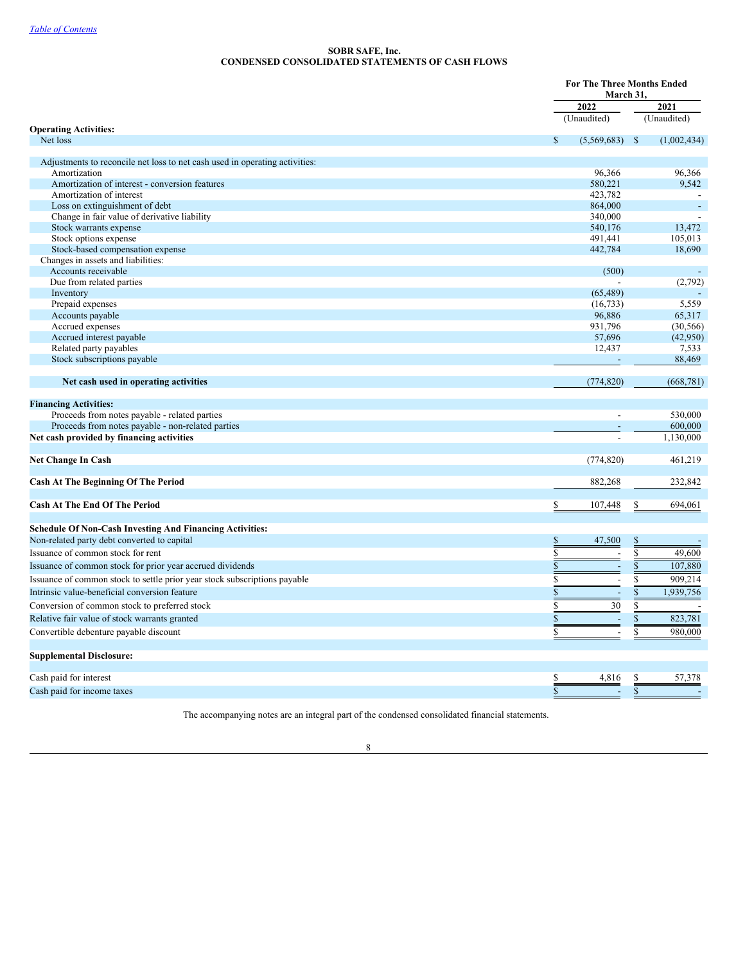### **SOBR SAFE, Inc. CONDENSED CONSOLIDATED STATEMENTS OF CASH FLOWS**

|                                                                             | <b>For The Three Months Ended</b><br>March 31, |                              |  |
|-----------------------------------------------------------------------------|------------------------------------------------|------------------------------|--|
|                                                                             | 2022                                           | 2021                         |  |
| <b>Operating Activities:</b>                                                | (Unaudited)                                    | (Unaudited)                  |  |
| Net loss                                                                    | $\mathsf{\$}$<br>(5,569,683)                   | (1,002,434)<br>$\mathbf{s}$  |  |
|                                                                             |                                                |                              |  |
| Adjustments to reconcile net loss to net cash used in operating activities: |                                                |                              |  |
| Amortization                                                                | 96,366                                         | 96,366                       |  |
| Amortization of interest - conversion features                              | 580,221                                        | 9,542                        |  |
| Amortization of interest                                                    | 423,782                                        |                              |  |
| Loss on extinguishment of debt                                              | 864,000                                        |                              |  |
| Change in fair value of derivative liability                                | 340,000                                        | $\sim$                       |  |
| Stock warrants expense                                                      | 540,176                                        | 13,472                       |  |
| Stock options expense                                                       | 491,441                                        | 105,013                      |  |
| Stock-based compensation expense                                            | 442,784                                        | 18,690                       |  |
| Changes in assets and liabilities:<br>Accounts receivable                   |                                                |                              |  |
|                                                                             | (500)                                          |                              |  |
| Due from related parties<br>Inventory                                       | (65, 489)                                      | (2,792)                      |  |
| Prepaid expenses                                                            | (16, 733)                                      | 5,559                        |  |
| Accounts payable                                                            | 96,886                                         | 65,317                       |  |
| Accrued expenses                                                            | 931,796                                        | (30, 566)                    |  |
| Accrued interest payable                                                    | 57,696                                         | (42,950)                     |  |
| Related party payables                                                      | 12,437                                         | 7,533                        |  |
| Stock subscriptions payable                                                 |                                                | 88,469                       |  |
|                                                                             |                                                |                              |  |
| Net cash used in operating activities                                       | (774, 820)                                     | (668, 781)                   |  |
| <b>Financing Activities:</b>                                                |                                                |                              |  |
| Proceeds from notes payable - related parties                               |                                                | 530,000                      |  |
| Proceeds from notes payable - non-related parties                           |                                                | 600,000                      |  |
| Net cash provided by financing activities                                   |                                                | 1,130,000                    |  |
|                                                                             |                                                |                              |  |
| <b>Net Change In Cash</b>                                                   | (774, 820)                                     | 461,219                      |  |
|                                                                             |                                                |                              |  |
| <b>Cash At The Beginning Of The Period</b>                                  | 882,268                                        | 232,842                      |  |
|                                                                             |                                                |                              |  |
| <b>Cash At The End Of The Period</b>                                        | \$<br>107,448                                  | \$<br>694,061                |  |
|                                                                             |                                                |                              |  |
| <b>Schedule Of Non-Cash Investing And Financing Activities:</b>             |                                                |                              |  |
| Non-related party debt converted to capital                                 | \$<br>47,500                                   | \$                           |  |
| Issuance of common stock for rent                                           | \$                                             | \$<br>49,600                 |  |
| Issuance of common stock for prior year accrued dividends                   | $\$$                                           | $\mathbb S$<br>107,880       |  |
| Issuance of common stock to settle prior year stock subscriptions payable   | \$<br>$\overline{a}$                           | \$<br>909,214                |  |
| Intrinsic value-beneficial conversion feature                               | $\mathsf{\$}$<br>$\overline{\phantom{a}}$      | $\overline{\$}$<br>1,939,756 |  |
|                                                                             |                                                |                              |  |
| Conversion of common stock to preferred stock                               | \$<br>30                                       | $\mathbf S$                  |  |
| Relative fair value of stock warrants granted                               | $\$$<br>. —                                    | \$<br>823,781                |  |
| Convertible debenture payable discount                                      | \$<br>÷,                                       | \$<br>980,000                |  |
| <b>Supplemental Disclosure:</b>                                             |                                                |                              |  |
| Cash paid for interest                                                      | 4,816<br>\$                                    | 57,378                       |  |
| Cash paid for income taxes                                                  | \$                                             | $\overline{\mathbb{S}}$      |  |
|                                                                             |                                                |                              |  |

The accompanying notes are an integral part of the condensed consolidated financial statements.

8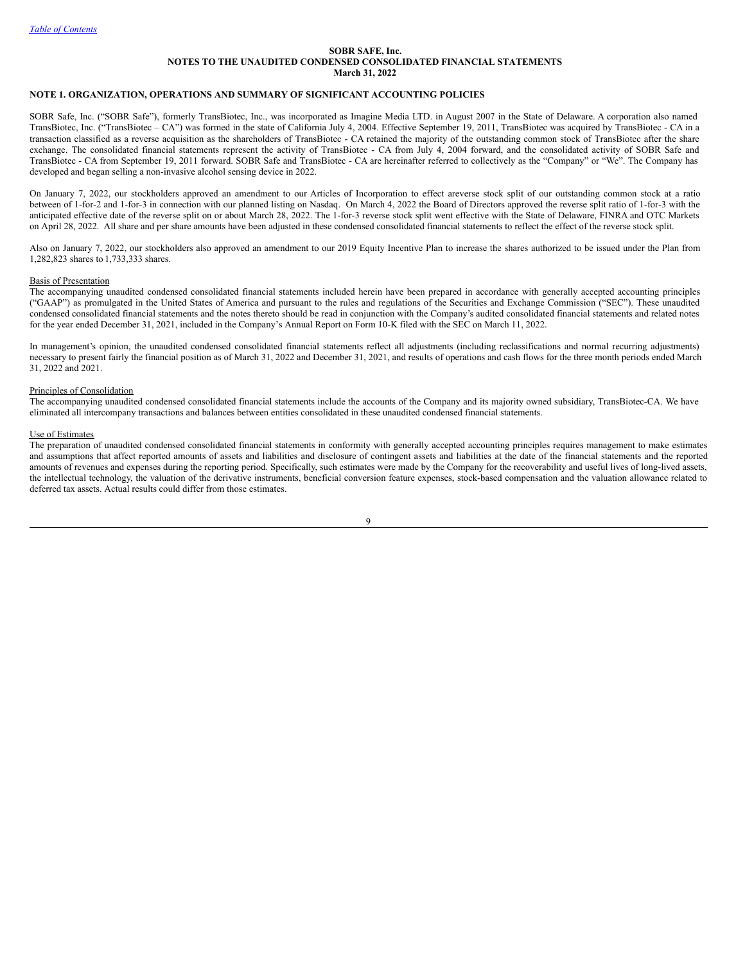### **SOBR SAFE, Inc. NOTES TO THE UNAUDITED CONDENSED CONSOLIDATED FINANCIAL STATEMENTS March 31, 2022**

## **NOTE 1. ORGANIZATION, OPERATIONS AND SUMMARY OF SIGNIFICANT ACCOUNTING POLICIES**

SOBR Safe, Inc. ("SOBR Safe"), formerly TransBiotec, Inc., was incorporated as Imagine Media LTD. in August 2007 in the State of Delaware. A corporation also named TransBiotec, Inc. ("TransBiotec – CA") was formed in the state of California July 4, 2004. Effective September 19, 2011, TransBiotec was acquired by TransBiotec - CA in a transaction classified as a reverse acquisition as the shareholders of TransBiotec - CA retained the majority of the outstanding common stock of TransBiotec after the share exchange. The consolidated financial statements represent the activity of TransBiotec - CA from July 4, 2004 forward, and the consolidated activity of SOBR Safe and TransBiotec - CA from September 19, 2011 forward. SOBR Safe and TransBiotec - CA are hereinafter referred to collectively as the "Company" or "We". The Company has developed and began selling a non-invasive alcohol sensing device in 2022.

On January 7, 2022, our stockholders approved an amendment to our Articles of Incorporation to effect areverse stock split of our outstanding common stock at a ratio between of 1-for-2 and 1-for-3 in connection with our planned listing on Nasdaq. On March 4, 2022 the Board of Directors approved the reverse split ratio of 1-for-3 with the anticipated effective date of the reverse split on or about March 28, 2022. The 1-for-3 reverse stock split went effective with the State of Delaware, FINRA and OTC Markets on April 28, 2022. All share and per share amounts have been adjusted in these condensed consolidated financial statements to reflect the effect of the reverse stock split.

Also on January 7, 2022, our stockholders also approved an amendment to our 2019 Equity Incentive Plan to increase the shares authorized to be issued under the Plan from 1,282,823 shares to 1,733,333 shares.

#### Basis of Presentation

The accompanying unaudited condensed consolidated financial statements included herein have been prepared in accordance with generally accepted accounting principles ("GAAP") as promulgated in the United States of America and pursuant to the rules and regulations of the Securities and Exchange Commission ("SEC"). These unaudited condensed consolidated financial statements and the notes thereto should be read in conjunction with the Company's audited consolidated financial statements and related notes for the year ended December 31, 2021, included in the Company's Annual Report on Form 10-K filed with the SEC on March 11, 2022.

In management's opinion, the unaudited condensed consolidated financial statements reflect all adjustments (including reclassifications and normal recurring adjustments) necessary to present fairly the financial position as of March 31, 2022 and December 31, 2021, and results of operations and cash flows for the three month periods ended March 31, 2022 and 2021.

# Principles of Consolidation

The accompanying unaudited condensed consolidated financial statements include the accounts of the Company and its majority owned subsidiary, TransBiotec-CA. We have eliminated all intercompany transactions and balances between entities consolidated in these unaudited condensed financial statements.

### Use of Estimates

The preparation of unaudited condensed consolidated financial statements in conformity with generally accepted accounting principles requires management to make estimates and assumptions that affect reported amounts of assets and liabilities and disclosure of contingent assets and liabilities at the date of the financial statements and the reported amounts of revenues and expenses during the reporting period. Specifically, such estimates were made by the Company for the recoverability and useful lives of long-lived assets, the intellectual technology, the valuation of the derivative instruments, beneficial conversion feature expenses, stock-based compensation and the valuation allowance related to deferred tax assets. Actual results could differ from those estimates.

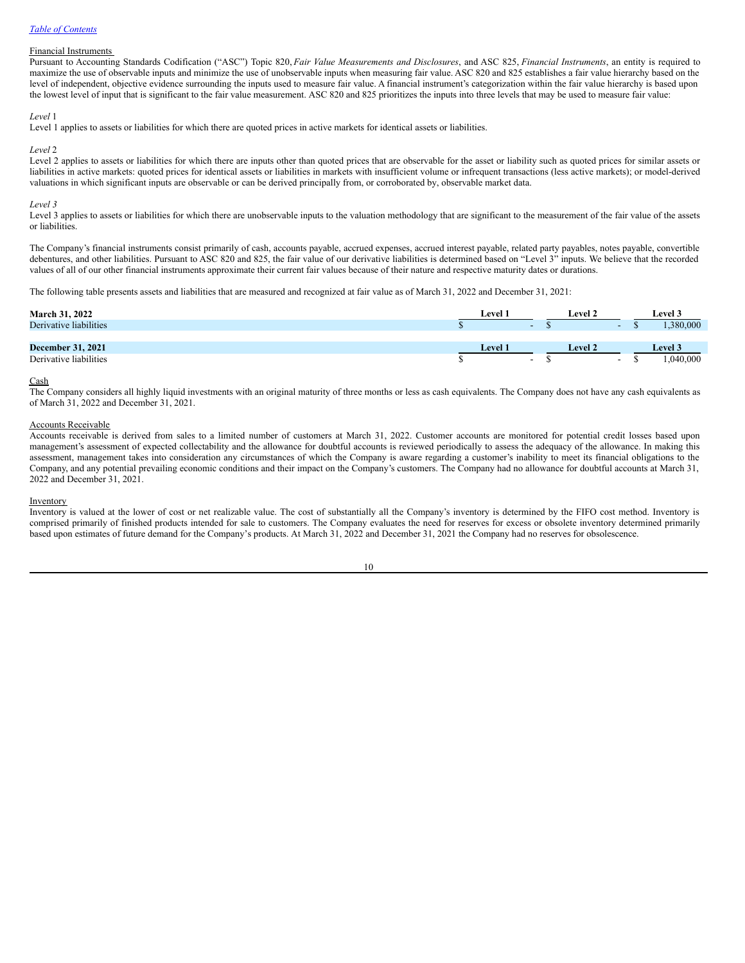# Financial Instruments

Pursuant to Accounting Standards Codification ("ASC") Topic 820, *Fair Value Measurements and Disclosures*, and ASC 825, *Financial Instruments*, an entity is required to maximize the use of observable inputs and minimize the use of unobservable inputs when measuring fair value. ASC 820 and 825 establishes a fair value hierarchy based on the level of independent, objective evidence surrounding the inputs used to measure fair value. A financial instrument's categorization within the fair value hierarchy is based upon the lowest level of input that is significant to the fair value measurement. ASC 820 and 825 prioritizes the inputs into three levels that may be used to measure fair value:

### *Level* 1

Level 1 applies to assets or liabilities for which there are quoted prices in active markets for identical assets or liabilities.

#### *Level* 2

Level 2 applies to assets or liabilities for which there are inputs other than quoted prices that are observable for the asset or liability such as quoted prices for similar assets or liabilities in active markets: quoted prices for identical assets or liabilities in markets with insufficient volume or infrequent transactions (less active markets); or model-derived valuations in which significant inputs are observable or can be derived principally from, or corroborated by, observable market data.

#### *Level 3*

Level 3 applies to assets or liabilities for which there are unobservable inputs to the valuation methodology that are significant to the measurement of the fair value of the assets or liabilities.

The Company's financial instruments consist primarily of cash, accounts payable, accrued expenses, accrued interest payable, related party payables, notes payable, convertible debentures, and other liabilities. Pursuant to ASC 820 and 825, the fair value of our derivative liabilities is determined based on "Level 3" inputs. We believe that the recorded values of all of our other financial instruments approximate their current fair values because of their nature and respective maturity dates or durations.

The following table presents assets and liabilities that are measured and recognized at fair value as of March 31, 2022 and December 31, 2021:

| <b>March 31, 2022</b>    | ∟evel `                  | <b>Level</b> 2           | <b>Level 3</b> |
|--------------------------|--------------------------|--------------------------|----------------|
| Derivative liabilities   | -                        | $\sim$                   | .380.000       |
|                          |                          |                          |                |
| <b>December 31, 2021</b> | ∟evel ∶                  | Level $2$                | <b>Level 3</b> |
| Derivative liabilities   | $\overline{\phantom{0}}$ | $\overline{\phantom{0}}$ | .040.000       |

#### Cash

The Company considers all highly liquid investments with an original maturity of three months or less as cash equivalents. The Company does not have any cash equivalents as of March 31, 2022 and December 31, 2021.

### Accounts Receivable

Accounts receivable is derived from sales to a limited number of customers at March 31, 2022. Customer accounts are monitored for potential credit losses based upon management's assessment of expected collectability and the allowance for doubtful accounts is reviewed periodically to assess the adequacy of the allowance. In making this assessment, management takes into consideration any circumstances of which the Company is aware regarding a customer's inability to meet its financial obligations to the Company, and any potential prevailing economic conditions and their impact on the Company's customers. The Company had no allowance for doubtful accounts at March 31, 2022 and December 31, 2021.

#### Inventory

Inventory is valued at the lower of cost or net realizable value. The cost of substantially all the Company's inventory is determined by the FIFO cost method. Inventory is comprised primarily of finished products intended for sale to customers. The Company evaluates the need for reserves for excess or obsolete inventory determined primarily based upon estimates of future demand for the Company's products. At March 31, 2022 and December 31, 2021 the Company had no reserves for obsolescence.

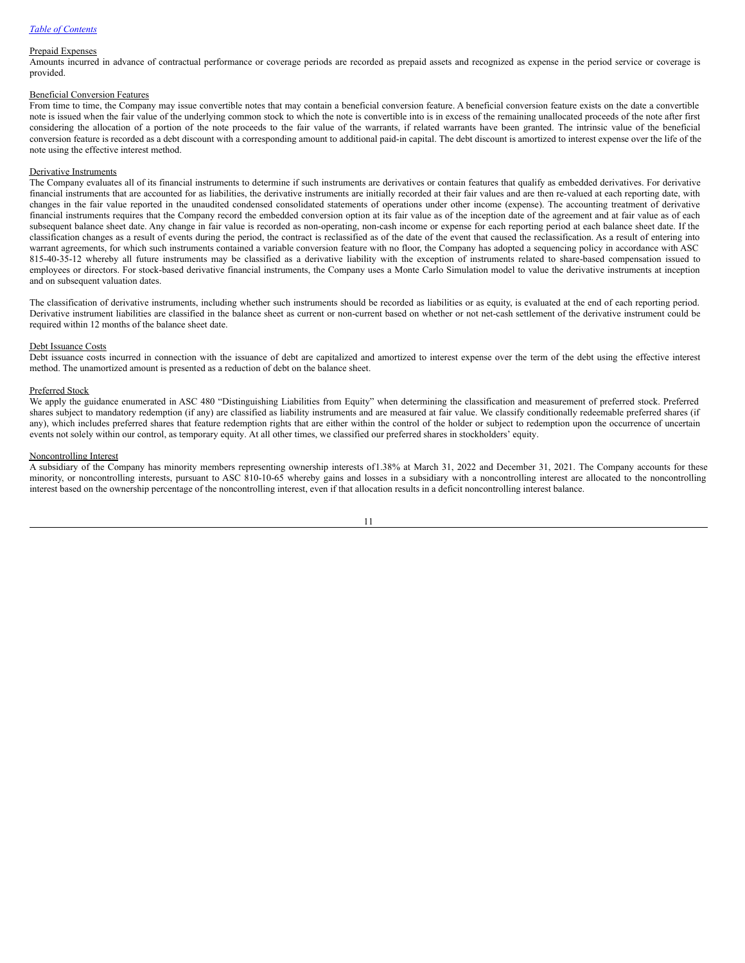#### Prepaid Expenses

Amounts incurred in advance of contractual performance or coverage periods are recorded as prepaid assets and recognized as expense in the period service or coverage is provided.

### Beneficial Conversion Features

From time to time, the Company may issue convertible notes that may contain a beneficial conversion feature. A beneficial conversion feature exists on the date a convertible note is issued when the fair value of the underlying common stock to which the note is convertible into is in excess of the remaining unallocated proceeds of the note after first considering the allocation of a portion of the note proceeds to the fair value of the warrants, if related warrants have been granted. The intrinsic value of the beneficial conversion feature is recorded as a debt discount with a corresponding amount to additional paid-in capital. The debt discount is amortized to interest expense over the life of the note using the effective interest method.

### Derivative Instruments

The Company evaluates all of its financial instruments to determine if such instruments are derivatives or contain features that qualify as embedded derivatives. For derivative financial instruments that are accounted for as liabilities, the derivative instruments are initially recorded at their fair values and are then re-valued at each reporting date, with changes in the fair value reported in the unaudited condensed consolidated statements of operations under other income (expense). The accounting treatment of derivative financial instruments requires that the Company record the embedded conversion option at its fair value as of the inception date of the agreement and at fair value as of each subsequent balance sheet date. Any change in fair value is recorded as non-operating, non-cash income or expense for each reporting period at each balance sheet date. If the classification changes as a result of events during the period, the contract is reclassified as of the date of the event that caused the reclassification. As a result of entering into warrant agreements, for which such instruments contained a variable conversion feature with no floor, the Company has adopted a sequencing policy in accordance with ASC 815-40-35-12 whereby all future instruments may be classified as a derivative liability with the exception of instruments related to share-based compensation issued to employees or directors. For stock-based derivative financial instruments, the Company uses a Monte Carlo Simulation model to value the derivative instruments at inception and on subsequent valuation dates.

The classification of derivative instruments, including whether such instruments should be recorded as liabilities or as equity, is evaluated at the end of each reporting period. Derivative instrument liabilities are classified in the balance sheet as current or non-current based on whether or not net-cash settlement of the derivative instrument could be required within 12 months of the balance sheet date.

# Debt Issuance Costs

Debt issuance costs incurred in connection with the issuance of debt are capitalized and amortized to interest expense over the term of the debt using the effective interest method. The unamortized amount is presented as a reduction of debt on the balance sheet.

#### Preferred Stock

We apply the guidance enumerated in ASC 480 "Distinguishing Liabilities from Equity" when determining the classification and measurement of preferred stock. Preferred shares subject to mandatory redemption (if any) are classified as liability instruments and are measured at fair value. We classify conditionally redeemable preferred shares (if any), which includes preferred shares that feature redemption rights that are either within the control of the holder or subject to redemption upon the occurrence of uncertain events not solely within our control, as temporary equity. At all other times, we classified our preferred shares in stockholders' equity.

#### Noncontrolling Interest

A subsidiary of the Company has minority members representing ownership interests of1.38% at March 31, 2022 and December 31, 2021. The Company accounts for these minority, or noncontrolling interests, pursuant to ASC 810-10-65 whereby gains and losses in a subsidiary with a noncontrolling interest are allocated to the noncontrolling interest based on the ownership percentage of the noncontrolling interest, even if that allocation results in a deficit noncontrolling interest balance.

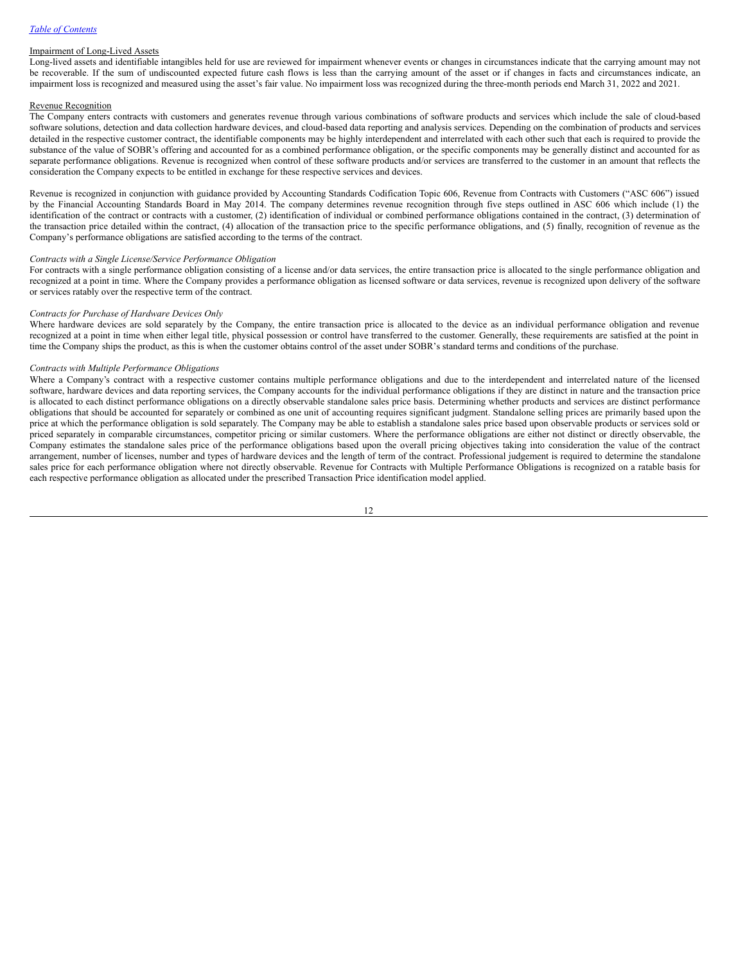#### Impairment of Long-Lived Assets

Long-lived assets and identifiable intangibles held for use are reviewed for impairment whenever events or changes in circumstances indicate that the carrying amount may not be recoverable. If the sum of undiscounted expected future cash flows is less than the carrying amount of the asset or if changes in facts and circumstances indicate, an impairment loss is recognized and measured using the asset's fair value. No impairment loss was recognized during the three-month periods end March 31, 2022 and 2021.

#### Revenue Recognition

The Company enters contracts with customers and generates revenue through various combinations of software products and services which include the sale of cloud-based software solutions, detection and data collection hardware devices, and cloud-based data reporting and analysis services. Depending on the combination of products and services detailed in the respective customer contract, the identifiable components may be highly interdependent and interrelated with each other such that each is required to provide the substance of the value of SOBR's offering and accounted for as a combined performance obligation, or the specific components may be generally distinct and accounted for as separate performance obligations. Revenue is recognized when control of these software products and/or services are transferred to the customer in an amount that reflects the consideration the Company expects to be entitled in exchange for these respective services and devices.

Revenue is recognized in conjunction with guidance provided by Accounting Standards Codification Topic 606, Revenue from Contracts with Customers ("ASC 606") issued by the Financial Accounting Standards Board in May 2014. The company determines revenue recognition through five steps outlined in ASC 606 which include (1) the identification of the contract or contracts with a customer, (2) identification of individual or combined performance obligations contained in the contract, (3) determination of the transaction price detailed within the contract, (4) allocation of the transaction price to the specific performance obligations, and (5) finally, recognition of revenue as the Company's performance obligations are satisfied according to the terms of the contract.

### *Contracts with a Single License/Service Performance Obligation*

For contracts with a single performance obligation consisting of a license and/or data services, the entire transaction price is allocated to the single performance obligation and recognized at a point in time. Where the Company provides a performance obligation as licensed software or data services, revenue is recognized upon delivery of the software or services ratably over the respective term of the contract.

### *Contracts for Purchase of Hardware Devices Only*

Where hardware devices are sold separately by the Company, the entire transaction price is allocated to the device as an individual performance obligation and revenue recognized at a point in time when either legal title, physical possession or control have transferred to the customer. Generally, these requirements are satisfied at the point in time the Company ships the product, as this is when the customer obtains control of the asset under SOBR's standard terms and conditions of the purchase.

### *Contracts with Multiple Performance Obligations*

Where a Company's contract with a respective customer contains multiple performance obligations and due to the interdependent and interrelated nature of the licensed software, hardware devices and data reporting services, the Company accounts for the individual performance obligations if they are distinct in nature and the transaction price is allocated to each distinct performance obligations on a directly observable standalone sales price basis. Determining whether products and services are distinct performance obligations that should be accounted for separately or combined as one unit of accounting requires significant judgment. Standalone selling prices are primarily based upon the price at which the performance obligation is sold separately. The Company may be able to establish a standalone sales price based upon observable products or services sold or priced separately in comparable circumstances, competitor pricing or similar customers. Where the performance obligations are either not distinct or directly observable, the Company estimates the standalone sales price of the performance obligations based upon the overall pricing objectives taking into consideration the value of the contract arrangement, number of licenses, number and types of hardware devices and the length of term of the contract. Professional judgement is required to determine the standalone sales price for each performance obligation where not directly observable. Revenue for Contracts with Multiple Performance Obligations is recognized on a ratable basis for each respective performance obligation as allocated under the prescribed Transaction Price identification model applied.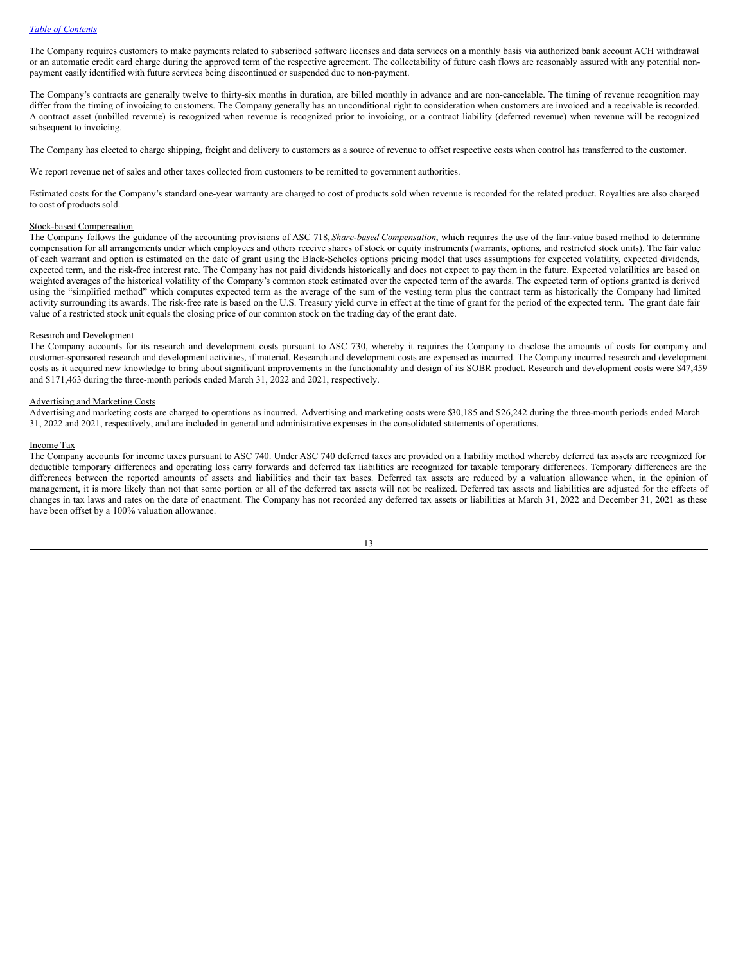The Company requires customers to make payments related to subscribed software licenses and data services on a monthly basis via authorized bank account ACH withdrawal or an automatic credit card charge during the approved term of the respective agreement. The collectability of future cash flows are reasonably assured with any potential nonpayment easily identified with future services being discontinued or suspended due to non-payment.

The Company's contracts are generally twelve to thirty-six months in duration, are billed monthly in advance and are non-cancelable. The timing of revenue recognition may differ from the timing of invoicing to customers. The Company generally has an unconditional right to consideration when customers are invoiced and a receivable is recorded. A contract asset (unbilled revenue) is recognized when revenue is recognized prior to invoicing, or a contract liability (deferred revenue) when revenue will be recognized subsequent to invoicing.

The Company has elected to charge shipping, freight and delivery to customers as a source of revenue to offset respective costs when control has transferred to the customer.

We report revenue net of sales and other taxes collected from customers to be remitted to government authorities.

Estimated costs for the Company's standard one-year warranty are charged to cost of products sold when revenue is recorded for the related product. Royalties are also charged to cost of products sold.

#### Stock-based Compensation

The Company follows the guidance of the accounting provisions of ASC 718, *Share-based Compensation*, which requires the use of the fair-value based method to determine compensation for all arrangements under which employees and others receive shares of stock or equity instruments (warrants, options, and restricted stock units). The fair value of each warrant and option is estimated on the date of grant using the Black-Scholes options pricing model that uses assumptions for expected volatility, expected dividends, expected term, and the risk-free interest rate. The Company has not paid dividends historically and does not expect to pay them in the future. Expected volatilities are based on weighted averages of the historical volatility of the Company's common stock estimated over the expected term of the awards. The expected term of options granted is derived using the "simplified method" which computes expected term as the average of the sum of the vesting term plus the contract term as historically the Company had limited activity surrounding its awards. The risk-free rate is based on the U.S. Treasury yield curve in effect at the time of grant for the period of the expected term. The grant date fair value of a restricted stock unit equals the closing price of our common stock on the trading day of the grant date.

#### Research and Development

The Company accounts for its research and development costs pursuant to ASC 730, whereby it requires the Company to disclose the amounts of costs for company and customer-sponsored research and development activities, if material. Research and development costs are expensed as incurred. The Company incurred research and development costs as it acquired new knowledge to bring about significant improvements in the functionality and design of its SOBR product. Research and development costs were \$47,459 and \$171,463 during the three-month periods ended March 31, 2022 and 2021, respectively.

# Advertising and Marketing Costs

Advertising and marketing costs are charged to operations as incurred. Advertising and marketing costs were \$30,185 and \$26,242 during the three-month periods ended March 31, 2022 and 2021, respectively, and are included in general and administrative expenses in the consolidated statements of operations.

### Income Tax

The Company accounts for income taxes pursuant to ASC 740. Under ASC 740 deferred taxes are provided on a liability method whereby deferred tax assets are recognized for deductible temporary differences and operating loss carry forwards and deferred tax liabilities are recognized for taxable temporary differences. Temporary differences are the differences between the reported amounts of assets and liabilities and their tax bases. Deferred tax assets are reduced by a valuation allowance when, in the opinion of management, it is more likely than not that some portion or all of the deferred tax assets will not be realized. Deferred tax assets and liabilities are adjusted for the effects of changes in tax laws and rates on the date of enactment. The Company has not recorded any deferred tax assets or liabilities at March 31, 2022 and December 31, 2021 as these have been offset by a 100% valuation allowance.

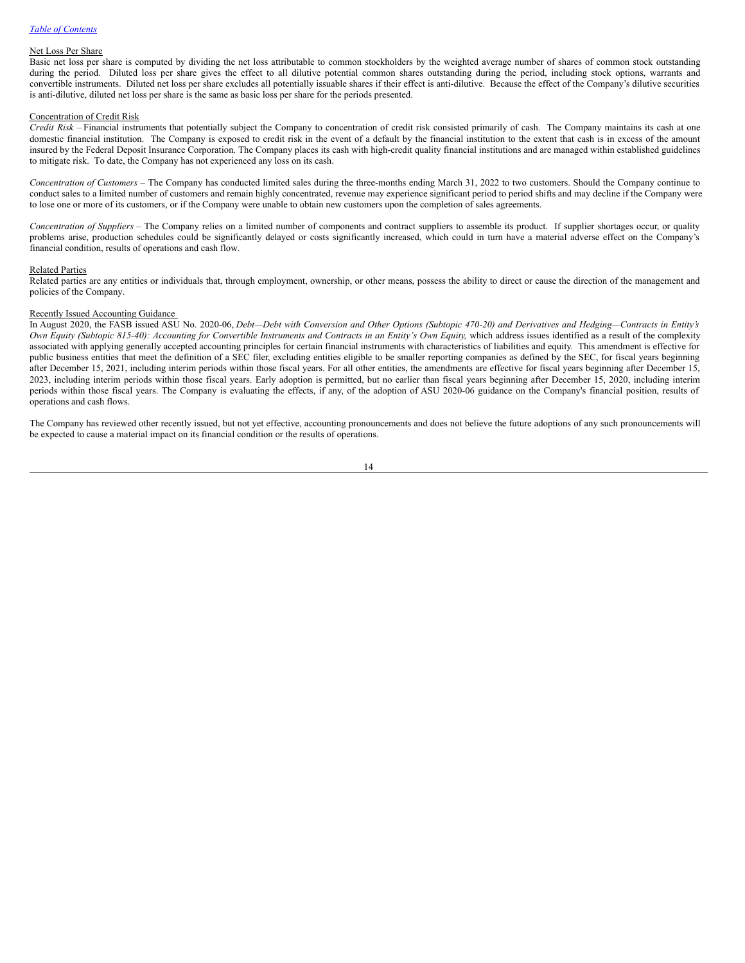# Net Loss Per Share

Basic net loss per share is computed by dividing the net loss attributable to common stockholders by the weighted average number of shares of common stock outstanding during the period. Diluted loss per share gives the effect to all dilutive potential common shares outstanding during the period, including stock options, warrants and convertible instruments. Diluted net loss per share excludes all potentially issuable shares if their effect is anti-dilutive. Because the effect of the Company's dilutive securities is anti-dilutive, diluted net loss per share is the same as basic loss per share for the periods presented.

#### Concentration of Credit Risk

*Credit Risk –* Financial instruments that potentially subject the Company to concentration of credit risk consisted primarily of cash. The Company maintains its cash at one domestic financial institution. The Company is exposed to credit risk in the event of a default by the financial institution to the extent that cash is in excess of the amount insured by the Federal Deposit Insurance Corporation. The Company places its cash with high-credit quality financial institutions and are managed within established guidelines to mitigate risk. To date, the Company has not experienced any loss on its cash.

*Concentration of Customers* – The Company has conducted limited sales during the three-months ending March 31, 2022 to two customers. Should the Company continue to conduct sales to a limited number of customers and remain highly concentrated, revenue may experience significant period to period shifts and may decline if the Company were to lose one or more of its customers, or if the Company were unable to obtain new customers upon the completion of sales agreements.

*Concentration of Suppliers* – The Company relies on a limited number of components and contract suppliers to assemble its product. If supplier shortages occur, or quality problems arise, production schedules could be significantly delayed or costs significantly increased, which could in turn have a material adverse effect on the Company's financial condition, results of operations and cash flow.

#### Related Parties

Related parties are any entities or individuals that, through employment, ownership, or other means, possess the ability to direct or cause the direction of the management and policies of the Company.

#### Recently Issued Accounting Guidance

In August 2020, the FASB issued ASU No. 2020-06, Debt-Debt with Conversion and Other Options (Subtopic 470-20) and Derivatives and Hedging-Contracts in Entity's Own Equity (Subtopic 815-40): Accounting for Convertible Instruments and Contracts in an Entity's Own Equity, which address issues identified as a result of the complexity associated with applying generally accepted accounting principles for certain financial instruments with characteristics of liabilities and equity. This amendment is effective for public business entities that meet the definition of a SEC filer, excluding entities eligible to be smaller reporting companies as defined by the SEC, for fiscal years beginning after December 15, 2021, including interim periods within those fiscal years. For all other entities, the amendments are effective for fiscal years beginning after December 15, 2023, including interim periods within those fiscal years. Early adoption is permitted, but no earlier than fiscal years beginning after December 15, 2020, including interim periods within those fiscal years. The Company is evaluating the effects, if any, of the adoption of ASU 2020-06 guidance on the Company's financial position, results of operations and cash flows.

The Company has reviewed other recently issued, but not yet effective, accounting pronouncements and does not believe the future adoptions of any such pronouncements will be expected to cause a material impact on its financial condition or the results of operations.

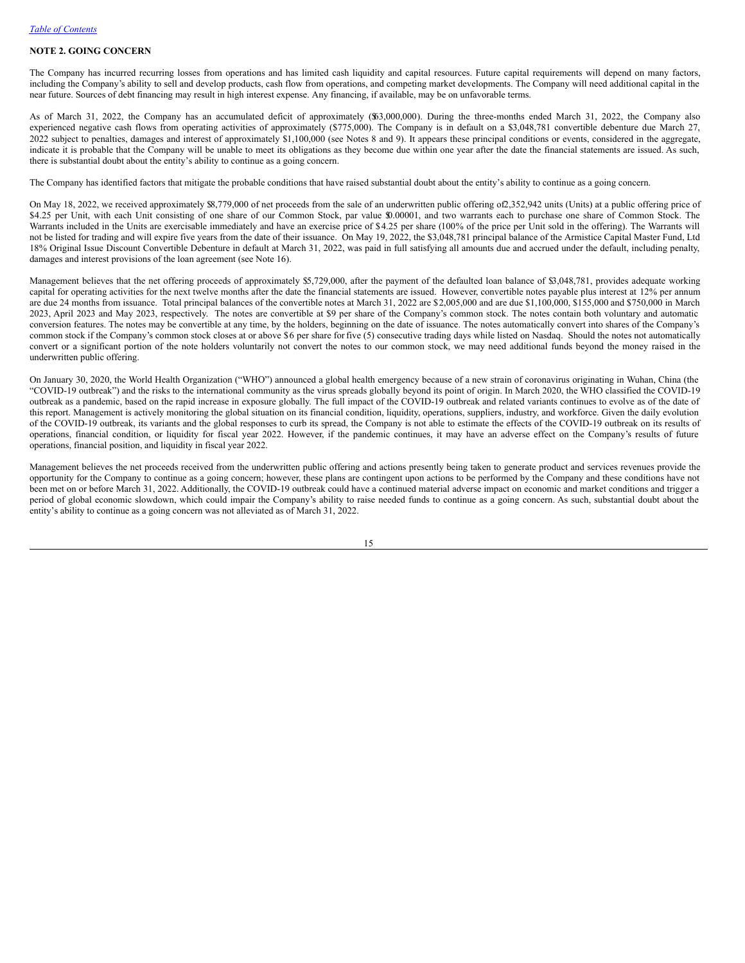### **NOTE 2. GOING CONCERN**

The Company has incurred recurring losses from operations and has limited cash liquidity and capital resources. Future capital requirements will depend on many factors, including the Company's ability to sell and develop products, cash flow from operations, and competing market developments. The Company will need additional capital in the near future. Sources of debt financing may result in high interest expense. Any financing, if available, may be on unfavorable terms.

As of March 31, 2022, the Company has an accumulated deficit of approximately (\$63,000,000). During the three-months ended March 31, 2022, the Company also experienced negative cash flows from operating activities of approximately (\$775,000). The Company is in default on a \$3,048,781 convertible debenture due March 27, 2022 subject to penalties, damages and interest of approximately \$1,100,000 (see Notes 8 and 9). It appears these principal conditions or events, considered in the aggregate, indicate it is probable that the Company will be unable to meet its obligations as they become due within one year after the date the financial statements are issued. As such, there is substantial doubt about the entity's ability to continue as a going concern.

The Company has identified factors that mitigate the probable conditions that have raised substantial doubt about the entity's ability to continue as a going concern.

On May 18, 2022, we received approximately \$8,779,000 of net proceeds from the sale of an underwritten public offering of 2,352,942 units (Units) at a public offering price of \$4.25 per Unit, with each Unit consisting of one share of our Common Stock, par value \$0.00001, and two warrants each to purchase one share of Common Stock. The Warrants included in the Units are exercisable immediately and have an exercise price of \$4.25 per share (100% of the price per Unit sold in the offering). The Warrants will not be listed for trading and will expire five years from the date of their issuance. On May 19, 2022, the \$3,048,781 principal balance of the Armistice Capital Master Fund, Ltd 18% Original Issue Discount Convertible Debenture in default at March 31, 2022, was paid in full satisfying all amounts due and accrued under the default, including penalty, damages and interest provisions of the loan agreement (see Note 16).

Management believes that the net offering proceeds of approximately \$5,729,000, after the payment of the defaulted loan balance of \$3,048,781, provides adequate working capital for operating activities for the next twelve months after the date the financial statements are issued. However, convertible notes payable plus interest at 12% per annum are due 24 months from issuance. Total principal balances of the convertible notes at March 31, 2022 are \$2,005,000 and are due \$1,100,000, \$155,000 and \$750,000 in March 2023, April 2023 and May 2023, respectively. The notes are convertible at \$9 per share of the Company's common stock. The notes contain both voluntary and automatic conversion features. The notes may be convertible at any time, by the holders, beginning on the date of issuance. The notes automatically convert into shares of the Company's common stock if the Company's common stock closes at or above \$6 per share forfive (5) consecutive trading days while listed on Nasdaq. Should the notes not automatically convert or a significant portion of the note holders voluntarily not convert the notes to our common stock, we may need additional funds beyond the money raised in the underwritten public offering.

On January 30, 2020, the World Health Organization ("WHO") announced a global health emergency because of a new strain of coronavirus originating in Wuhan, China (the "COVID-19 outbreak") and the risks to the international community as the virus spreads globally beyond its point of origin. In March 2020, the WHO classified the COVID-19 outbreak as a pandemic, based on the rapid increase in exposure globally. The full impact of the COVID-19 outbreak and related variants continues to evolve as of the date of this report. Management is actively monitoring the global situation on its financial condition, liquidity, operations, suppliers, industry, and workforce. Given the daily evolution of the COVID-19 outbreak, its variants and the global responses to curb its spread, the Company is not able to estimate the effects of the COVID-19 outbreak on its results of operations, financial condition, or liquidity for fiscal year 2022. However, if the pandemic continues, it may have an adverse effect on the Company's results of future operations, financial position, and liquidity in fiscal year 2022.

Management believes the net proceeds received from the underwritten public offering and actions presently being taken to generate product and services revenues provide the opportunity for the Company to continue as a going concern; however, these plans are contingent upon actions to be performed by the Company and these conditions have not been met on or before March 31, 2022. Additionally, the COVID-19 outbreak could have a continued material adverse impact on economic and market conditions and trigger a period of global economic slowdown, which could impair the Company's ability to raise needed funds to continue as a going concern. As such, substantial doubt about the entity's ability to continue as a going concern was not alleviated as of March 31, 2022.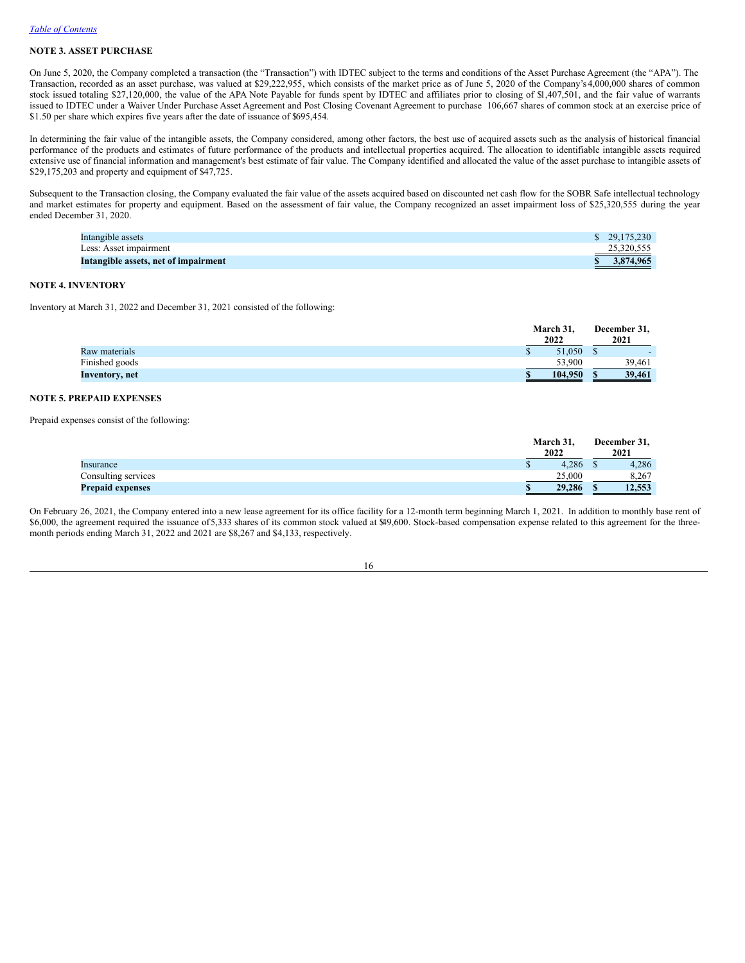### **NOTE 3. ASSET PURCHASE**

On June 5, 2020, the Company completed a transaction (the "Transaction") with IDTEC subject to the terms and conditions of the Asset Purchase Agreement (the "APA"). The Transaction, recorded as an asset purchase, was valued at \$29,222,955, which consists of the market price as of June 5, 2020 of the Company's 4,000,000 shares of common stock issued totaling \$27,120,000, the value of the APA Note Payable for funds spent by IDTEC and affiliates prior to closing of \$1,407,501, and the fair value of warrants issued to IDTEC under a Waiver Under Purchase Asset Agreement and Post Closing Covenant Agreement to purchase 106,667 shares of common stock at an exercise price of \$1.50 per share which expires five years after the date of issuance of \$695,454.

In determining the fair value of the intangible assets, the Company considered, among other factors, the best use of acquired assets such as the analysis of historical financial performance of the products and estimates of future performance of the products and intellectual properties acquired. The allocation to identifiable intangible assets required extensive use of financial information and management's best estimate of fair value. The Company identified and allocated the value of the asset purchase to intangible assets of \$29,175,203 and property and equipment of \$47,725.

Subsequent to the Transaction closing, the Company evaluated the fair value of the assets acquired based on discounted net cash flow for the SOBR Safe intellectual technology and market estimates for property and equipment. Based on the assessment of fair value, the Company recognized an asset impairment loss of \$25,320,555 during the year ended December 31, 2020.

| Intangible assets                    | \$ 29,175,230 |
|--------------------------------------|---------------|
| Less: Asset impairment               | 25.320.555    |
| Intangible assets, net of impairment | 3.874.965     |

#### **NOTE 4. INVENTORY**

Inventory at March 31, 2022 and December 31, 2021 consisted of the following:

|                | March 31.<br>2022 | December 31,<br>2021     |
|----------------|-------------------|--------------------------|
| Raw materials  | 51,050            | $\overline{\phantom{a}}$ |
| Finished goods | 53,900            | 39.461                   |
| Inventory, net | 104,950           | 39.461                   |

### **NOTE 5. PREPAID EXPENSES**

Prepaid expenses consist of the following:

|                         | March 31. |        | December 31, |        |
|-------------------------|-----------|--------|--------------|--------|
|                         |           | 2022   |              | 2021   |
| Insurance               |           | 4.286  |              | 4.286  |
| Consulting services     |           | 25,000 |              | 8.267  |
| <b>Prepaid expenses</b> |           | 29,286 |              | 12,553 |

On February 26, 2021, the Company entered into a new lease agreement for its office facility for a 12-month term beginning March 1, 2021. In addition to monthly base rent of \$6,000, the agreement required the issuance of5,333 shares of its common stock valued at \$49,600. Stock-based compensation expense related to this agreement for the threemonth periods ending March 31, 2022 and 2021 are \$8,267 and \$4,133, respectively.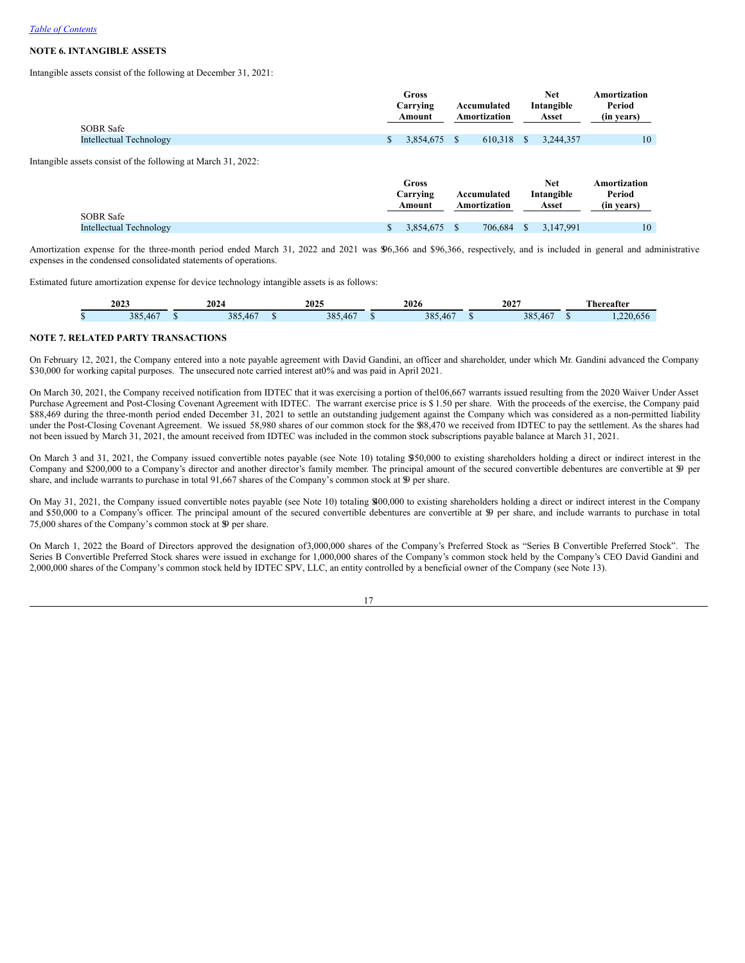# **NOTE 6. INTANGIBLE ASSETS**

Intangible assets consist of the following at December 31, 2021:

| <b>SOBR</b> Safe                                              | Gross<br>Carrying<br>Amount | Accumulated<br>Amortization | <b>Net</b><br>Intangible<br>Asset | Amortization<br>Period<br>(in years) |
|---------------------------------------------------------------|-----------------------------|-----------------------------|-----------------------------------|--------------------------------------|
| <b>Intellectual Technology</b>                                | 3,854,675 \$<br>\$          | 610,318                     | 3,244,357<br>S.                   | 10                                   |
| Intangible assets consist of the following at March 31, 2022: | Gross<br>Carrying<br>Amount | Accumulated<br>Amortization | <b>Net</b><br>Intangible<br>Asset | Amortization<br>Period<br>(in years) |
| <b>SOBR</b> Safe                                              |                             |                             |                                   |                                      |
| <b>Intellectual Technology</b>                                | 3,854,675                   | 706,684                     | 3,147,991<br><sup>\$</sup>        | 10                                   |

Amortization expense for the three-month period ended March 31, 2022 and 2021 was  $\mathcal{D}6,366$  and  $\mathcal{D}6,366$ , respectively, and is included in general and administrative expenses in the condensed consolidated statements of operations.

Estimated future amortization expense for device technology intangible assets is as follows:

|                   | 2023    | 2024                    | 2025 |                                     |  | 2026                           | 2027                                    | l hereaftei |
|-------------------|---------|-------------------------|------|-------------------------------------|--|--------------------------------|-----------------------------------------|-------------|
| $\triangle$<br>.n | 385,467 | .46 <sup>7</sup><br>385 |      | $\sim$ $\sim$<br>205<br>46.<br>383. |  | م بر ا<br>າດ<br>$-46.$<br>38.D | .46 <sup>7</sup><br>385<br>$\mathbf{r}$ | 220.656     |

#### **NOTE 7. RELATED PARTY TRANSACTIONS**

On February 12, 2021, the Company entered into a note payable agreement with David Gandini, an officer and shareholder, under which Mr. Gandini advanced the Company \$30,000 for working capital purposes. The unsecured note carried interest at0% and was paid in April 2021.

On March 30, 2021, the Company received notification from IDTEC that it was exercising a portion of the106,667 warrants issued resulting from the 2020 Waiver Under Asset Purchase Agreement and Post-Closing Covenant Agreement with IDTEC. The warrant exercise price is \$ 1.50 per share. With the proceeds of the exercise, the Company paid \$88,469 during the three-month period ended December 31, 2021 to settle an outstanding judgement against the Company which was considered as a non-permitted liability under the Post-Closing Covenant Agreement. We issued 58,980 shares of our common stock for the \$88,470 we received from IDTEC to pay the settlement. As the shares had not been issued by March 31, 2021, the amount received from IDTEC was included in the common stock subscriptions payable balance at March 31, 2021.

On March 3 and 31, 2021, the Company issued convertible notes payable (see Note 10) totaling \$350,000 to existing shareholders holding a direct or indirect interest in the Company and \$200,000 to a Company's director and another director's family member. The principal amount of the secured convertible debentures are convertible at \$9 per share, and include warrants to purchase in total 91,667 shares of the Company's common stock at  $\mathcal D$  per share.

On May 31, 2021, the Company issued convertible notes payable (see Note 10) totaling \$400,000 to existing shareholders holding a direct or indirect interest in the Company and \$50,000 to a Company's officer. The principal amount of the secured convertible debentures are convertible at \$9 per share, and include warrants to purchase in total 75,000 shares of the Company's common stock at \$9 per share.

On March 1, 2022 the Board of Directors approved the designation of3,000,000 shares of the Company's Preferred Stock as "Series B Convertible Preferred Stock". The Series B Convertible Preferred Stock shares were issued in exchange for 1,000,000 shares of the Company's common stock held by the Company's CEO David Gandini and 2,000,000 shares of the Company's common stock held by IDTEC SPV, LLC, an entity controlled by a beneficial owner of the Company (see Note 13).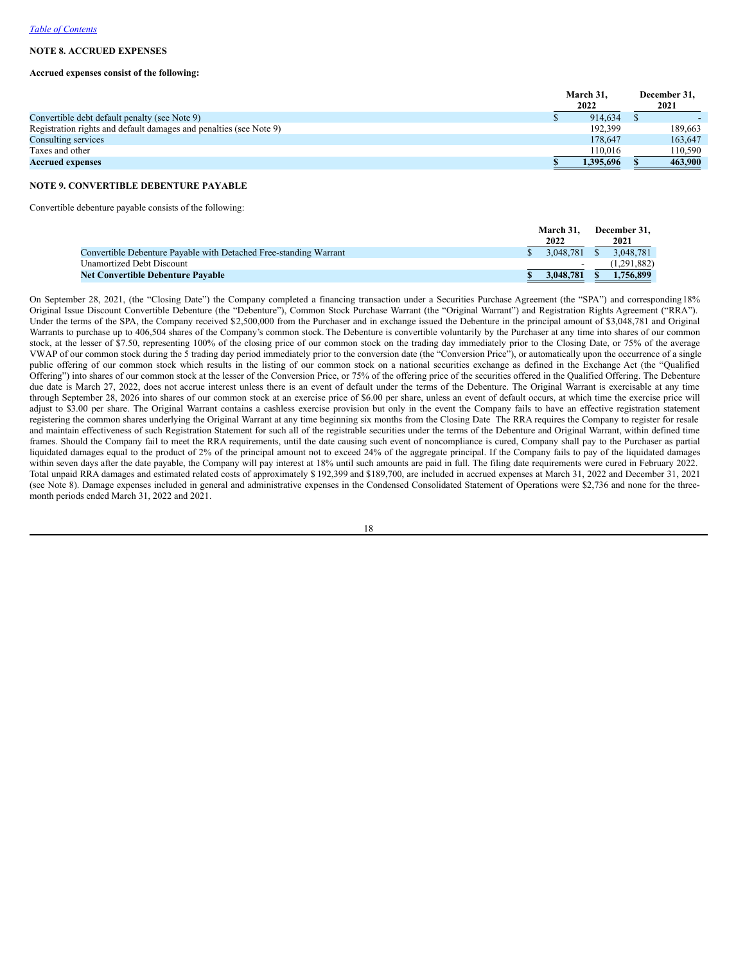#### **NOTE 8. ACCRUED EXPENSES**

### **Accrued expenses consist of the following:**

|                                                                    | March 31.<br>2022 | December 31,<br>2021 |
|--------------------------------------------------------------------|-------------------|----------------------|
| Convertible debt default penalty (see Note 9)                      | 914.634           |                      |
| Registration rights and default damages and penalties (see Note 9) | 192.399           | 189.663              |
| Consulting services                                                | 178,647           | 163.647              |
| Taxes and other                                                    | 110,016           | 110,590              |
| <b>Accrued expenses</b>                                            | 1.395.696         | 463,900              |

# **NOTE 9. CONVERTIBLE DEBENTURE PAYABLE**

Convertible debenture payable consists of the following:

|                                                                   | March 31.    | December 31. |
|-------------------------------------------------------------------|--------------|--------------|
|                                                                   | 2022         | 2021         |
| Convertible Debenture Payable with Detached Free-standing Warrant | 3.048.781 \$ | 3.048.781    |
| Unamortized Debt Discount                                         |              | (1.291.882)  |
| <b>Net Convertible Debenture Payable</b>                          | 3.048.781    | 1,756,899    |

On September 28, 2021, (the "Closing Date") the Company completed a financing transaction under a Securities Purchase Agreement (the "SPA") and corresponding18% Original Issue Discount Convertible Debenture (the "Debenture"), Common Stock Purchase Warrant (the "Original Warrant") and Registration Rights Agreement ("RRA"). Under the terms of the SPA, the Company received \$2,500,000 from the Purchaser and in exchange issued the Debenture in the principal amount of \$3,048,781 and Original Warrants to purchase up to 406,504 shares of the Company's common stock. The Debenture is convertible voluntarily by the Purchaser at any time into shares of our common stock, at the lesser of \$7.50, representing 100% of the closing price of our common stock on the trading day immediately prior to the Closing Date, or 75% of the average VWAP of our common stock during the 5 trading day period immediately prior to the conversion date (the "Conversion Price"), or automatically upon the occurrence of a single public offering of our common stock which results in the listing of our common stock on a national securities exchange as defined in the Exchange Act (the "Qualified Offering") into shares of our common stock at the lesser of the Conversion Price, or 75% of the offering price of the securities offered in the Qualified Offering. The Debenture due date is March 27, 2022, does not accrue interest unless there is an event of default under the terms of the Debenture. The Original Warrant is exercisable at any time through September 28, 2026 into shares of our common stock at an exercise price of \$6.00 per share, unless an event of default occurs, at which time the exercise price will adjust to \$3.00 per share. The Original Warrant contains a cashless exercise provision but only in the event the Company fails to have an effective registration statement registering the common shares underlying the Original Warrant at any time beginning six months from the Closing Date The RRA requires the Company to register for resale and maintain effectiveness of such Registration Statement for such all of the registrable securities under the terms of the Debenture and Original Warrant, within defined time frames. Should the Company fail to meet the RRA requirements, until the date causing such event of noncompliance is cured, Company shall pay to the Purchaser as partial liquidated damages equal to the product of 2% of the principal amount not to exceed 24% of the aggregate principal. If the Company fails to pay of the liquidated damages within seven days after the date payable, the Company will pay interest at 18% until such amounts are paid in full. The filing date requirements were cured in February 2022. Total unpaid RRA damages and estimated related costs of approximately \$ 192,399 and \$189,700, are included in accrued expenses at March 31, 2022 and December 31, 2021 (see Note 8). Damage expenses included in general and administrative expenses in the Condensed Consolidated Statement of Operations were \$2,736 and none for the threemonth periods ended March 31, 2022 and 2021.

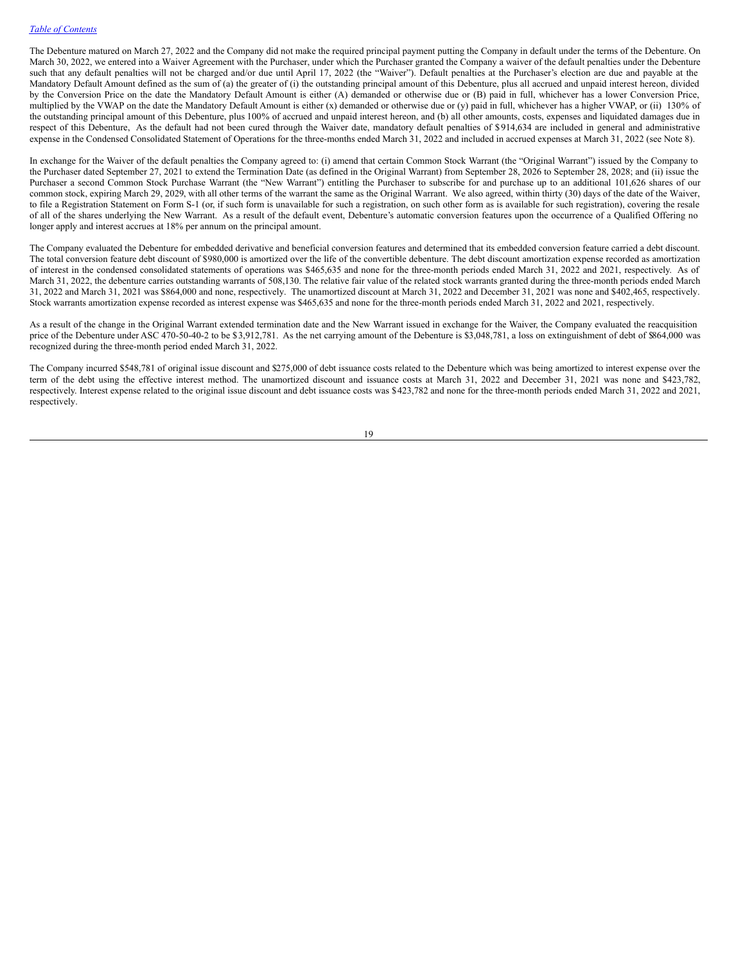The Debenture matured on March 27, 2022 and the Company did not make the required principal payment putting the Company in default under the terms of the Debenture. On March 30, 2022, we entered into a Waiver Agreement with the Purchaser, under which the Purchaser granted the Company a waiver of the default penalties under the Debenture such that any default penalties will not be charged and/or due until April 17, 2022 (the "Waiver"). Default penalties at the Purchaser's election are due and payable at the Mandatory Default Amount defined as the sum of (a) the greater of (i) the outstanding principal amount of this Debenture, plus all accrued and unpaid interest hereon, divided by the Conversion Price on the date the Mandatory Default Amount is either (A) demanded or otherwise due or (B) paid in full, whichever has a lower Conversion Price, multiplied by the VWAP on the date the Mandatory Default Amount is either (x) demanded or otherwise due or (y) paid in full, whichever has a higher VWAP, or (ii) 130% of the outstanding principal amount of this Debenture, plus 100% of accrued and unpaid interest hereon, and (b) all other amounts, costs, expenses and liquidated damages due in respect of this Debenture, As the default had not been cured through the Waiver date, mandatory default penalties of \$914,634 are included in general and administrative expense in the Condensed Consolidated Statement of Operations for the three-months ended March 31, 2022 and included in accrued expenses at March 31, 2022 (see Note 8).

In exchange for the Waiver of the default penalties the Company agreed to: (i) amend that certain Common Stock Warrant (the "Original Warrant") issued by the Company to the Purchaser dated September 27, 2021 to extend the Termination Date (as defined in the Original Warrant) from September 28, 2026 to September 28, 2028; and (ii) issue the Purchaser a second Common Stock Purchase Warrant (the "New Warrant") entitling the Purchaser to subscribe for and purchase up to an additional 101,626 shares of our common stock, expiring March 29, 2029, with all other terms of the warrant the same as the Original Warrant. We also agreed, within thirty (30) days of the date of the Waiver, to file a Registration Statement on Form S-1 (or, if such form is unavailable for such a registration, on such other form as is available for such registration), covering the resale of all of the shares underlying the New Warrant. As a result of the default event, Debenture's automatic conversion features upon the occurrence of a Qualified Offering no longer apply and interest accrues at 18% per annum on the principal amount.

The Company evaluated the Debenture for embedded derivative and beneficial conversion features and determined that its embedded conversion feature carried a debt discount. The total conversion feature debt discount of \$980,000 is amortized over the life of the convertible debenture. The debt discount amortization expense recorded as amortization of interest in the condensed consolidated statements of operations was \$465,635 and none for the three-month periods ended March 31, 2022 and 2021, respectively. As of March 31, 2022, the debenture carries outstanding warrants of 508,130. The relative fair value of the related stock warrants granted during the three-month periods ended March 31, 2022 and March 31, 2021 was \$864,000 and none, respectively. The unamortized discount at March 31, 2022 and December 31, 2021 was none and \$402,465, respectively. Stock warrants amortization expense recorded as interest expense was \$465,635 and none for the three-month periods ended March 31, 2022 and 2021, respectively.

As a result of the change in the Original Warrant extended termination date and the New Warrant issued in exchange for the Waiver, the Company evaluated the reacquisition price of the Debenture under ASC 470-50-40-2 to be \$3,912,781. As the net carrying amount of the Debenture is \$3,048,781, a loss on extinguishment of debt of \$864,000 was recognized during the three-month period ended March 31, 2022.

The Company incurred \$548,781 of original issue discount and \$275,000 of debt issuance costs related to the Debenture which was being amortized to interest expense over the term of the debt using the effective interest method. The unamortized discount and issuance costs at March 31, 2022 and December 31, 2021 was none and \$423,782, respectively. Interest expense related to the original issue discount and debt issuance costs was \$423,782 and none for the three-month periods ended March 31, 2022 and 2021, respectively.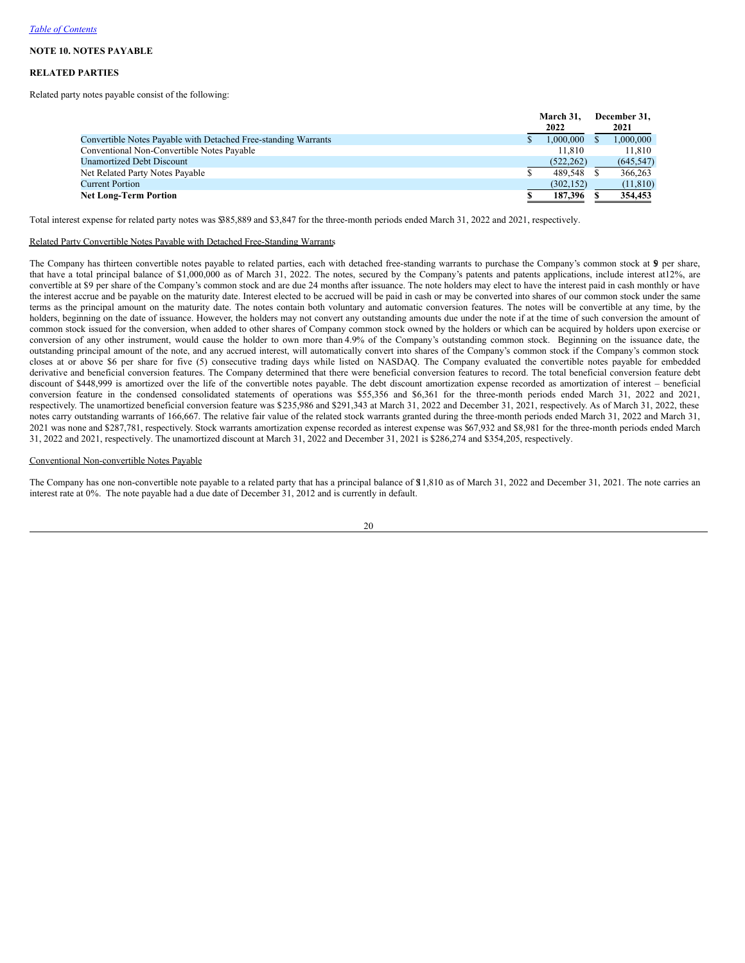### **NOTE 10. NOTES PAYABLE**

#### **RELATED PARTIES**

Related party notes payable consist of the following:

|                                                                | March 31. |            | December 31, |
|----------------------------------------------------------------|-----------|------------|--------------|
|                                                                |           | 2022       | 2021         |
| Convertible Notes Payable with Detached Free-standing Warrants |           | 1,000,000  | 1,000,000    |
| Conventional Non-Convertible Notes Payable                     |           | 11.810     | 11.810       |
| <b>Unamortized Debt Discount</b>                               |           | (522, 262) | (645, 547)   |
| Net Related Party Notes Payable                                |           | 489.548    | 366,263      |
| <b>Current Portion</b>                                         |           | (302, 152) | (11, 810)    |
| <b>Net Long-Term Portion</b>                                   |           | 187.396    | 354,453      |

Total interest expense for related party notes was \$385,889 and \$3,847 for the three-month periods ended March 31, 2022 and 2021, respectively.

### Related Party Convertible Notes Payable with Detached Free-Standing Warrants

The Company has thirteen convertible notes payable to related parties, each with detached free-standing warrants to purchase the Company's common stock at 9 per share, that have a total principal balance of \$1,000,000 as of March 31, 2022. The notes, secured by the Company's patents and patents applications, include interest at12%, are convertible at \$9 per share of the Company's common stock and are due 24 months after issuance. The note holders may elect to have the interest paid in cash monthly or have the interest accrue and be payable on the maturity date. Interest elected to be accrued will be paid in cash or may be converted into shares of our common stock under the same terms as the principal amount on the maturity date. The notes contain both voluntary and automatic conversion features. The notes will be convertible at any time, by the holders, beginning on the date of issuance. However, the holders may not convert any outstanding amounts due under the note if at the time of such conversion the amount of common stock issued for the conversion, when added to other shares of Company common stock owned by the holders or which can be acquired by holders upon exercise or conversion of any other instrument, would cause the holder to own more than 4.9% of the Company's outstanding common stock. Beginning on the issuance date, the outstanding principal amount of the note, and any accrued interest, will automatically convert into shares of the Company's common stock if the Company's common stock closes at or above \$6 per share for five (5) consecutive trading days while listed on NASDAQ. The Company evaluated the convertible notes payable for embedded derivative and beneficial conversion features. The Company determined that there were beneficial conversion features to record. The total beneficial conversion feature debt discount of \$448,999 is amortized over the life of the convertible notes payable. The debt discount amortization expense recorded as amortization of interest – beneficial conversion feature in the condensed consolidated statements of operations was \$55,356 and \$6,361 for the three-month periods ended March 31, 2022 and 2021, respectively. The unamortized beneficial conversion feature was \$235,986 and \$291,343 at March 31, 2022 and December 31, 2021, respectively. As of March 31, 2022, these notes carry outstanding warrants of 166,667. The relative fair value of the related stock warrants granted during the three-month periods ended March 31, 2022 and March 31, 2021 was none and \$287,781, respectively. Stock warrants amortization expense recorded as interest expense was \$67,932 and \$8,981 for the three-month periods ended March 31, 2022 and 2021, respectively. The unamortized discount at March 31, 2022 and December 31, 2021 is \$286,274 and \$354,205, respectively.

### Conventional Non-convertible Notes Payable

The Company has one non-convertible note payable to a related party that has a principal balance of \$1,810 as of March 31, 2022 and December 31, 2021. The note carries an interest rate at 0%. The note payable had a due date of December 31, 2012 and is currently in default.

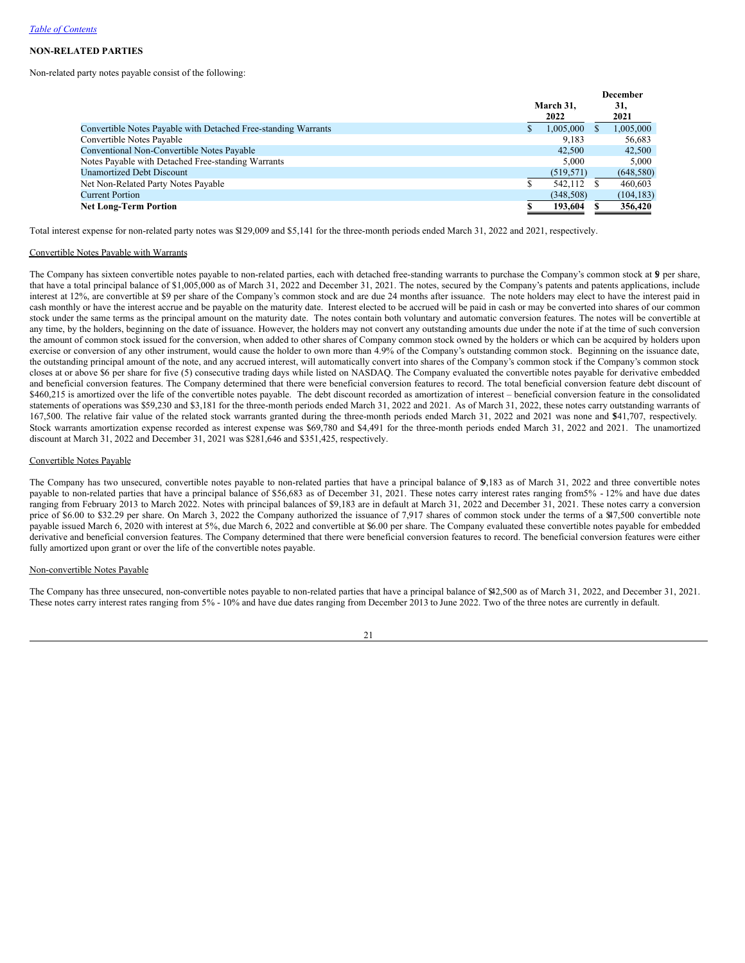### **NON-RELATED PARTIES**

Non-related party notes payable consist of the following:

|                                                                |           |            |   | <b>December</b> |
|----------------------------------------------------------------|-----------|------------|---|-----------------|
|                                                                | March 31, |            |   | 31,             |
|                                                                |           | 2022       |   | 2021            |
| Convertible Notes Payable with Detached Free-standing Warrants | S         | 1,005,000  | S | 1,005,000       |
| Convertible Notes Payable                                      |           | 9.183      |   | 56,683          |
| Conventional Non-Convertible Notes Payable                     |           | 42,500     |   | 42,500          |
| Notes Payable with Detached Free-standing Warrants             |           | 5.000      |   | 5.000           |
| <b>Unamortized Debt Discount</b>                               |           | (519, 571) |   | (648, 580)      |
| Net Non-Related Party Notes Payable                            | J.        | 542.112    | S | 460.603         |
| <b>Current Portion</b>                                         |           | (348, 508) |   | (104, 183)      |
| <b>Net Long-Term Portion</b>                                   |           | 193,604    |   | 356,420         |

Total interest expense for non-related party notes was \$129,009 and \$5,141 for the three-month periods ended March 31, 2022 and 2021, respectively.

### Convertible Notes Payable with Warrants

The Company has sixteen convertible notes payable to non-related parties, each with detached free-standing warrants to purchase the Company's common stock at 9 per share, that have a total principal balance of \$1,005,000 as of March 31, 2022 and December 31, 2021. The notes, secured by the Company's patents and patents applications, include interest at 12%, are convertible at \$9 per share of the Company's common stock and are due 24 months after issuance. The note holders may elect to have the interest paid in cash monthly or have the interest accrue and be payable on the maturity date. Interest elected to be accrued will be paid in cash or may be converted into shares of our common stock under the same terms as the principal amount on the maturity date. The notes contain both voluntary and automatic conversion features. The notes will be convertible at any time, by the holders, beginning on the date of issuance. However, the holders may not convert any outstanding amounts due under the note if at the time of such conversion the amount of common stock issued for the conversion, when added to other shares of Company common stock owned by the holders or which can be acquired by holders upon exercise or conversion of any other instrument, would cause the holder to own more than 4.9% of the Company's outstanding common stock. Beginning on the issuance date, the outstanding principal amount of the note, and any accrued interest, will automatically convert into shares of the Company's common stock if the Company's common stock closes at or above \$6 per share for five (5) consecutive trading days while listed on NASDAQ. The Company evaluated the convertible notes payable for derivative embedded and beneficial conversion features. The Company determined that there were beneficial conversion features to record. The total beneficial conversion feature debt discount of \$460,215 is amortized over the life of the convertible notes payable. The debt discount recorded as amortization of interest – beneficial conversion feature in the consolidated statements of operations was \$59,230 and \$3,181 for the three-month periods ended March 31, 2022 and 2021. As of March 31, 2022, these notes carry outstanding warrants of 167,500. The relative fair value of the related stock warrants granted during the three-month periods ended March 31, 2022 and 2021 was none and \$541,707, respectively. Stock warrants amortization expense recorded as interest expense was \$69,780 and \$4,491 for the three-month periods ended March 31, 2022 and 2021. The unamortized discount at March 31, 2022 and December 31, 2021 was \$281,646 and \$351,425, respectively.

### Convertible Notes Payable

The Company has two unsecured, convertible notes payable to non-related parties that have a principal balance of \$9,183 as of March 31, 2022 and three convertible notes payable to non-related parties that have a principal balance of \$56,683 as of December 31, 2021. These notes carry interest rates ranging from5% - 12% and have due dates ranging from February 2013 to March 2022. Notes with principal balances of \$9,183 are in default at March 31, 2022 and December 31, 2021. These notes carry a conversion price of \$6.00 to \$32.29 per share. On March 3, 2022 the Company authorized the issuance of 7,917 shares of common stock under the terms of a \$47,500 convertible note payable issued March 6, 2020 with interest at 5%, due March 6, 2022 and convertible at \$6.00 per share. The Company evaluated these convertible notes payable for embedded derivative and beneficial conversion features. The Company determined that there were beneficial conversion features to record. The beneficial conversion features were either fully amortized upon grant or over the life of the convertible notes payable.

# Non-convertible Notes Payable

The Company has three unsecured, non-convertible notes payable to non-related parties that have a principal balance of \$42,500 as of March 31, 2022, and December 31, 2021. These notes carry interest rates ranging from 5% - 10% and have due dates ranging from December 2013 to June 2022. Two of the three notes are currently in default.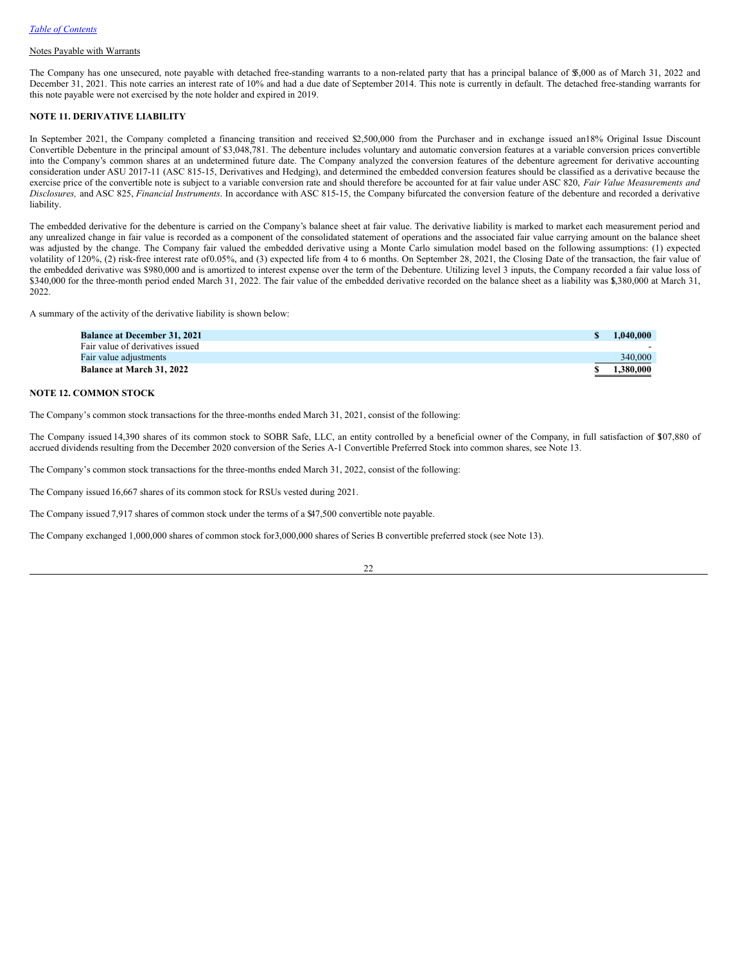### Notes Payable with Warrants

The Company has one unsecured, note payable with detached free-standing warrants to a non-related party that has a principal balance of \$,000 as of March 31, 2022 and December 31, 2021. This note carries an interest rate of 10% and had a due date of September 2014. This note is currently in default. The detached free-standing warrants for this note payable were not exercised by the note holder and expired in 2019.

#### **NOTE 11. DERIVATIVE LIABILITY**

In September 2021, the Company completed a financing transition and received \$2,500,000 from the Purchaser and in exchange issued an18% Original Issue Discount Convertible Debenture in the principal amount of \$3,048,781. The debenture includes voluntary and automatic conversion features at a variable conversion prices convertible into the Company's common shares at an undetermined future date. The Company analyzed the conversion features of the debenture agreement for derivative accounting consideration under ASU 2017-11 (ASC 815-15, Derivatives and Hedging), and determined the embedded conversion features should be classified as a derivative because the exercise price of the convertible note is subject to a variable conversion rate and should therefore be accounted for at fair value under ASC 820, *Fair Value Measurements and Disclosures,* and ASC 825, *Financial Instruments*. In accordance with ASC 815-15, the Company bifurcated the conversion feature of the debenture and recorded a derivative liability.

The embedded derivative for the debenture is carried on the Company's balance sheet at fair value. The derivative liability is marked to market each measurement period and any unrealized change in fair value is recorded as a component of the consolidated statement of operations and the associated fair value carrying amount on the balance sheet was adjusted by the change. The Company fair valued the embedded derivative using a Monte Carlo simulation model based on the following assumptions: (1) expected volatility of 120%, (2) risk-free interest rate of0.05%, and (3) expected life from 4 to 6 months. On September 28, 2021, the Closing Date of the transaction, the fair value of the embedded derivative was \$980,000 and is amortized to interest expense over the term of the Debenture. Utilizing level 3 inputs, the Company recorded a fair value loss of \$340,000 for the three-month period ended March 31, 2022. The fair value of the embedded derivative recorded on the balance sheet as a liability was \$,380,000 at March 31, 2022.

A summary of the activity of the derivative liability is shown below:

| <b>Balance at December 31, 2021</b> | 1.040.000                                                                |
|-------------------------------------|--------------------------------------------------------------------------|
| Fair value of derivatives issued    |                                                                          |
| Fair value adjustments              | 340,000                                                                  |
| <b>Balance at March 31, 2022</b>    | 1,380,000<br>$\frac{\phi}{\phi}$ $\frac{\phi}{\phi}$ $\frac{\phi}{\phi}$ |

# **NOTE 12. COMMON STOCK**

The Company's common stock transactions for the three-months ended March 31, 2021, consist of the following:

The Company issued 14,390 shares of its common stock to SOBR Safe, LLC, an entity controlled by a beneficial owner of the Company, in full satisfaction of \$107,880 of accrued dividends resulting from the December 2020 conversion of the Series A-1 Convertible Preferred Stock into common shares, see Note 13.

The Company's common stock transactions for the three-months ended March 31, 2022, consist of the following:

The Company issued 16,667 shares of its common stock for RSUs vested during 2021.

The Company issued 7,917 shares of common stock under the terms of a \$47,500 convertible note payable.

The Company exchanged 1,000,000 shares of common stock for3,000,000 shares of Series B convertible preferred stock (see Note 13).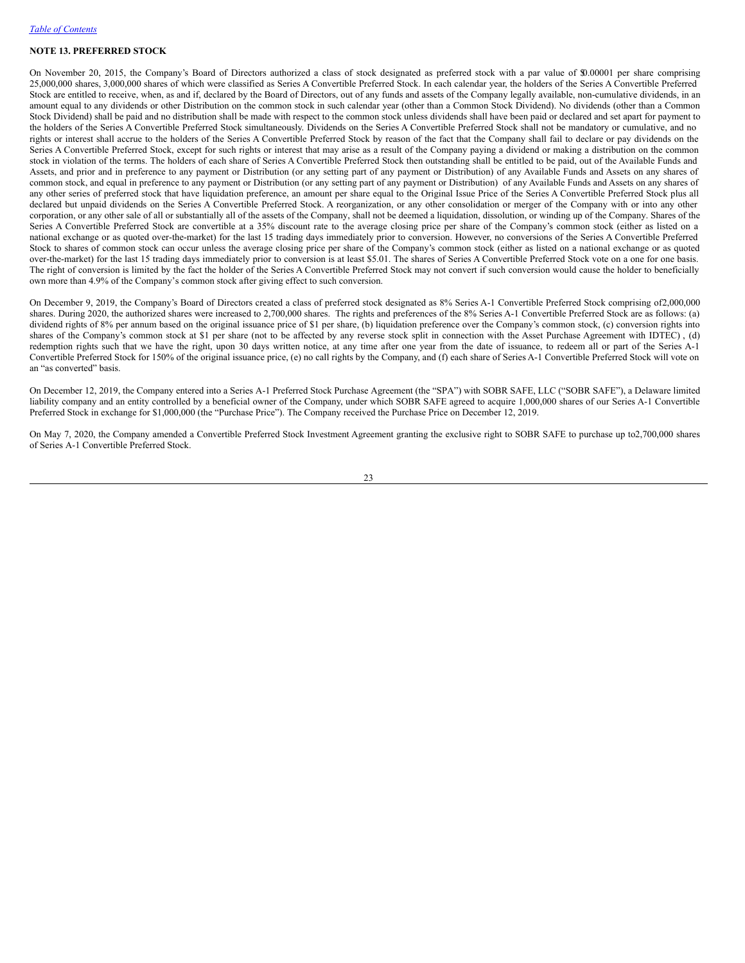### **NOTE 13. PREFERRED STOCK**

On November 20, 2015, the Company's Board of Directors authorized a class of stock designated as preferred stock with a par value of \$0.00001 per share comprising 25,000,000 shares, 3,000,000 shares of which were classified as Series A Convertible Preferred Stock. In each calendar year, the holders of the Series A Convertible Preferred Stock are entitled to receive, when, as and if, declared by the Board of Directors, out of any funds and assets of the Company legally available, non-cumulative dividends, in an amount equal to any dividends or other Distribution on the common stock in such calendar year (other than a Common Stock Dividend). No dividends (other than a Common Stock Dividend) shall be paid and no distribution shall be made with respect to the common stock unless dividends shall have been paid or declared and set apart for payment to the holders of the Series A Convertible Preferred Stock simultaneously. Dividends on the Series A Convertible Preferred Stock shall not be mandatory or cumulative, and no rights or interest shall accrue to the holders of the Series A Convertible Preferred Stock by reason of the fact that the Company shall fail to declare or pay dividends on the Series A Convertible Preferred Stock, except for such rights or interest that may arise as a result of the Company paying a dividend or making a distribution on the common stock in violation of the terms. The holders of each share of Series A Convertible Preferred Stock then outstanding shall be entitled to be paid, out of the Available Funds and Assets, and prior and in preference to any payment or Distribution (or any setting part of any payment or Distribution) of any Available Funds and Assets on any shares of common stock, and equal in preference to any payment or Distribution (or any setting part of any payment or Distribution) of any Available Funds and Assets on any shares of any other series of preferred stock that have liquidation preference, an amount per share equal to the Original Issue Price of the Series A Convertible Preferred Stock plus all declared but unpaid dividends on the Series A Convertible Preferred Stock. A reorganization, or any other consolidation or merger of the Company with or into any other corporation, or any other sale of all or substantially all of the assets of the Company, shall not be deemed a liquidation, dissolution, or winding up of the Company. Shares of the Series A Convertible Preferred Stock are convertible at a 35% discount rate to the average closing price per share of the Company's common stock (either as listed on a national exchange or as quoted over-the-market) for the last 15 trading days immediately prior to conversion. However, no conversions of the Series A Convertible Preferred Stock to shares of common stock can occur unless the average closing price per share of the Company's common stock (either as listed on a national exchange or as quoted over-the-market) for the last 15 trading days immediately prior to conversion is at least \$5.01. The shares of Series A Convertible Preferred Stock vote on a one for one basis. The right of conversion is limited by the fact the holder of the Series A Convertible Preferred Stock may not convert if such conversion would cause the holder to beneficially own more than 4.9% of the Company's common stock after giving effect to such conversion.

On December 9, 2019, the Company's Board of Directors created a class of preferred stock designated as 8% Series A-1 Convertible Preferred Stock comprising of2,000,000 shares. During 2020, the authorized shares were increased to 2,700,000 shares. The rights and preferences of the 8% Series A-1 Convertible Preferred Stock are as follows: (a) dividend rights of 8% per annum based on the original issuance price of \$1 per share, (b) liquidation preference over the Company's common stock, (c) conversion rights into shares of the Company's common stock at \$1 per share (not to be affected by any reverse stock split in connection with the Asset Purchase Agreement with IDTEC) , (d) redemption rights such that we have the right, upon 30 days written notice, at any time after one year from the date of issuance, to redeem all or part of the Series A-1 Convertible Preferred Stock for 150% of the original issuance price, (e) no call rights by the Company, and (f) each share of Series A-1 Convertible Preferred Stock will vote on an "as converted" basis.

On December 12, 2019, the Company entered into a Series A-1 Preferred Stock Purchase Agreement (the "SPA") with SOBR SAFE, LLC ("SOBR SAFE"), a Delaware limited liability company and an entity controlled by a beneficial owner of the Company, under which SOBR SAFE agreed to acquire 1,000,000 shares of our Series A-1 Convertible Preferred Stock in exchange for \$1,000,000 (the "Purchase Price"). The Company received the Purchase Price on December 12, 2019.

On May 7, 2020, the Company amended a Convertible Preferred Stock Investment Agreement granting the exclusive right to SOBR SAFE to purchase up to2,700,000 shares of Series A-1 Convertible Preferred Stock.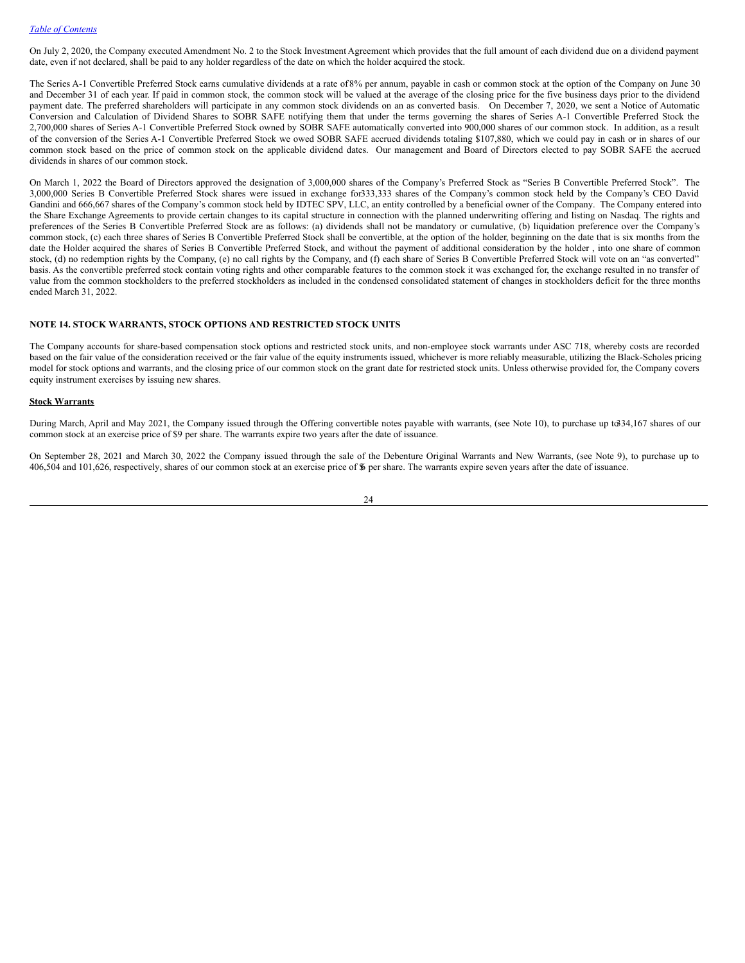On July 2, 2020, the Company executed Amendment No. 2 to the Stock Investment Agreement which provides that the full amount of each dividend due on a dividend payment date, even if not declared, shall be paid to any holder regardless of the date on which the holder acquired the stock.

The Series A-1 Convertible Preferred Stock earns cumulative dividends at a rate of8% per annum, payable in cash or common stock at the option of the Company on June 30 and December 31 of each year. If paid in common stock, the common stock will be valued at the average of the closing price for the five business days prior to the dividend payment date. The preferred shareholders will participate in any common stock dividends on an as converted basis. On December 7, 2020, we sent a Notice of Automatic Conversion and Calculation of Dividend Shares to SOBR SAFE notifying them that under the terms governing the shares of Series A-1 Convertible Preferred Stock the 2,700,000 shares of Series A-1 Convertible Preferred Stock owned by SOBR SAFE automatically converted into 900,000 shares of our common stock. In addition, as a result of the conversion of the Series A-1 Convertible Preferred Stock we owed SOBR SAFE accrued dividends totaling \$107,880, which we could pay in cash or in shares of our common stock based on the price of common stock on the applicable dividend dates. Our management and Board of Directors elected to pay SOBR SAFE the accrued dividends in shares of our common stock.

On March 1, 2022 the Board of Directors approved the designation of 3,000,000 shares of the Company's Preferred Stock as "Series B Convertible Preferred Stock". The 3,000,000 Series B Convertible Preferred Stock shares were issued in exchange for333,333 shares of the Company's common stock held by the Company's CEO David Gandini and 666,667 shares of the Company's common stock held by IDTEC SPV, LLC, an entity controlled by a beneficial owner of the Company. The Company entered into the Share Exchange Agreements to provide certain changes to its capital structure in connection with the planned underwriting offering and listing on Nasdaq. The rights and preferences of the Series B Convertible Preferred Stock are as follows: (a) dividends shall not be mandatory or cumulative, (b) liquidation preference over the Company's common stock, (c) each three shares of Series B Convertible Preferred Stock shall be convertible, at the option of the holder, beginning on the date that is six months from the date the Holder acquired the shares of Series B Convertible Preferred Stock, and without the payment of additional consideration by the holder , into one share of common stock, (d) no redemption rights by the Company, (e) no call rights by the Company, and (f) each share of Series B Convertible Preferred Stock will vote on an "as converted" basis. As the convertible preferred stock contain voting rights and other comparable features to the common stock it was exchanged for, the exchange resulted in no transfer of value from the common stockholders to the preferred stockholders as included in the condensed consolidated statement of changes in stockholders deficit for the three months ended March 31, 2022.

### **NOTE 14. STOCK WARRANTS, STOCK OPTIONS AND RESTRICTED STOCK UNITS**

The Company accounts for share-based compensation stock options and restricted stock units, and non-employee stock warrants under ASC 718, whereby costs are recorded based on the fair value of the consideration received or the fair value of the equity instruments issued, whichever is more reliably measurable, utilizing the Black-Scholes pricing model for stock options and warrants, and the closing price of our common stock on the grant date for restricted stock units. Unless otherwise provided for, the Company covers equity instrument exercises by issuing new shares.

# **Stock Warrants**

During March, April and May 2021, the Company issued through the Offering convertible notes payable with warrants, (see Note 10), to purchase up to 34,167 shares of our common stock at an exercise price of \$9 per share. The warrants expire two years after the date of issuance.

On September 28, 2021 and March 30, 2022 the Company issued through the sale of the Debenture Original Warrants and New Warrants, (see Note 9), to purchase up to 406,504 and 101,626, respectively, shares of our common stock at an exercise price of \$ per share. The warrants expire seven years after the date of issuance.

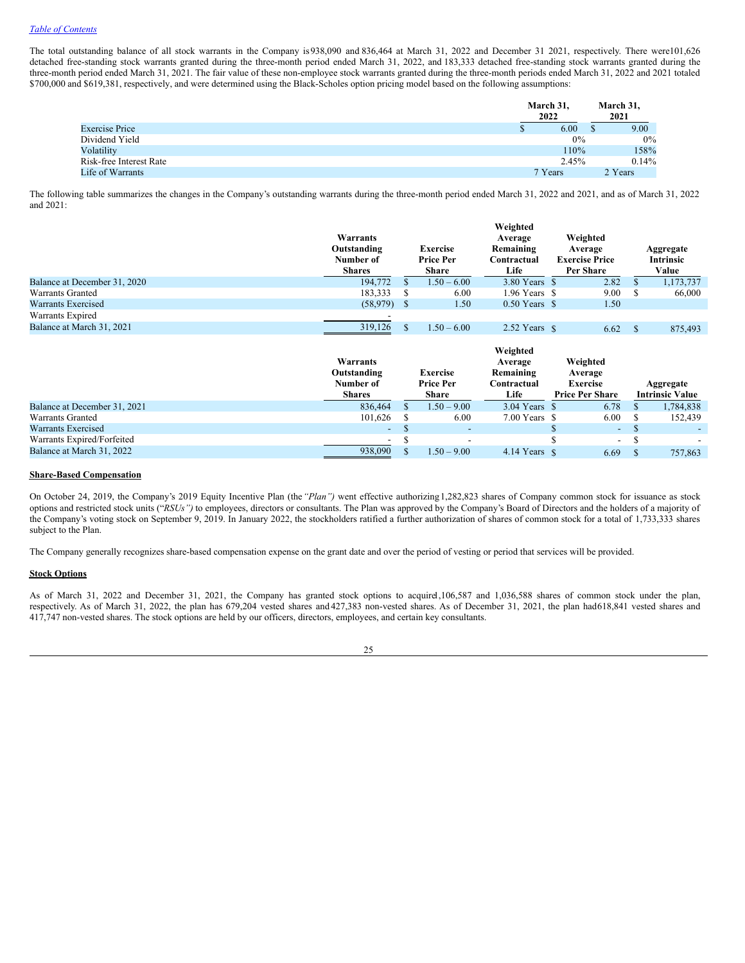The total outstanding balance of all stock warrants in the Company is938,090 and 836,464 at March 31, 2022 and December 31 2021, respectively. There were101,626 detached free-standing stock warrants granted during the three-month period ended March 31, 2022, and 183,333 detached free-standing stock warrants granted during the three-month period ended March 31, 2021. The fair value of these non-employee stock warrants granted during the three-month periods ended March 31, 2022 and 2021 totaled \$700,000 and \$619,381, respectively, and were determined using the Black-Scholes option pricing model based on the following assumptions:

|                         | March 31,<br>2022 | March 31,<br>2021 |
|-------------------------|-------------------|-------------------|
| <b>Exercise Price</b>   | 6.00              | 9.00              |
| Dividend Yield          | 0%                | $0\%$             |
| Volatility              | 110%              | 158%              |
| Risk-free Interest Rate | 2.45%             | 0.14%             |
| Life of Warrants        | 7 Years           | 2 Years           |

The following table summarizes the changes in the Company's outstanding warrants during the three-month period ended March 31, 2022 and 2021, and as of March 31, 2022 and  $2021$ 

|                              | Warrants                                  |    |                                              | Weighted<br>Average              | Weighted                                      |                                        |
|------------------------------|-------------------------------------------|----|----------------------------------------------|----------------------------------|-----------------------------------------------|----------------------------------------|
|                              | Outstanding<br>Number of<br><b>Shares</b> |    | <b>Exercise</b><br><b>Price Per</b><br>Share | Remaining<br>Contractual<br>Life | Average<br><b>Exercise Price</b><br>Per Share | Aggregate<br><b>Intrinsic</b><br>Value |
| Balance at December 31, 2020 | 194,772                                   |    | $1.50 - 6.00$                                | 3.80 Years \$                    | 2.82                                          | 1,173,737                              |
| Warrants Granted             | 183,333                                   | -S | 6.00                                         | 1.96 Years \$                    | 9.00                                          | 66,000                                 |
| <b>Warrants Exercised</b>    | $(58,979)$ \$                             |    | 1.50                                         | $0.50$ Years $\$\$               | 1.50                                          |                                        |
| Warrants Expired             |                                           |    |                                              |                                  |                                               |                                        |
| Balance at March 31, 2021    | 319,126                                   | -S | $1.50 - 6.00$                                | $2.52$ Years $\hat{\ }$          | 6.62                                          | 875,493                                |
|                              |                                           |    |                                              | Weighted                         |                                               |                                        |

|                              | Warrants<br>Outstanding<br>Number of<br><b>Shares</b> | <b>Exercise</b><br><b>Price Per</b><br><b>Share</b> | Average<br>Remaining<br>Contractual<br>Life | Weighted<br>Average<br><b>Exercise</b><br><b>Price Per Share</b> | Aggregate<br><b>Intrinsic Value</b> |
|------------------------------|-------------------------------------------------------|-----------------------------------------------------|---------------------------------------------|------------------------------------------------------------------|-------------------------------------|
| Balance at December 31, 2021 | 836,464                                               | $1.50 - 9.00$                                       | 3.04 Years                                  | 6.78                                                             | 1,784,838                           |
| <b>Warrants Granted</b>      | 101.626                                               | 6.00                                                | 7.00 Years \$                               | 6.00                                                             | 152.439                             |
| <b>Warrants Exercised</b>    | - 1                                                   |                                                     |                                             | $\sim$                                                           |                                     |
| Warrants Expired/Forfeited   |                                                       |                                                     |                                             | $\sim$                                                           |                                     |
| Balance at March 31, 2022    | 938,090                                               | $1.50 - 9.00$                                       | 4.14 Years $\frac{1}{2}$                    | 6.69                                                             | 757,863                             |

### **Share-Based Compensation**

On October 24, 2019, the Company's 2019 Equity Incentive Plan (the*"Plan")* went effective authorizing1,282,823 shares of Company common stock for issuance as stock options and restricted stock units ("*RSUs")* to employees, directors or consultants. The Plan was approved by the Company's Board of Directors and the holders of a majority of the Company's voting stock on September 9, 2019. In January 2022, the stockholders ratified a further authorization of shares of common stock for a total of 1,733,333 shares subject to the Plan.

The Company generally recognizes share-based compensation expense on the grant date and over the period of vesting or period that services will be provided.

### **Stock Options**

As of March 31, 2022 and December 31, 2021, the Company has granted stock options to acquire1,106,587 and 1,036,588 shares of common stock under the plan, respectively. As of March 31, 2022, the plan has 679,204 vested shares and 427,383 non-vested shares. As of December 31, 2021, the plan had618,841 vested shares and 417,747 non-vested shares. The stock options are held by our officers, directors, employees, and certain key consultants.

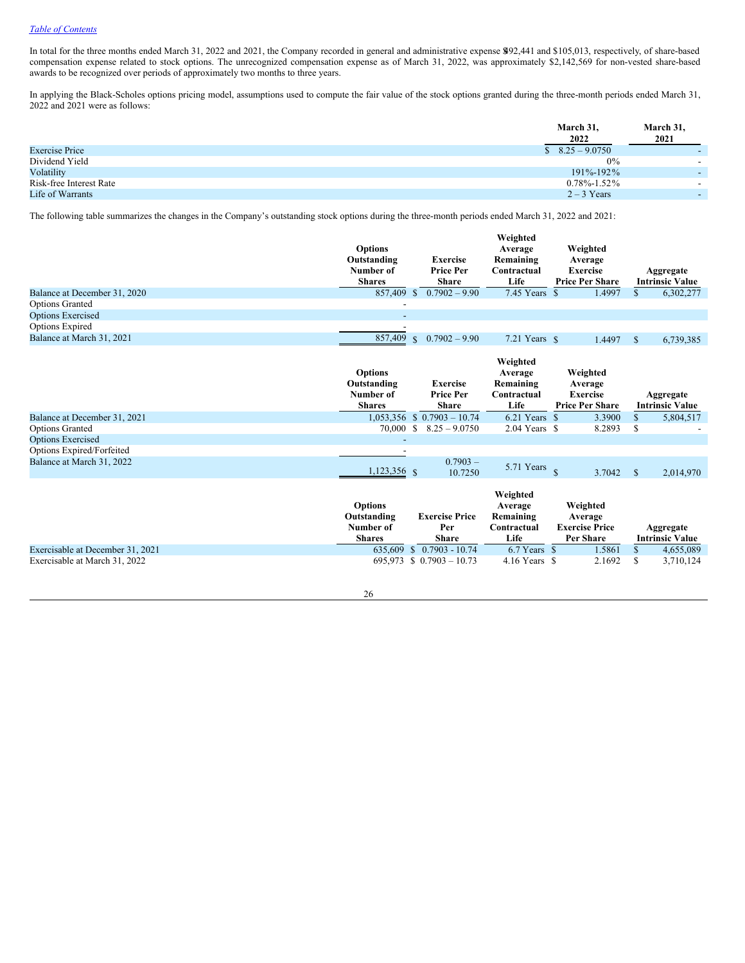In total for the three months ended March 31, 2022 and 2021, the Company recorded in general and administrative expense \$492,441 and \$105,013, respectively, of share-based compensation expense related to stock options. The unrecognized compensation expense as of March 31, 2022, was approximately \$2,142,569 for non-vested share-based awards to be recognized over periods of approximately two months to three years.

In applying the Black-Scholes options pricing model, assumptions used to compute the fair value of the stock options granted during the three-month periods ended March 31, 2022 and 2021 were as follows:

|                         | March 31,<br>2022 | March 31,<br>2021        |
|-------------------------|-------------------|--------------------------|
| <b>Exercise Price</b>   | $8.25 - 9.0750$   | $\overline{\phantom{0}}$ |
| Dividend Yield          | $0\%$             | $\overline{\phantom{0}}$ |
| Volatility              | 191%-192%         |                          |
| Risk-free Interest Rate | $0.78\% - 1.52\%$ | $\overline{\phantom{a}}$ |
| Life of Warrants        | $2 - 3$ Years     | $\overline{\phantom{0}}$ |

The following table summarizes the changes in the Company's outstanding stock options during the three-month periods ended March 31, 2022 and 2021:

|                                  |                                                             |               |                                                     | Weighted                                                |                    |                                                                  |               |                                     |
|----------------------------------|-------------------------------------------------------------|---------------|-----------------------------------------------------|---------------------------------------------------------|--------------------|------------------------------------------------------------------|---------------|-------------------------------------|
|                                  | <b>Options</b>                                              |               |                                                     | Average                                                 |                    | Weighted                                                         |               |                                     |
|                                  | Outstanding                                                 |               | <b>Exercise</b>                                     | Remaining                                               |                    | Average                                                          |               |                                     |
|                                  | Number of                                                   |               | <b>Price Per</b>                                    | Contractual                                             |                    | <b>Exercise</b>                                                  |               | Aggregate                           |
|                                  | <b>Shares</b>                                               |               | <b>Share</b>                                        | Life                                                    |                    | <b>Price Per Share</b>                                           |               | <b>Intrinsic Value</b>              |
| Balance at December 31, 2020     | 857,409                                                     | -S            | $0.7902 - 9.90$                                     | 7.45 Years                                              | <sup>\$</sup>      | 1.4997                                                           | $\mathbb{S}$  | 6,302,277                           |
| Options Granted                  |                                                             |               |                                                     |                                                         |                    |                                                                  |               |                                     |
| <b>Options Exercised</b>         |                                                             |               |                                                     |                                                         |                    |                                                                  |               |                                     |
| Options Expired                  |                                                             |               |                                                     |                                                         |                    |                                                                  |               |                                     |
| Balance at March 31, 2021        | 857,409                                                     | $\mathcal{S}$ | $0.7902 - 9.90$                                     | 7.21 Years \$                                           |                    | 1.4497                                                           | <sup>\$</sup> | 6,739,385                           |
|                                  | <b>Options</b><br>Outstanding<br>Number of<br><b>Shares</b> |               | <b>Exercise</b><br><b>Price Per</b><br><b>Share</b> | Weighted<br>Average<br>Remaining<br>Contractual<br>Life |                    | Weighted<br>Average<br><b>Exercise</b><br><b>Price Per Share</b> |               | Aggregate<br><b>Intrinsic Value</b> |
| Balance at December 31, 2021     |                                                             |               | $1,053,356$ \$ $0.7903 - 10.74$                     | 6.21 Years                                              | <sup>S</sup>       | 3.3900                                                           | \$            | 5,804,517                           |
| <b>Options Granted</b>           | 70,000                                                      | -S            | $8.25 - 9.0750$                                     | 2.04 Years \$                                           |                    | 8.2893                                                           | \$            |                                     |
| <b>Options Exercised</b>         |                                                             |               |                                                     |                                                         |                    |                                                                  |               |                                     |
| Options Expired/Forfeited        |                                                             |               |                                                     |                                                         |                    |                                                                  |               |                                     |
| Balance at March 31, 2022        | $1,123,356$ \$                                              |               | $0.7903 -$<br>10.7250                               | 5.71 Years                                              | $\mathbf{\hat{S}}$ | 3.7042                                                           | <sup>S</sup>  | 2,014,970                           |
|                                  | <b>Options</b><br>Outstanding<br>Number of<br><b>Shares</b> |               | <b>Exercise Price</b><br>Per<br><b>Share</b>        | Weighted<br>Average<br>Remaining<br>Contractual<br>Life |                    | Weighted<br>Average<br><b>Exercise Price</b><br>Per Share        |               | Aggregate<br><b>Intrinsic Value</b> |
| Exercisable at December 31, 2021 |                                                             |               | 635,609 \$ 0.7903 - 10.74                           | 6.7 Years \$                                            |                    | 1.5861                                                           | $\mathbb{S}$  | 4,655,089                           |
| Exercisable at March 31, 2022    |                                                             |               | $695,973$ \$ $0.7903 - 10.73$                       | $4.16$ Years $\%$                                       |                    | 2.1692                                                           | S.            | 3,710,124                           |
|                                  | 26                                                          |               |                                                     |                                                         |                    |                                                                  |               |                                     |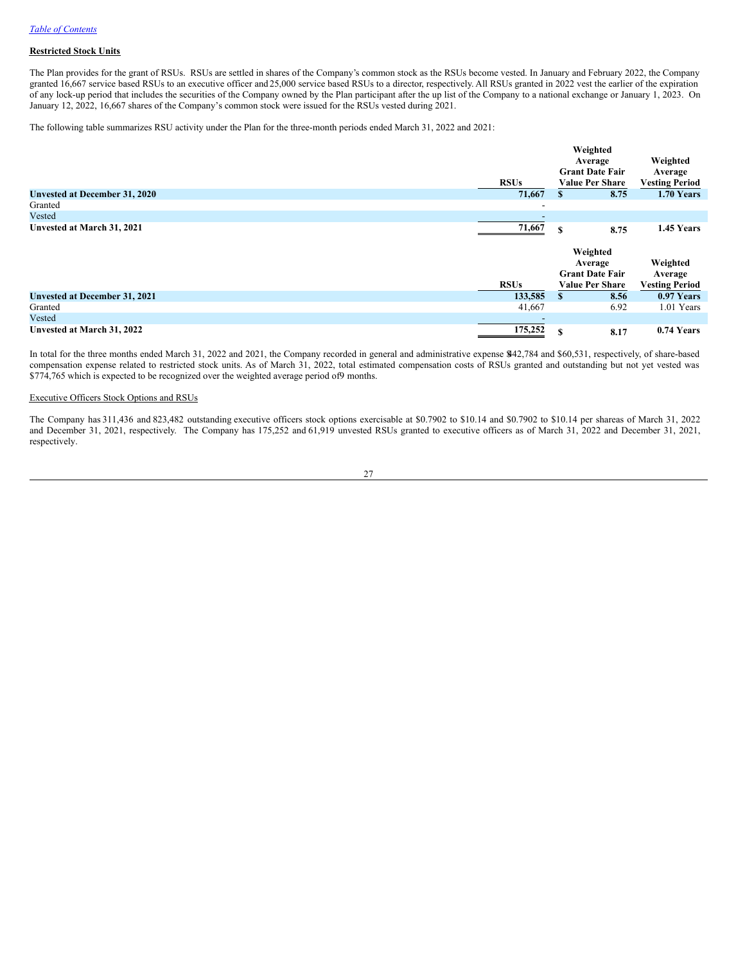### **Restricted Stock Units**

The Plan provides for the grant of RSUs. RSUs are settled in shares of the Company's common stock as the RSUs become vested. In January and February 2022, the Company granted 16,667 service based RSUs to an executive officer and 25,000 service based RSUs to a director, respectively. All RSUs granted in 2022 vest the earlier of the expiration of any lock-up period that includes the securities of the Company owned by the Plan participant after the up list of the Company to a national exchange or January 1, 2023. On January 12, 2022, 16,667 shares of the Company's common stock were issued for the RSUs vested during 2021.

The following table summarizes RSU activity under the Plan for the three-month periods ended March 31, 2022 and 2021:

|                               |             | Weighted               |      |                       |
|-------------------------------|-------------|------------------------|------|-----------------------|
|                               |             | Average                |      | Weighted              |
|                               |             | <b>Grant Date Fair</b> |      | Average               |
|                               | <b>RSUs</b> | <b>Value Per Share</b> |      | <b>Vesting Period</b> |
| Unvested at December 31, 2020 | 71,667      |                        | 8.75 | 1.70 Years            |
| Granted                       |             |                        |      |                       |
| Vested                        |             |                        |      |                       |
| Unvested at March 31, 2021    | 71,667      | S                      | 8.75 | 1.45 Years            |
|                               |             | Weighted               |      |                       |
|                               |             |                        |      |                       |
|                               |             | Average                |      | Weighted              |
|                               |             | <b>Grant Date Fair</b> |      | Average               |
|                               | <b>RSUs</b> | <b>Value Per Share</b> |      | <b>Vesting Period</b> |
| Unvested at December 31, 2021 | 133,585     | <sup>\$</sup>          | 8.56 | 0.97 Years            |
| Granted                       | 41,667      |                        | 6.92 | 1.01 Years            |
| Vested                        |             |                        |      |                       |

In total for the three months ended March 31, 2022 and 2021, the Company recorded in general and administrative expense \$442,784 and \$60,531, respectively, of share-based compensation expense related to restricted stock units. As of March 31, 2022, total estimated compensation costs of RSUs granted and outstanding but not yet vested was \$774,765 which is expected to be recognized over the weighted average period of9 months.

### Executive Officers Stock Options and RSUs

The Company has 311,436 and 823,482 outstanding executive officers stock options exercisable at \$0.7902 to \$10.14 and \$0.7902 to \$10.14 per shareas of March 31, 2022 and December 31, 2021, respectively. The Company has 175,252 and 61,919 unvested RSUs granted to executive officers as of March 31, 2022 and December 31, 2021, respectively.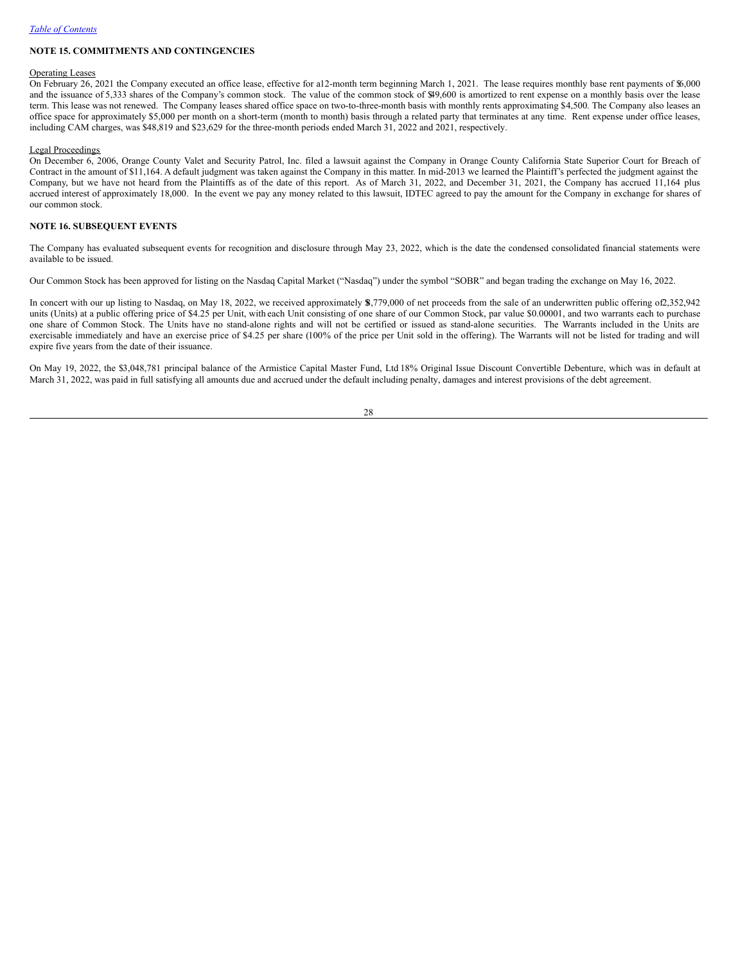### **NOTE 15. COMMITMENTS AND CONTINGENCIES**

### Operating Leases

On February 26, 2021 the Company executed an office lease, effective for a12-month term beginning March 1, 2021. The lease requires monthly base rent payments of \$6,000 and the issuance of 5,333 shares of the Company's common stock. The value of the common stock of \$49,600 is amortized to rent expense on a monthly basis over the lease term. This lease was not renewed. The Company leases shared office space on two-to-three-month basis with monthly rents approximating \$4,500. The Company also leases an office space for approximately \$5,000 per month on a short-term (month to month) basis through a related party that terminates at any time. Rent expense under office leases, including CAM charges, was \$48,819 and \$23,629 for the three-month periods ended March 31, 2022 and 2021, respectively.

#### Legal Proceedings

On December 6, 2006, Orange County Valet and Security Patrol, Inc. filed a lawsuit against the Company in Orange County California State Superior Court for Breach of Contract in the amount of \$11,164. A default judgment was taken against the Company in this matter. In mid-2013 we learned the Plaintiff's perfected the judgment against the Company, but we have not heard from the Plaintiffs as of the date of this report. As of March 31, 2022, and December 31, 2021, the Company has accrued 11,164 plus accrued interest of approximately 18,000. In the event we pay any money related to this lawsuit, IDTEC agreed to pay the amount for the Company in exchange for shares of our common stock.

# **NOTE 16. SUBSEQUENT EVENTS**

The Company has evaluated subsequent events for recognition and disclosure through May 23, 2022, which is the date the condensed consolidated financial statements were available to be issued.

Our Common Stock has been approved for listing on the Nasdaq Capital Market ("Nasdaq") under the symbol "SOBR" and began trading the exchange on May 16, 2022.

In concert with our up listing to Nasdaq, on May 18, 2022, we received approximately \$8,779,000 of net proceeds from the sale of an underwritten public offering of2,352,942 units (Units) at a public offering price of \$4.25 per Unit, with each Unit consisting of one share of our Common Stock, par value \$0.00001, and two warrants each to purchase one share of Common Stock. The Units have no stand-alone rights and will not be certified or issued as stand-alone securities. The Warrants included in the Units are exercisable immediately and have an exercise price of \$4.25 per share (100% of the price per Unit sold in the offering). The Warrants will not be listed for trading and will expire five years from the date of their issuance.

On May 19, 2022, the \$3,048,781 principal balance of the Armistice Capital Master Fund, Ltd 18% Original Issue Discount Convertible Debenture, which was in default at March 31, 2022, was paid in full satisfying all amounts due and accrued under the default including penalty, damages and interest provisions of the debt agreement.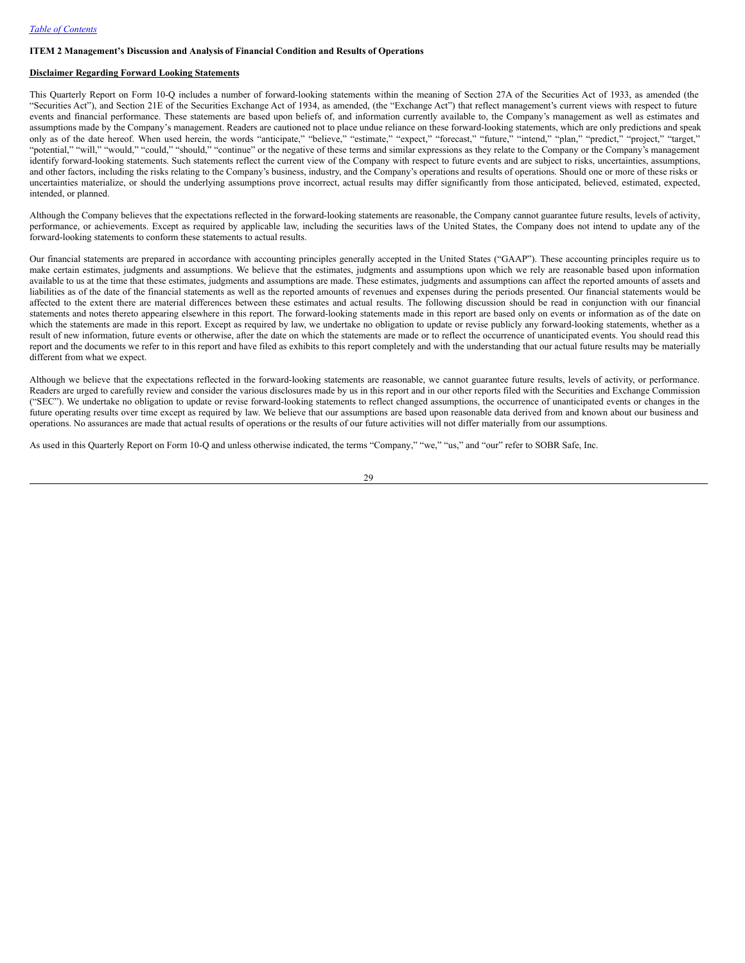### <span id="page-28-0"></span>**ITEM 2 Management's Discussion and Analysis of Financial Condition and Results of Operations**

# **Disclaimer Regarding Forward Looking Statements**

This Quarterly Report on Form 10-Q includes a number of forward-looking statements within the meaning of Section 27A of the Securities Act of 1933, as amended (the "Securities Act"), and Section 21E of the Securities Exchange Act of 1934, as amended, (the "Exchange Act") that reflect management's current views with respect to future events and financial performance. These statements are based upon beliefs of, and information currently available to, the Company's management as well as estimates and assumptions made by the Company's management. Readers are cautioned not to place undue reliance on these forward-looking statements, which are only predictions and speak only as of the date hereof. When used herein, the words "anticipate," "believe," "estimate," "expect," "forecast," "future," "intend," "plan," "predict," "project," "target," "potential," "will," "would," "could," "should," "continue" or the negative of these terms and similar expressions as they relate to the Company or the Company's management identify forward-looking statements. Such statements reflect the current view of the Company with respect to future events and are subject to risks, uncertainties, assumptions, and other factors, including the risks relating to the Company's business, industry, and the Company's operations and results of operations. Should one or more of these risks or uncertainties materialize, or should the underlying assumptions prove incorrect, actual results may differ significantly from those anticipated, believed, estimated, expected, intended, or planned.

Although the Company believes that the expectations reflected in the forward-looking statements are reasonable, the Company cannot guarantee future results, levels of activity, performance, or achievements. Except as required by applicable law, including the securities laws of the United States, the Company does not intend to update any of the forward-looking statements to conform these statements to actual results.

Our financial statements are prepared in accordance with accounting principles generally accepted in the United States ("GAAP"). These accounting principles require us to make certain estimates, judgments and assumptions. We believe that the estimates, judgments and assumptions upon which we rely are reasonable based upon information available to us at the time that these estimates, judgments and assumptions are made. These estimates, judgments and assumptions can affect the reported amounts of assets and liabilities as of the date of the financial statements as well as the reported amounts of revenues and expenses during the periods presented. Our financial statements would be affected to the extent there are material differences between these estimates and actual results. The following discussion should be read in conjunction with our financial statements and notes thereto appearing elsewhere in this report. The forward-looking statements made in this report are based only on events or information as of the date on which the statements are made in this report. Except as required by law, we undertake no obligation to update or revise publicly any forward-looking statements, whether as a result of new information, future events or otherwise, after the date on which the statements are made or to reflect the occurrence of unanticipated events. You should read this report and the documents we refer to in this report and have filed as exhibits to this report completely and with the understanding that our actual future results may be materially different from what we expect.

Although we believe that the expectations reflected in the forward-looking statements are reasonable, we cannot guarantee future results, levels of activity, or performance. Readers are urged to carefully review and consider the various disclosures made by us in this report and in our other reports filed with the Securities and Exchange Commission ("SEC"). We undertake no obligation to update or revise forward-looking statements to reflect changed assumptions, the occurrence of unanticipated events or changes in the future operating results over time except as required by law. We believe that our assumptions are based upon reasonable data derived from and known about our business and operations. No assurances are made that actual results of operations or the results of our future activities will not differ materially from our assumptions.

As used in this Quarterly Report on Form 10-Q and unless otherwise indicated, the terms "Company," "we," "us," and "our" refer to SOBR Safe, Inc.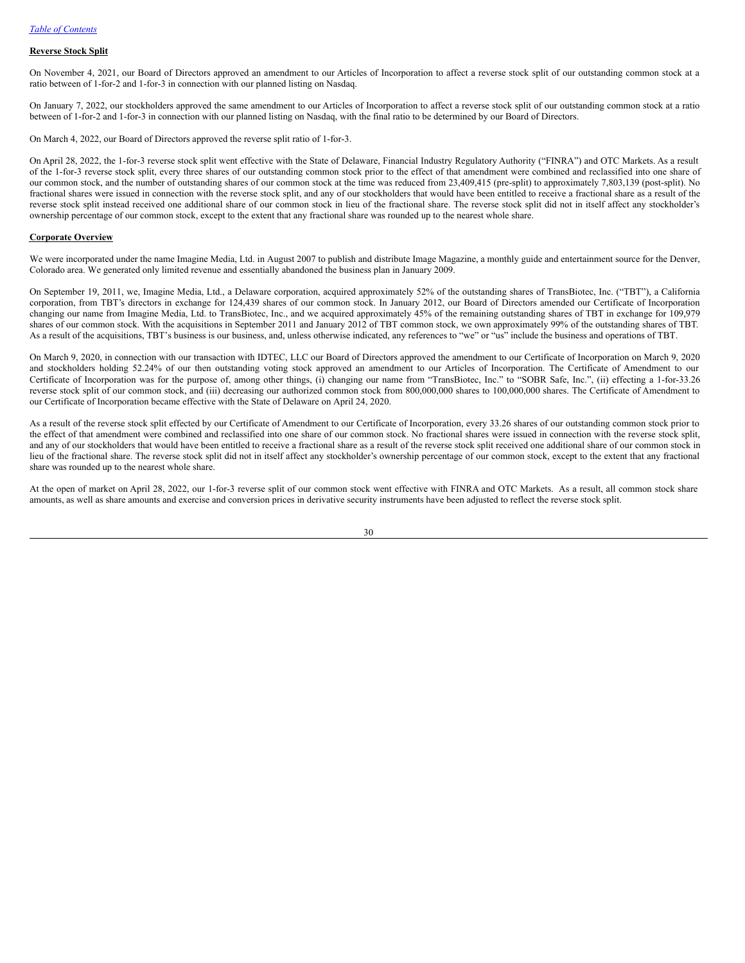### **Reverse Stock Split**

On November 4, 2021, our Board of Directors approved an amendment to our Articles of Incorporation to affect a reverse stock split of our outstanding common stock at a ratio between of 1-for-2 and 1-for-3 in connection with our planned listing on Nasdaq.

On January 7, 2022, our stockholders approved the same amendment to our Articles of Incorporation to affect a reverse stock split of our outstanding common stock at a ratio between of 1-for-2 and 1-for-3 in connection with our planned listing on Nasdaq, with the final ratio to be determined by our Board of Directors.

On March 4, 2022, our Board of Directors approved the reverse split ratio of 1-for-3.

On April 28, 2022, the 1-for-3 reverse stock split went effective with the State of Delaware, Financial Industry Regulatory Authority ("FINRA") and OTC Markets. As a result of the 1-for-3 reverse stock split, every three shares of our outstanding common stock prior to the effect of that amendment were combined and reclassified into one share of our common stock, and the number of outstanding shares of our common stock at the time was reduced from 23,409,415 (pre-split) to approximately 7,803,139 (post-split). No fractional shares were issued in connection with the reverse stock split, and any of our stockholders that would have been entitled to receive a fractional share as a result of the reverse stock split instead received one additional share of our common stock in lieu of the fractional share. The reverse stock split did not in itself affect any stockholder's ownership percentage of our common stock, except to the extent that any fractional share was rounded up to the nearest whole share.

#### **Corporate Overview**

We were incorporated under the name Imagine Media, Ltd. in August 2007 to publish and distribute Image Magazine, a monthly guide and entertainment source for the Denver, Colorado area. We generated only limited revenue and essentially abandoned the business plan in January 2009.

On September 19, 2011, we, Imagine Media, Ltd., a Delaware corporation, acquired approximately 52% of the outstanding shares of TransBiotec, Inc. ("TBT"), a California corporation, from TBT's directors in exchange for 124,439 shares of our common stock. In January 2012, our Board of Directors amended our Certificate of Incorporation changing our name from Imagine Media, Ltd. to TransBiotec, Inc., and we acquired approximately 45% of the remaining outstanding shares of TBT in exchange for 109,979 shares of our common stock. With the acquisitions in September 2011 and January 2012 of TBT common stock, we own approximately 99% of the outstanding shares of TBT. As a result of the acquisitions, TBT's business is our business, and, unless otherwise indicated, any references to "we" or "us" include the business and operations of TBT.

On March 9, 2020, in connection with our transaction with IDTEC, LLC our Board of Directors approved the amendment to our Certificate of Incorporation on March 9, 2020 and stockholders holding 52.24% of our then outstanding voting stock approved an amendment to our Articles of Incorporation. The Certificate of Amendment to our Certificate of Incorporation was for the purpose of, among other things, (i) changing our name from "TransBiotec, Inc." to "SOBR Safe, Inc.", (ii) effecting a 1-for-33.26 reverse stock split of our common stock, and (iii) decreasing our authorized common stock from 800,000,000 shares to 100,000,000 shares. The Certificate of Amendment to our Certificate of Incorporation became effective with the State of Delaware on April 24, 2020.

As a result of the reverse stock split effected by our Certificate of Amendment to our Certificate of Incorporation, every 33.26 shares of our outstanding common stock prior to the effect of that amendment were combined and reclassified into one share of our common stock. No fractional shares were issued in connection with the reverse stock split, and any of our stockholders that would have been entitled to receive a fractional share as a result of the reverse stock split received one additional share of our common stock in lieu of the fractional share. The reverse stock split did not in itself affect any stockholder's ownership percentage of our common stock, except to the extent that any fractional share was rounded up to the nearest whole share.

At the open of market on April 28, 2022, our 1-for-3 reverse split of our common stock went effective with FINRA and OTC Markets. As a result, all common stock share amounts, as well as share amounts and exercise and conversion prices in derivative security instruments have been adjusted to reflect the reverse stock split.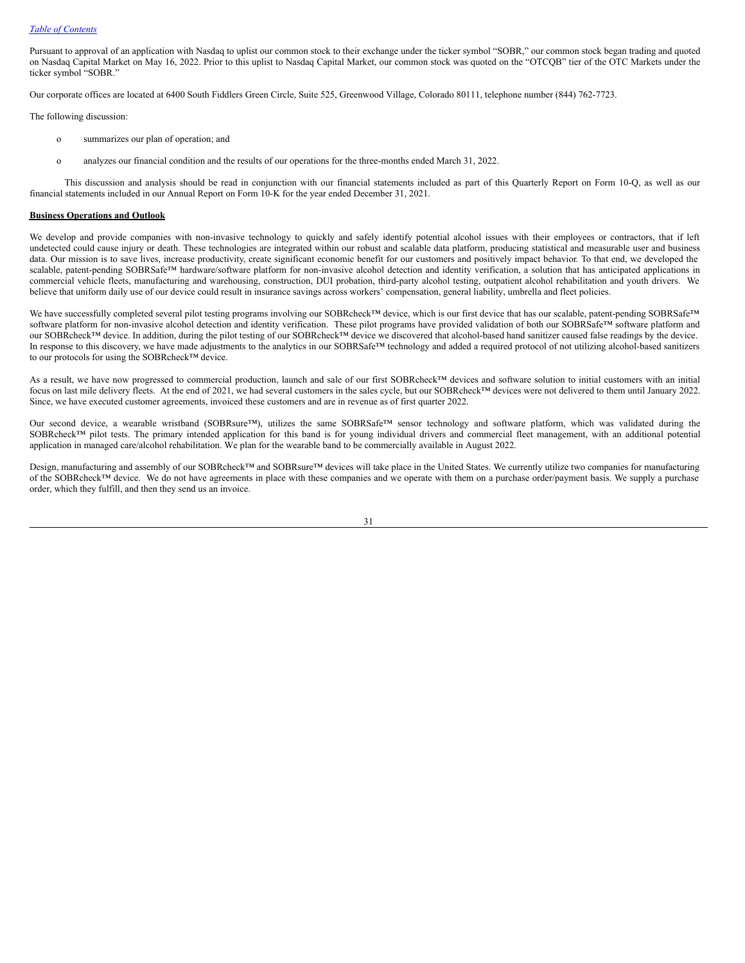Pursuant to approval of an application with Nasdaq to uplist our common stock to their exchange under the ticker symbol "SOBR," our common stock began trading and quoted on Nasdaq Capital Market on May 16, 2022. Prior to this uplist to Nasdaq Capital Market, our common stock was quoted on the "OTCQB" tier of the OTC Markets under the ticker symbol "SOBR."

Our corporate offices are located at 6400 South Fiddlers Green Circle, Suite 525, Greenwood Village, Colorado 80111, telephone number (844) 762-7723.

The following discussion:

- o summarizes our plan of operation; and
- o analyzes our financial condition and the results of our operations for the three-months ended March 31, 2022.

This discussion and analysis should be read in conjunction with our financial statements included as part of this Quarterly Report on Form 10-Q, as well as our financial statements included in our Annual Report on Form 10-K for the year ended December 31, 2021.

#### **Business Operations and Outlook**

We develop and provide companies with non-invasive technology to quickly and safely identify potential alcohol issues with their employees or contractors, that if left undetected could cause injury or death. These technologies are integrated within our robust and scalable data platform, producing statistical and measurable user and business data. Our mission is to save lives, increase productivity, create significant economic benefit for our customers and positively impact behavior. To that end, we developed the scalable, patent-pending SOBRSafe™ hardware/software platform for non-invasive alcohol detection and identity verification, a solution that has anticipated applications in commercial vehicle fleets, manufacturing and warehousing, construction, DUI probation, third-party alcohol testing, outpatient alcohol rehabilitation and youth drivers. We believe that uniform daily use of our device could result in insurance savings across workers' compensation, general liability, umbrella and fleet policies.

We have successfully completed several pilot testing programs involving our SOBRcheck™ device, which is our first device that has our scalable, patent-pending SOBRSafe™ software platform for non-invasive alcohol detection and identity verification. These pilot programs have provided validation of both our SOBRSafe™ software platform and our SOBRcheck™ device. In addition, during the pilot testing of our SOBRcheck™ device we discovered that alcohol-based hand sanitizer caused false readings by the device. In response to this discovery, we have made adjustments to the analytics in our SOBRSafe™ technology and added a required protocol of not utilizing alcohol-based sanitizers to our protocols for using the SOBRcheck™ device.

As a result, we have now progressed to commercial production, launch and sale of our first SOBRcheck™ devices and software solution to initial customers with an initial focus on last mile delivery fleets. At the end of 2021, we had several customers in the sales cycle, but our SOBRcheck™ devices were not delivered to them until January 2022. Since, we have executed customer agreements, invoiced these customers and are in revenue as of first quarter 2022.

Our second device, a wearable wristband (SOBRsure™), utilizes the same SOBRSafe™ sensor technology and software platform, which was validated during the SOBRcheck™ pilot tests. The primary intended application for this band is for young individual drivers and commercial fleet management, with an additional potential application in managed care/alcohol rehabilitation. We plan for the wearable band to be commercially available in August 2022.

Design, manufacturing and assembly of our SOBRcheck™ and SOBRsure™ devices will take place in the United States. We currently utilize two companies for manufacturing of the SOBRcheck™ device. We do not have agreements in place with these companies and we operate with them on a purchase order/payment basis. We supply a purchase order, which they fulfill, and then they send us an invoice.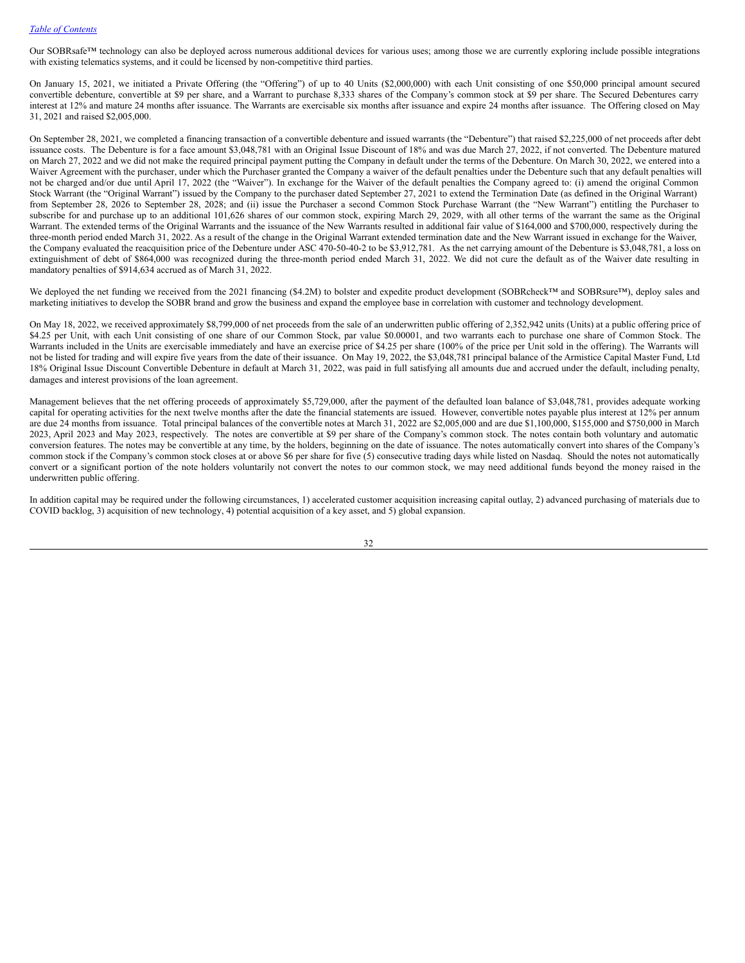Our SOBRsafe™ technology can also be deployed across numerous additional devices for various uses; among those we are currently exploring include possible integrations with existing telematics systems, and it could be licensed by non-competitive third parties.

On January 15, 2021, we initiated a Private Offering (the "Offering") of up to 40 Units (\$2,000,000) with each Unit consisting of one \$50,000 principal amount secured convertible debenture, convertible at \$9 per share, and a Warrant to purchase 8,333 shares of the Company's common stock at \$9 per share. The Secured Debentures carry interest at 12% and mature 24 months after issuance. The Warrants are exercisable six months after issuance and expire 24 months after issuance. The Offering closed on May 31, 2021 and raised \$2,005,000.

On September 28, 2021, we completed a financing transaction of a convertible debenture and issued warrants (the "Debenture") that raised \$2,225,000 of net proceeds after debt issuance costs. The Debenture is for a face amount \$3,048,781 with an Original Issue Discount of 18% and was due March 27, 2022, if not converted. The Debenture matured on March 27, 2022 and we did not make the required principal payment putting the Company in default under the terms of the Debenture. On March 30, 2022, we entered into a Waiver Agreement with the purchaser, under which the Purchaser granted the Company a waiver of the default penalties under the Debenture such that any default penalties will not be charged and/or due until April 17, 2022 (the "Waiver"). In exchange for the Waiver of the default penalties the Company agreed to: (i) amend the original Common Stock Warrant (the "Original Warrant") issued by the Company to the purchaser dated September 27, 2021 to extend the Termination Date (as defined in the Original Warrant) from September 28, 2026 to September 28, 2028; and (ii) issue the Purchaser a second Common Stock Purchase Warrant (the "New Warrant") entitling the Purchaser to subscribe for and purchase up to an additional 101,626 shares of our common stock, expiring March 29, 2029, with all other terms of the warrant the same as the Original Warrant. The extended terms of the Original Warrants and the issuance of the New Warrants resulted in additional fair value of \$164,000 and \$700,000, respectively during the three-month period ended March 31, 2022. As a result of the change in the Original Warrant extended termination date and the New Warrant issued in exchange for the Waiver, the Company evaluated the reacquisition price of the Debenture under ASC 470-50-40-2 to be \$3,912,781. As the net carrying amount of the Debenture is \$3,048,781, a loss on extinguishment of debt of \$864,000 was recognized during the three-month period ended March 31, 2022. We did not cure the default as of the Waiver date resulting in mandatory penalties of \$914,634 accrued as of March 31, 2022.

We deployed the net funding we received from the 2021 financing (\$4.2M) to bolster and expedite product development (SOBRcheck™ and SOBRsure™), deploy sales and marketing initiatives to develop the SOBR brand and grow the business and expand the employee base in correlation with customer and technology development.

On May 18, 2022, we received approximately \$8,799,000 of net proceeds from the sale of an underwritten public offering of 2,352,942 units (Units) at a public offering price of \$4.25 per Unit, with each Unit consisting of one share of our Common Stock, par value \$0.00001, and two warrants each to purchase one share of Common Stock. The Warrants included in the Units are exercisable immediately and have an exercise price of \$4.25 per share (100% of the price per Unit sold in the offering). The Warrants will not be listed for trading and will expire five years from the date of their issuance. On May 19, 2022, the \$3,048,781 principal balance of the Armistice Capital Master Fund, Ltd 18% Original Issue Discount Convertible Debenture in default at March 31, 2022, was paid in full satisfying all amounts due and accrued under the default, including penalty, damages and interest provisions of the loan agreement.

Management believes that the net offering proceeds of approximately \$5,729,000, after the payment of the defaulted loan balance of \$3,048,781, provides adequate working capital for operating activities for the next twelve months after the date the financial statements are issued. However, convertible notes payable plus interest at 12% per annum are due 24 months from issuance. Total principal balances of the convertible notes at March 31, 2022 are \$2,005,000 and are due \$1,100,000, \$155,000 and \$750,000 in March 2023, April 2023 and May 2023, respectively. The notes are convertible at \$9 per share of the Company's common stock. The notes contain both voluntary and automatic conversion features. The notes may be convertible at any time, by the holders, beginning on the date of issuance. The notes automatically convert into shares of the Company's common stock if the Company's common stock closes at or above \$6 per share for five (5) consecutive trading days while listed on Nasdaq. Should the notes not automatically convert or a significant portion of the note holders voluntarily not convert the notes to our common stock, we may need additional funds beyond the money raised in the underwritten public offering.

In addition capital may be required under the following circumstances, 1) accelerated customer acquisition increasing capital outlay, 2) advanced purchasing of materials due to COVID backlog, 3) acquisition of new technology, 4) potential acquisition of a key asset, and 5) global expansion.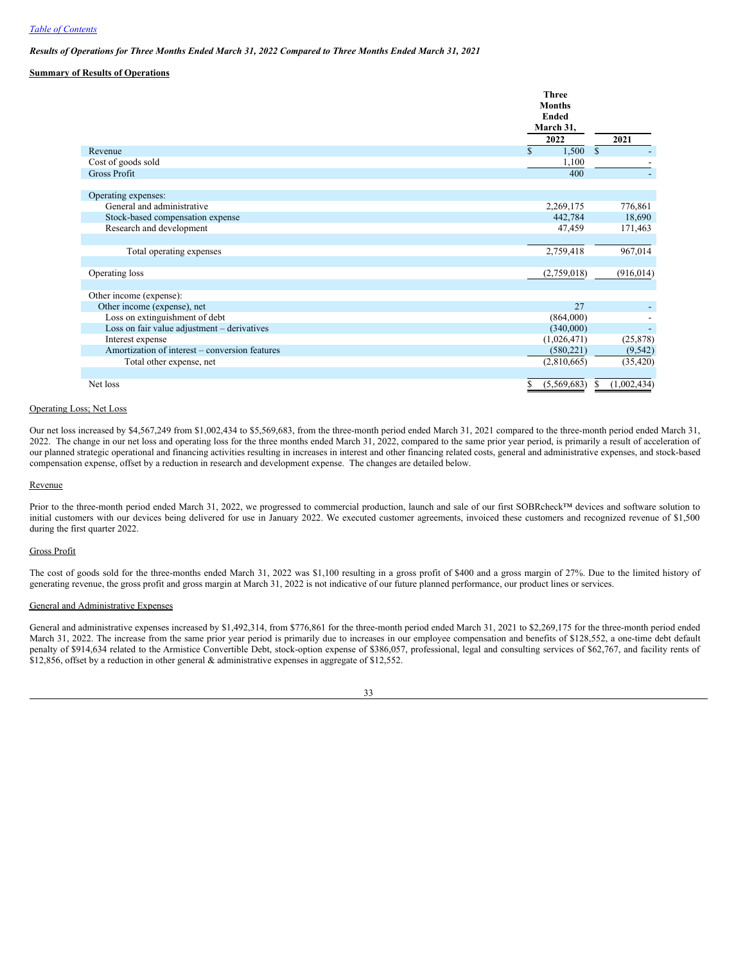### Results of Operations for Three Months Ended March 31, 2022 Compared to Three Months Ended March 31, 2021

# **Summary of Results of Operations**

|                                                | <b>Three</b><br><b>Months</b><br><b>Ended</b><br>March 31,<br>2022 | 2021             |
|------------------------------------------------|--------------------------------------------------------------------|------------------|
| Revenue                                        | $\mathbf S$<br>1,500                                               | $\mathbf S$      |
| Cost of goods sold                             | 1,100                                                              |                  |
| <b>Gross Profit</b>                            | 400                                                                |                  |
|                                                |                                                                    |                  |
| Operating expenses:                            |                                                                    |                  |
| General and administrative                     | 2,269,175                                                          | 776,861          |
| Stock-based compensation expense               | 442,784                                                            | 18,690           |
| Research and development                       | 47,459                                                             | 171,463          |
|                                                |                                                                    |                  |
| Total operating expenses                       | 2,759,418                                                          | 967,014          |
|                                                |                                                                    |                  |
| Operating loss                                 | (2,759,018)                                                        | (916, 014)       |
|                                                |                                                                    |                  |
| Other income (expense):                        |                                                                    |                  |
| Other income (expense), net                    | 27                                                                 |                  |
| Loss on extinguishment of debt                 | (864,000)                                                          |                  |
| Loss on fair value adjustment - derivatives    | (340,000)                                                          |                  |
| Interest expense                               | (1,026,471)                                                        | (25, 878)        |
| Amortization of interest – conversion features | (580, 221)                                                         | (9, 542)         |
| Total other expense, net                       | (2,810,665)                                                        | (35, 420)        |
|                                                |                                                                    |                  |
| Net loss                                       | (5,569,683)<br>\$                                                  | (1,002,434)<br>S |

# Operating Loss; Net Loss

Our net loss increased by \$4,567,249 from \$1,002,434 to \$5,569,683, from the three-month period ended March 31, 2021 compared to the three-month period ended March 31, 2022. The change in our net loss and operating loss for the three months ended March 31, 2022, compared to the same prior year period, is primarily a result of acceleration of our planned strategic operational and financing activities resulting in increases in interest and other financing related costs, general and administrative expenses, and stock-based compensation expense, offset by a reduction in research and development expense. The changes are detailed below.

#### Revenue

Prior to the three-month period ended March 31, 2022, we progressed to commercial production, launch and sale of our first SOBRcheck™ devices and software solution to initial customers with our devices being delivered for use in January 2022. We executed customer agreements, invoiced these customers and recognized revenue of \$1,500 during the first quarter 2022.

#### Gross Profit

The cost of goods sold for the three-months ended March 31, 2022 was \$1,100 resulting in a gross profit of \$400 and a gross margin of 27%. Due to the limited history of generating revenue, the gross profit and gross margin at March 31, 2022 is not indicative of our future planned performance, our product lines or services.

#### General and Administrative Expenses

General and administrative expenses increased by \$1,492,314, from \$776,861 for the three-month period ended March 31, 2021 to \$2,269,175 for the three-month period ended March 31, 2022. The increase from the same prior year period is primarily due to increases in our employee compensation and benefits of \$128,552, a one-time debt default penalty of \$914,634 related to the Armistice Convertible Debt, stock-option expense of \$386,057, professional, legal and consulting services of \$62,767, and facility rents of \$12,856, offset by a reduction in other general & administrative expenses in aggregate of \$12,552.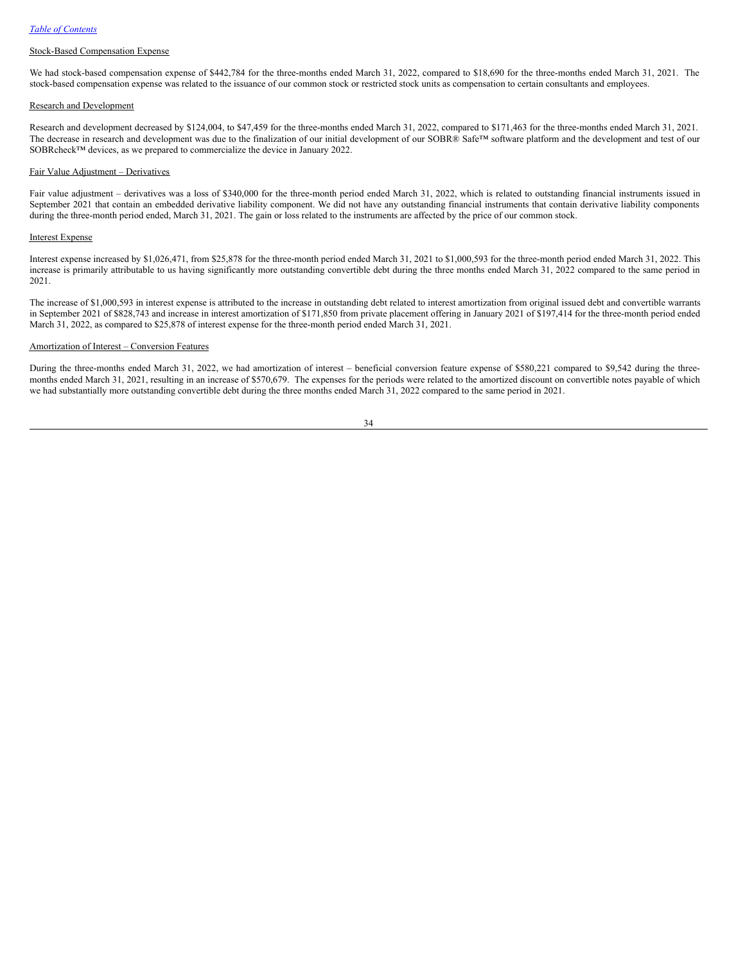### Stock-Based Compensation Expense

We had stock-based compensation expense of \$442,784 for the three-months ended March 31, 2022, compared to \$18,690 for the three-months ended March 31, 2021. The stock-based compensation expense was related to the issuance of our common stock or restricted stock units as compensation to certain consultants and employees.

### Research and Development

Research and development decreased by \$124,004, to \$47,459 for the three-months ended March 31, 2022, compared to \$171,463 for the three-months ended March 31, 2021. The decrease in research and development was due to the finalization of our initial development of our SOBR® Safe™ software platform and the development and test of our SOBRcheck<sup>™</sup> devices, as we prepared to commercialize the device in January 2022.

#### Fair Value Adjustment – Derivatives

Fair value adjustment - derivatives was a loss of \$340,000 for the three-month period ended March 31, 2022, which is related to outstanding financial instruments issued in September 2021 that contain an embedded derivative liability component. We did not have any outstanding financial instruments that contain derivative liability components during the three-month period ended, March 31, 2021. The gain or loss related to the instruments are affected by the price of our common stock.

#### Interest Expense

Interest expense increased by \$1,026,471, from \$25,878 for the three-month period ended March 31, 2021 to \$1,000,593 for the three-month period ended March 31, 2022. This increase is primarily attributable to us having significantly more outstanding convertible debt during the three months ended March 31, 2022 compared to the same period in 2021.

The increase of \$1,000,593 in interest expense is attributed to the increase in outstanding debt related to interest amortization from original issued debt and convertible warrants in September 2021 of \$828,743 and increase in interest amortization of \$171,850 from private placement offering in January 2021 of \$197,414 for the three-month period ended March 31, 2022, as compared to \$25,878 of interest expense for the three-month period ended March 31, 2021.

#### Amortization of Interest – Conversion Features

During the three-months ended March 31, 2022, we had amortization of interest – beneficial conversion feature expense of \$580,221 compared to \$9,542 during the threemonths ended March 31, 2021, resulting in an increase of \$570,679. The expenses for the periods were related to the amortized discount on convertible notes payable of which we had substantially more outstanding convertible debt during the three months ended March 31, 2022 compared to the same period in 2021.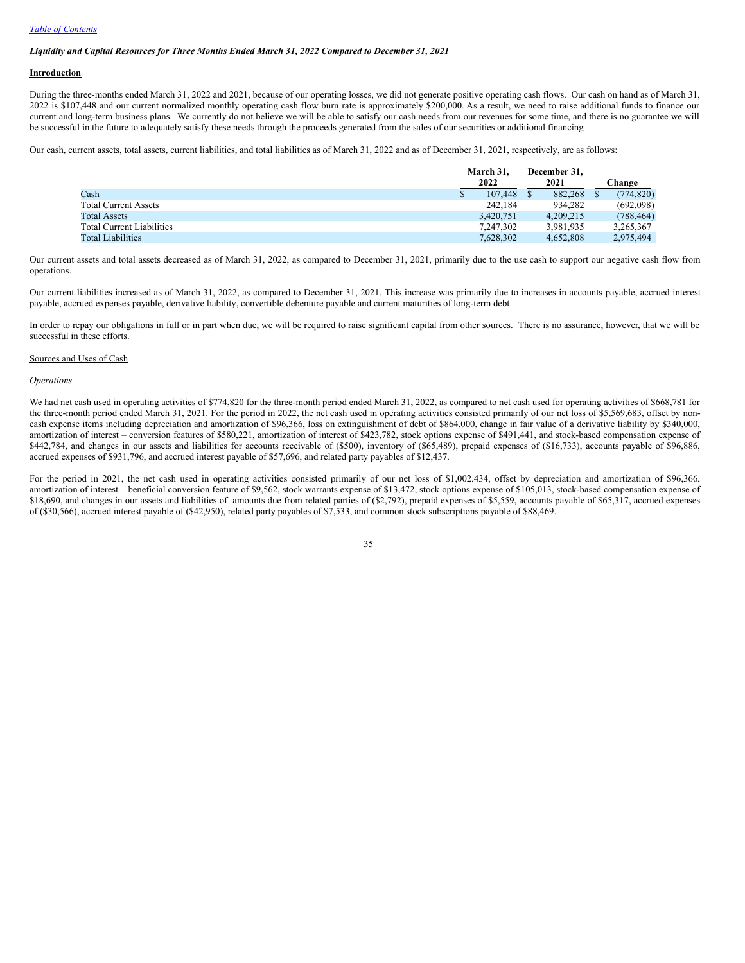### *Liquidity and Capital Resources for Three Months Ended March 31, 2022 Compared to December 31, 2021*

#### **Introduction**

During the three-months ended March 31, 2022 and 2021, because of our operating losses, we did not generate positive operating cash flows. Our cash on hand as of March 31, 2022 is \$107,448 and our current normalized monthly operating cash flow burn rate is approximately \$200,000. As a result, we need to raise additional funds to finance our current and long-term business plans. We currently do not believe we will be able to satisfy our cash needs from our revenues for some time, and there is no guarantee we will be successful in the future to adequately satisfy these needs through the proceeds generated from the sales of our securities or additional financing

Our cash, current assets, total assets, current liabilities, and total liabilities as of March 31, 2022 and as of December 31, 2021, respectively, are as follows:

|                                  | March 31.<br>2022 |           | December 31.<br>2021 |           |        |            |
|----------------------------------|-------------------|-----------|----------------------|-----------|--------|------------|
|                                  |                   |           |                      |           | Change |            |
| Cash                             |                   | 107.448   |                      | 882,268   |        | (774, 820) |
| <b>Total Current Assets</b>      |                   | 242,184   |                      | 934.282   |        | (692,098)  |
| <b>Total Assets</b>              |                   | 3.420.751 |                      | 4,209,215 |        | (788, 464) |
| <b>Total Current Liabilities</b> |                   | 7.247.302 |                      | 3.981.935 |        | 3,265,367  |
| <b>Total Liabilities</b>         |                   | 7.628.302 |                      | 4.652.808 |        | 2.975.494  |

Our current assets and total assets decreased as of March 31, 2022, as compared to December 31, 2021, primarily due to the use cash to support our negative cash flow from operations.

Our current liabilities increased as of March 31, 2022, as compared to December 31, 2021. This increase was primarily due to increases in accounts payable, accrued interest payable, accrued expenses payable, derivative liability, convertible debenture payable and current maturities of long-term debt.

In order to repay our obligations in full or in part when due, we will be required to raise significant capital from other sources. There is no assurance, however, that we will be successful in these efforts.

#### Sources and Uses of Cash

# *Operations*

We had net cash used in operating activities of \$774,820 for the three-month period ended March 31, 2022, as compared to net cash used for operating activities of \$668,781 for the three-month period ended March 31, 2021. For the period in 2022, the net cash used in operating activities consisted primarily of our net loss of \$5,569,683, offset by noncash expense items including depreciation and amortization of \$96,366, loss on extinguishment of debt of \$864,000, change in fair value of a derivative liability by \$340,000, amortization of interest – conversion features of \$580,221, amortization of interest of \$423,782, stock options expense of \$491,441, and stock-based compensation expense of \$442,784, and changes in our assets and liabilities for accounts receivable of (\$500), inventory of (\$65,489), prepaid expenses of (\$16,733), accounts payable of \$96,886, accrued expenses of \$931,796, and accrued interest payable of \$57,696, and related party payables of \$12,437.

For the period in 2021, the net cash used in operating activities consisted primarily of our net loss of \$1,002,434, offset by depreciation and amortization of \$96,366, amortization of interest – beneficial conversion feature of \$9,562, stock warrants expense of \$13,472, stock options expense of \$105,013, stock-based compensation expense of \$18,690, and changes in our assets and liabilities of amounts due from related parties of (\$2,792), prepaid expenses of \$5,559, accounts payable of \$65,317, accrued expenses of (\$30,566), accrued interest payable of (\$42,950), related party payables of \$7,533, and common stock subscriptions payable of \$88,469.

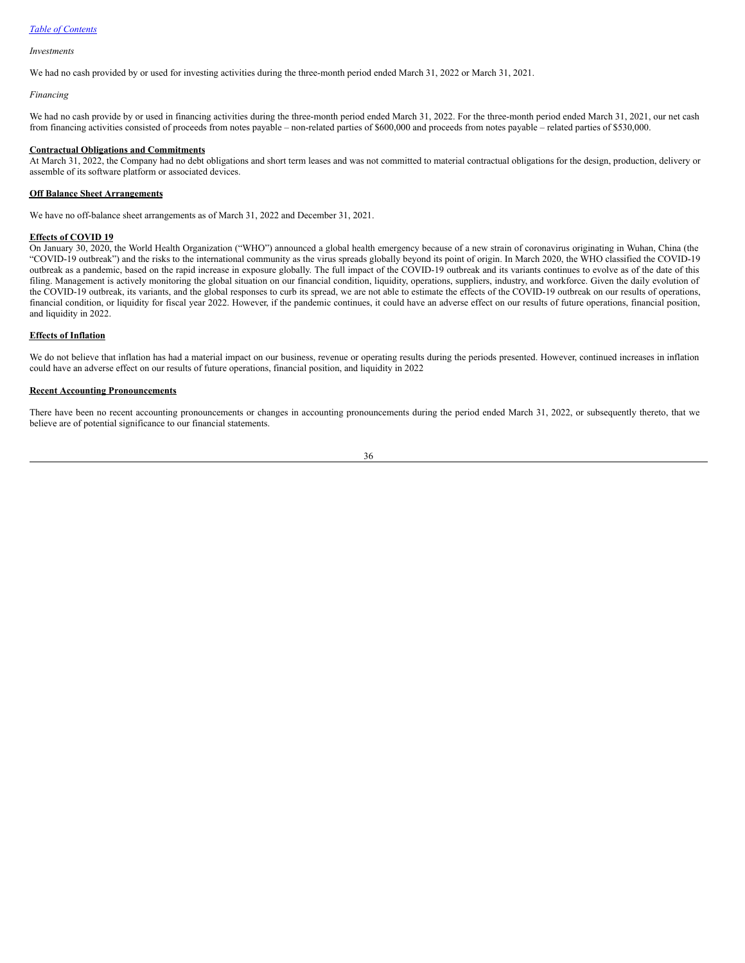### *Investments*

We had no cash provided by or used for investing activities during the three-month period ended March 31, 2022 or March 31, 2021.

#### *Financing*

We had no cash provide by or used in financing activities during the three-month period ended March 31, 2022. For the three-month period ended March 31, 2021, our net cash from financing activities consisted of proceeds from notes payable – non-related parties of \$600,000 and proceeds from notes payable – related parties of \$530,000.

#### **Contractual Obligations and Commitments**

At March 31, 2022, the Company had no debt obligations and short term leases and was not committed to material contractual obligations for the design, production, delivery or assemble of its software platform or associated devices.

#### **Off Balance Sheet Arrangements**

We have no off-balance sheet arrangements as of March 31, 2022 and December 31, 2021.

#### **Effects of COVID 19**

On January 30, 2020, the World Health Organization ("WHO") announced a global health emergency because of a new strain of coronavirus originating in Wuhan, China (the "COVID-19 outbreak") and the risks to the international community as the virus spreads globally beyond its point of origin. In March 2020, the WHO classified the COVID-19 outbreak as a pandemic, based on the rapid increase in exposure globally. The full impact of the COVID-19 outbreak and its variants continues to evolve as of the date of this filing. Management is actively monitoring the global situation on our financial condition, liquidity, operations, suppliers, industry, and workforce. Given the daily evolution of the COVID-19 outbreak, its variants, and the global responses to curb its spread, we are not able to estimate the effects of the COVID-19 outbreak on our results of operations, financial condition, or liquidity for fiscal year 2022. However, if the pandemic continues, it could have an adverse effect on our results of future operations, financial position, and liquidity in 2022.

#### **Effects of Inflation**

We do not believe that inflation has had a material impact on our business, revenue or operating results during the periods presented. However, continued increases in inflation could have an adverse effect on our results of future operations, financial position, and liquidity in 2022

### **Recent Accounting Pronouncements**

There have been no recent accounting pronouncements or changes in accounting pronouncements during the period ended March 31, 2022, or subsequently thereto, that we believe are of potential significance to our financial statements.

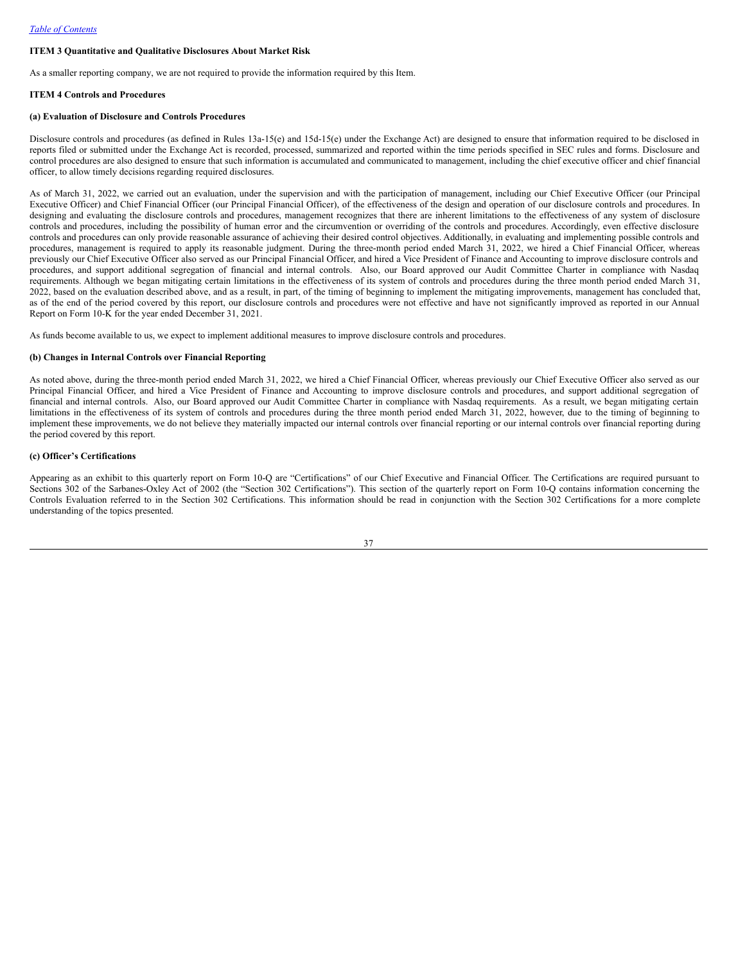### <span id="page-36-0"></span>**ITEM 3 Quantitative and Qualitative Disclosures About Market Risk**

As a smaller reporting company, we are not required to provide the information required by this Item.

### <span id="page-36-1"></span>**ITEM 4 Controls and Procedures**

### **(a) Evaluation of Disclosure and Controls Procedures**

Disclosure controls and procedures (as defined in Rules 13a-15(e) and 15d-15(e) under the Exchange Act) are designed to ensure that information required to be disclosed in reports filed or submitted under the Exchange Act is recorded, processed, summarized and reported within the time periods specified in SEC rules and forms. Disclosure and control procedures are also designed to ensure that such information is accumulated and communicated to management, including the chief executive officer and chief financial officer, to allow timely decisions regarding required disclosures.

As of March 31, 2022, we carried out an evaluation, under the supervision and with the participation of management, including our Chief Executive Officer (our Principal Executive Officer) and Chief Financial Officer (our Principal Financial Officer), of the effectiveness of the design and operation of our disclosure controls and procedures. In designing and evaluating the disclosure controls and procedures, management recognizes that there are inherent limitations to the effectiveness of any system of disclosure controls and procedures, including the possibility of human error and the circumvention or overriding of the controls and procedures. Accordingly, even effective disclosure controls and procedures can only provide reasonable assurance of achieving their desired control objectives. Additionally, in evaluating and implementing possible controls and procedures, management is required to apply its reasonable judgment. During the three-month period ended March 31, 2022, we hired a Chief Financial Officer, whereas previously our Chief Executive Officer also served as our Principal Financial Officer, and hired a Vice President of Finance and Accounting to improve disclosure controls and procedures, and support additional segregation of financial and internal controls. Also, our Board approved our Audit Committee Charter in compliance with Nasdaq requirements. Although we began mitigating certain limitations in the effectiveness of its system of controls and procedures during the three month period ended March 31, 2022, based on the evaluation described above, and as a result, in part, of the timing of beginning to implement the mitigating improvements, management has concluded that, as of the end of the period covered by this report, our disclosure controls and procedures were not effective and have not significantly improved as reported in our Annual Report on Form 10-K for the year ended December 31, 2021.

As funds become available to us, we expect to implement additional measures to improve disclosure controls and procedures.

#### **(b) Changes in Internal Controls over Financial Reporting**

As noted above, during the three-month period ended March 31, 2022, we hired a Chief Financial Officer, whereas previously our Chief Executive Officer also served as our Principal Financial Officer, and hired a Vice President of Finance and Accounting to improve disclosure controls and procedures, and support additional segregation of financial and internal controls. Also, our Board approved our Audit Committee Charter in compliance with Nasdaq requirements. As a result, we began mitigating certain limitations in the effectiveness of its system of controls and procedures during the three month period ended March 31, 2022, however, due to the timing of beginning to implement these improvements, we do not believe they materially impacted our internal controls over financial reporting or our internal controls over financial reporting during the period covered by this report.

### **(c) Officer's Certifications**

Appearing as an exhibit to this quarterly report on Form 10-Q are "Certifications" of our Chief Executive and Financial Officer. The Certifications are required pursuant to Sections 302 of the Sarbanes-Oxley Act of 2002 (the "Section 302 Certifications"). This section of the quarterly report on Form 10-Q contains information concerning the Controls Evaluation referred to in the Section 302 Certifications. This information should be read in conjunction with the Section 302 Certifications for a more complete understanding of the topics presented.

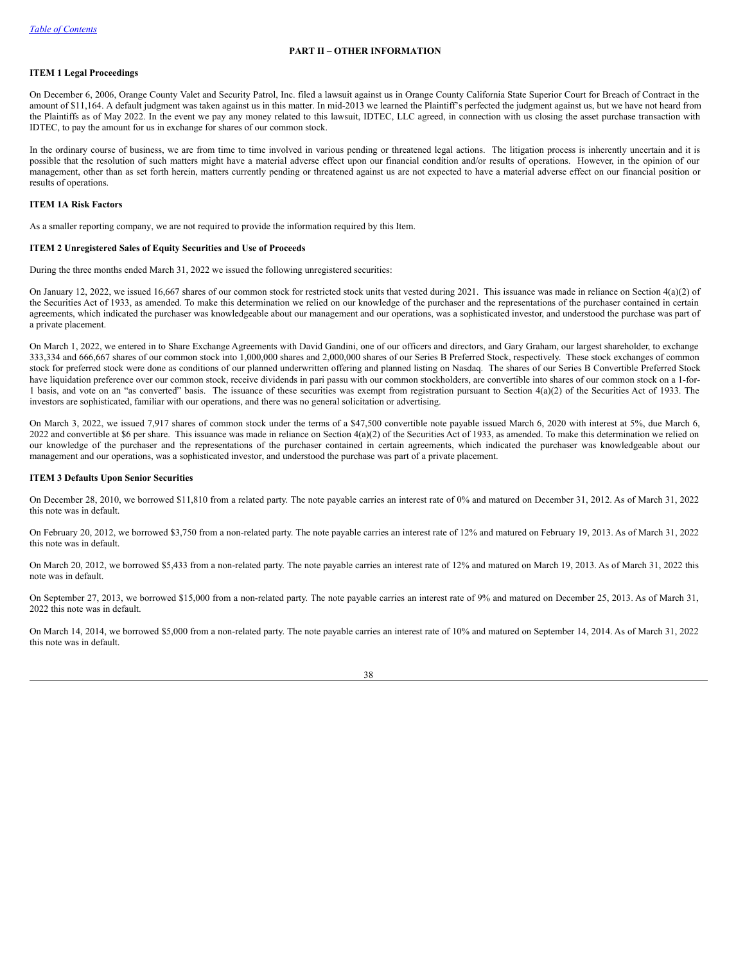### <span id="page-37-0"></span>**PART II – OTHER INFORMATION**

# <span id="page-37-1"></span>**ITEM 1 Legal Proceedings**

On December 6, 2006, Orange County Valet and Security Patrol, Inc. filed a lawsuit against us in Orange County California State Superior Court for Breach of Contract in the amount of \$11,164. A default judgment was taken against us in this matter. In mid-2013 we learned the Plaintiff's perfected the judgment against us, but we have not heard from the Plaintiffs as of May 2022. In the event we pay any money related to this lawsuit, IDTEC, LLC agreed, in connection with us closing the asset purchase transaction with IDTEC, to pay the amount for us in exchange for shares of our common stock.

In the ordinary course of business, we are from time to time involved in various pending or threatened legal actions. The litigation process is inherently uncertain and it is possible that the resolution of such matters might have a material adverse effect upon our financial condition and/or results of operations. However, in the opinion of our management, other than as set forth herein, matters currently pending or threatened against us are not expected to have a material adverse effect on our financial position or results of operations.

#### <span id="page-37-2"></span>**ITEM 1A Risk Factors**

As a smaller reporting company, we are not required to provide the information required by this Item.

#### <span id="page-37-3"></span>**ITEM 2 Unregistered Sales of Equity Securities and Use of Proceeds**

During the three months ended March 31, 2022 we issued the following unregistered securities:

On January 12, 2022, we issued 16,667 shares of our common stock for restricted stock units that vested during 2021. This issuance was made in reliance on Section 4(a)(2) of the Securities Act of 1933, as amended. To make this determination we relied on our knowledge of the purchaser and the representations of the purchaser contained in certain agreements, which indicated the purchaser was knowledgeable about our management and our operations, was a sophisticated investor, and understood the purchase was part of a private placement.

On March 1, 2022, we entered in to Share Exchange Agreements with David Gandini, one of our officers and directors, and Gary Graham, our largest shareholder, to exchange 333,334 and 666,667 shares of our common stock into 1,000,000 shares and 2,000,000 shares of our Series B Preferred Stock, respectively. These stock exchanges of common stock for preferred stock were done as conditions of our planned underwritten offering and planned listing on Nasdaq. The shares of our Series B Convertible Preferred Stock have liquidation preference over our common stock, receive dividends in pari passu with our common stockholders, are convertible into shares of our common stock on a 1-for-1 basis, and vote on an "as converted" basis. The issuance of these securities was exempt from registration pursuant to Section 4(a)(2) of the Securities Act of 1933. The investors are sophisticated, familiar with our operations, and there was no general solicitation or advertising.

On March 3, 2022, we issued 7,917 shares of common stock under the terms of a \$47,500 convertible note payable issued March 6, 2020 with interest at 5%, due March 6, 2022 and convertible at \$6 per share. This issuance was made in reliance on Section  $4(a)(2)$  of the Securities Act of 1933, as amended. To make this determination we relied on our knowledge of the purchaser and the representations of the purchaser contained in certain agreements, which indicated the purchaser was knowledgeable about our management and our operations, was a sophisticated investor, and understood the purchase was part of a private placement.

#### <span id="page-37-4"></span>**ITEM 3 Defaults Upon Senior Securities**

On December 28, 2010, we borrowed \$11,810 from a related party. The note payable carries an interest rate of 0% and matured on December 31, 2012. As of March 31, 2022 this note was in default.

On February 20, 2012, we borrowed \$3,750 from a non-related party. The note payable carries an interest rate of 12% and matured on February 19, 2013. As of March 31, 2022 this note was in default.

On March 20, 2012, we borrowed \$5,433 from a non-related party. The note payable carries an interest rate of 12% and matured on March 19, 2013. As of March 31, 2022 this note was in default.

On September 27, 2013, we borrowed \$15,000 from a non-related party. The note payable carries an interest rate of 9% and matured on December 25, 2013. As of March 31, 2022 this note was in default.

On March 14, 2014, we borrowed \$5,000 from a non-related party. The note payable carries an interest rate of 10% and matured on September 14, 2014. As of March 31, 2022 this note was in default.

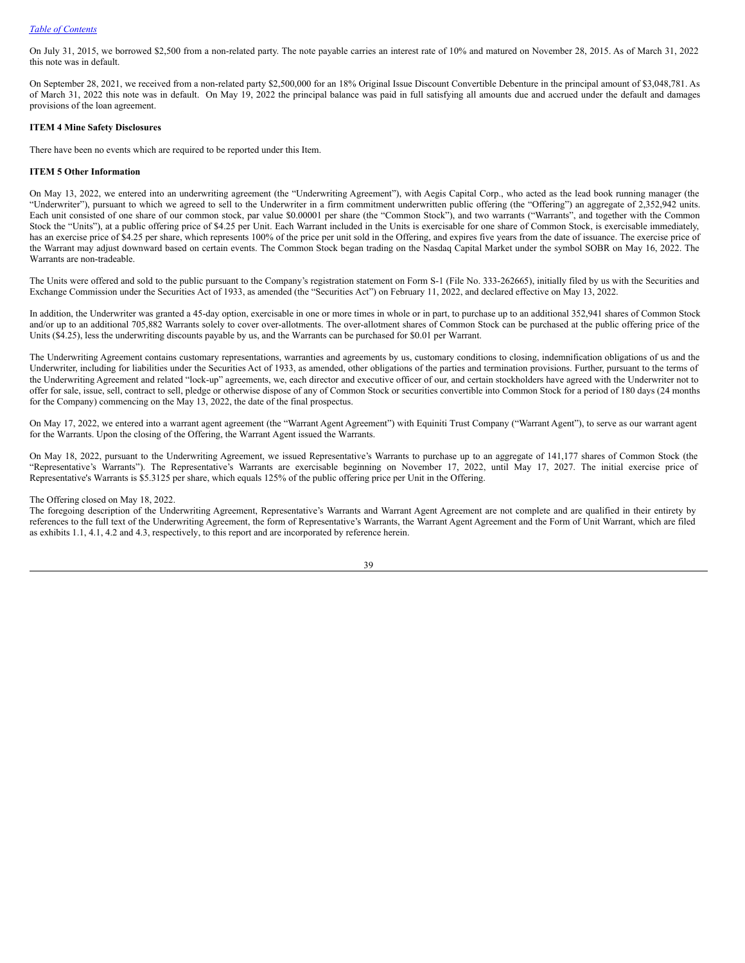On July 31, 2015, we borrowed \$2,500 from a non-related party. The note payable carries an interest rate of 10% and matured on November 28, 2015. As of March 31, 2022 this note was in default.

On September 28, 2021, we received from a non-related party \$2,500,000 for an 18% Original Issue Discount Convertible Debenture in the principal amount of \$3,048,781. As of March 31, 2022 this note was in default. On May 19, 2022 the principal balance was paid in full satisfying all amounts due and accrued under the default and damages provisions of the loan agreement.

### <span id="page-38-0"></span>**ITEM 4 Mine Safety Disclosures**

There have been no events which are required to be reported under this Item.

### <span id="page-38-1"></span>**ITEM 5 Other Information**

On May 13, 2022, we entered into an underwriting agreement (the "Underwriting Agreement"), with Aegis Capital Corp., who acted as the lead book running manager (the "Underwriter"), pursuant to which we agreed to sell to the Underwriter in a firm commitment underwritten public offering (the "Offering") an aggregate of 2,352,942 units. Each unit consisted of one share of our common stock, par value \$0.00001 per share (the "Common Stock"), and two warrants ("Warrants", and together with the Common Stock the "Units"), at a public offering price of \$4.25 per Unit. Each Warrant included in the Units is exercisable for one share of Common Stock, is exercisable immediately, has an exercise price of \$4.25 per share, which represents 100% of the price per unit sold in the Offering, and expires five years from the date of issuance. The exercise price of the Warrant may adjust downward based on certain events. The Common Stock began trading on the Nasdaq Capital Market under the symbol SOBR on May 16, 2022. The Warrants are non-tradeable.

The Units were offered and sold to the public pursuant to the Company's registration statement on Form S-1 (File No. 333-262665), initially filed by us with the Securities and Exchange Commission under the Securities Act of 1933, as amended (the "Securities Act") on February 11, 2022, and declared effective on May 13, 2022.

In addition, the Underwriter was granted a 45-day option, exercisable in one or more times in whole or in part, to purchase up to an additional 352,941 shares of Common Stock and/or up to an additional 705,882 Warrants solely to cover over-allotments. The over-allotment shares of Common Stock can be purchased at the public offering price of the Units (\$4.25), less the underwriting discounts payable by us, and the Warrants can be purchased for \$0.01 per Warrant.

The Underwriting Agreement contains customary representations, warranties and agreements by us, customary conditions to closing, indemnification obligations of us and the Underwriter, including for liabilities under the Securities Act of 1933, as amended, other obligations of the parties and termination provisions. Further, pursuant to the terms of the Underwriting Agreement and related "lock-up" agreements, we, each director and executive officer of our, and certain stockholders have agreed with the Underwriter not to offer for sale, issue, sell, contract to sell, pledge or otherwise dispose of any of Common Stock or securities convertible into Common Stock for a period of 180 days (24 months for the Company) commencing on the May 13, 2022, the date of the final prospectus.

On May 17, 2022, we entered into a warrant agent agreement (the "Warrant Agent Agreement") with Equiniti Trust Company ("Warrant Agent"), to serve as our warrant agent for the Warrants. Upon the closing of the Offering, the Warrant Agent issued the Warrants.

On May 18, 2022, pursuant to the Underwriting Agreement, we issued Representative's Warrants to purchase up to an aggregate of 141,177 shares of Common Stock (the "Representative's Warrants"). The Representative's Warrants are exercisable beginning on November 17, 2022, until May 17, 2027. The initial exercise price of Representative's Warrants is \$5.3125 per share, which equals 125% of the public offering price per Unit in the Offering.

### The Offering closed on May 18, 2022.

The foregoing description of the Underwriting Agreement, Representative's Warrants and Warrant Agent Agreement are not complete and are qualified in their entirety by references to the full text of the Underwriting Agreement, the form of Representative's Warrants, the Warrant Agent Agreement and the Form of Unit Warrant, which are filed as exhibits 1.1, 4.1, 4.2 and 4.3, respectively, to this report and are incorporated by reference herein.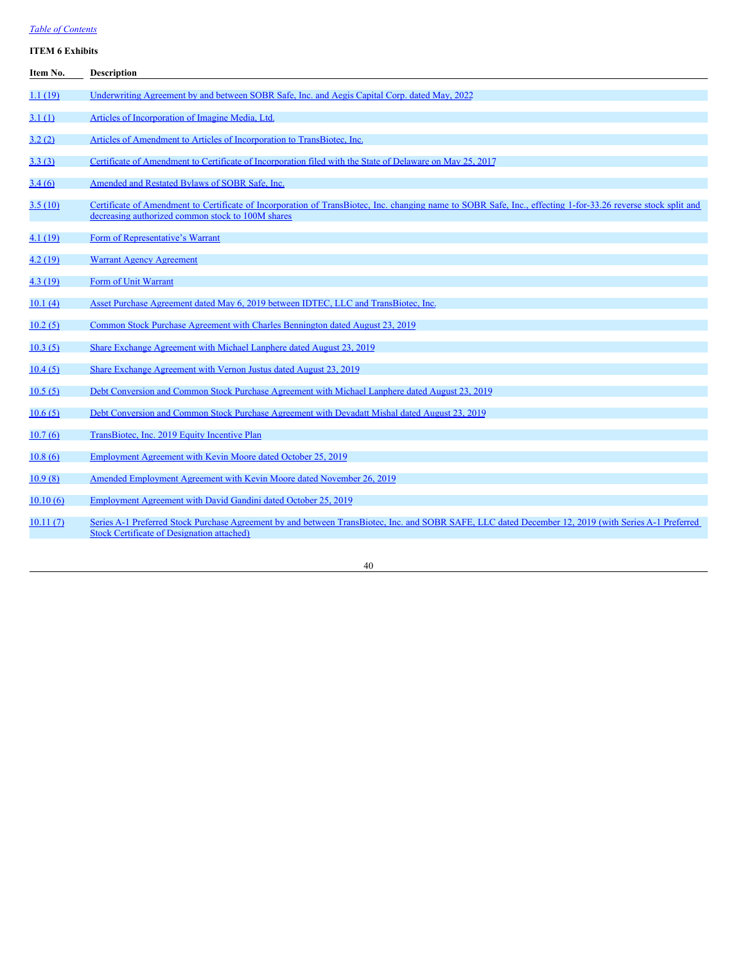<span id="page-39-0"></span>**ITEM 6 Exhibits**

| Item No. | <b>Description</b>                                                                                                                                                                                                 |
|----------|--------------------------------------------------------------------------------------------------------------------------------------------------------------------------------------------------------------------|
| 1.1(19)  | Underwriting Agreement by and between SOBR Safe, Inc. and Aegis Capital Corp. dated May, 2022                                                                                                                      |
| 3.1(1)   | Articles of Incorporation of Imagine Media, Ltd.                                                                                                                                                                   |
| 3.2(2)   | Articles of Amendment to Articles of Incorporation to TransBiotec, Inc.                                                                                                                                            |
| 3.3(3)   | Certificate of Amendment to Certificate of Incorporation filed with the State of Delaware on May 25, 2017                                                                                                          |
| 3.4(6)   | Amended and Restated Bylaws of SOBR Safe, Inc.                                                                                                                                                                     |
| 3.5(10)  | Certificate of Amendment to Certificate of Incorporation of TransBiotec, Inc. changing name to SOBR Safe, Inc., effecting 1-for-33.26 reverse stock split and<br>decreasing authorized common stock to 100M shares |
| 4.1(19)  | Form of Representative's Warrant                                                                                                                                                                                   |
| 4.2(19)  | <b>Warrant Agency Agreement</b>                                                                                                                                                                                    |
| 4.3(19)  | Form of Unit Warrant                                                                                                                                                                                               |
| 10.1(4)  | Asset Purchase Agreement dated May 6, 2019 between IDTEC, LLC and TransBiotec, Inc.                                                                                                                                |
| 10.2(5)  | Common Stock Purchase Agreement with Charles Bennington dated August 23, 2019                                                                                                                                      |
| 10.3(5)  | Share Exchange Agreement with Michael Lanphere dated August 23, 2019                                                                                                                                               |
| 10.4(5)  | Share Exchange Agreement with Vernon Justus dated August 23, 2019                                                                                                                                                  |
| 10.5(5)  | Debt Conversion and Common Stock Purchase Agreement with Michael Lanphere dated August 23, 2019                                                                                                                    |
| 10.6(5)  | Debt Conversion and Common Stock Purchase Agreement with Devadatt Mishal dated August 23, 2019                                                                                                                     |
| 10.7(6)  | TransBiotec, Inc. 2019 Equity Incentive Plan                                                                                                                                                                       |
| 10.8(6)  | Employment Agreement with Kevin Moore dated October 25, 2019                                                                                                                                                       |
| 10.9(8)  | Amended Employment Agreement with Kevin Moore dated November 26, 2019                                                                                                                                              |
| 10.10(6) | Employment Agreement with David Gandini dated October 25, 2019                                                                                                                                                     |
| 10.11(7) | Series A-1 Preferred Stock Purchase Agreement by and between TransBiotec, Inc. and SOBR SAFE, LLC dated December 12, 2019 (with Series A-1 Preferred<br><b>Stock Certificate of Designation attached)</b>          |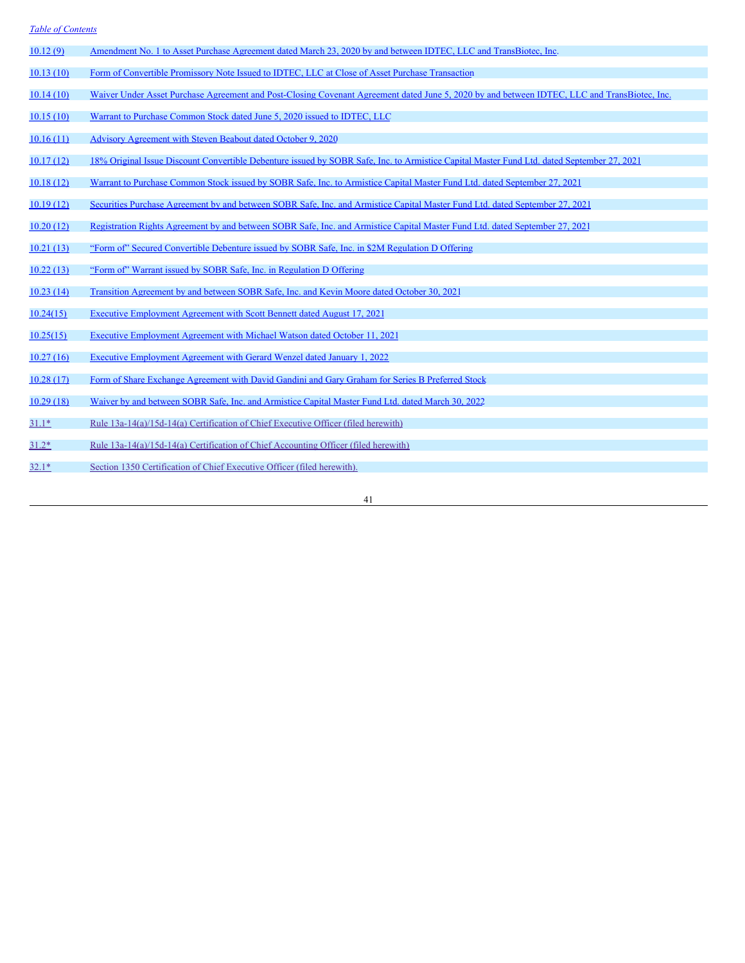| 10.12(9)  | Amendment No. 1 to Asset Purchase Agreement dated March 23, 2020 by and between IDTEC, LLC and TransBiotec, Inc.                             |
|-----------|----------------------------------------------------------------------------------------------------------------------------------------------|
| 10.13(10) | Form of Convertible Promissory Note Issued to IDTEC, LLC at Close of Asset Purchase Transaction                                              |
| 10.14(10) | Waiver Under Asset Purchase Agreement and Post-Closing Covenant Agreement dated June 5, 2020 by and between IDTEC, LLC and TransBiotec, Inc. |
| 10.15(10) | Warrant to Purchase Common Stock dated June 5, 2020 issued to IDTEC, LLC                                                                     |
| 10.16(11) | Advisory Agreement with Steven Beabout dated October 9, 2020                                                                                 |
| 10.17(12) | 18% Original Issue Discount Convertible Debenture issued by SOBR Safe, Inc. to Armistice Capital Master Fund Ltd. dated September 27, 2021   |
| 10.18(12) | Warrant to Purchase Common Stock issued by SOBR Safe, Inc. to Armistice Capital Master Fund Ltd. dated September 27, 2021                    |
| 10.19(12) | Securities Purchase Agreement by and between SOBR Safe, Inc. and Armistice Capital Master Fund Ltd. dated September 27, 2021                 |
| 10.20(12) | Registration Rights Agreement by and between SOBR Safe, Inc. and Armistice Capital Master Fund Ltd. dated September 27, 2021                 |
| 10.21(13) | "Form of" Secured Convertible Debenture issued by SOBR Safe, Inc. in \$2M Regulation D Offering                                              |
| 10.22(13) | "Form of" Warrant issued by SOBR Safe, Inc. in Regulation D Offering                                                                         |
| 10.23(14) | Transition Agreement by and between SOBR Safe, Inc. and Kevin Moore dated October 30, 2021                                                   |
| 10.24(15) | Executive Employment Agreement with Scott Bennett dated August 17, 2021                                                                      |
| 10.25(15) | <b>Executive Employment Agreement with Michael Watson dated October 11, 2021</b>                                                             |
| 10.27(16) | Executive Employment Agreement with Gerard Wenzel dated January 1, 2022                                                                      |
| 10.28(17) | Form of Share Exchange Agreement with David Gandini and Gary Graham for Series B Preferred Stock                                             |
| 10.29(18) | Waiver by and between SOBR Safe, Inc. and Armistice Capital Master Fund Ltd. dated March 30, 2022                                            |
| $31.1*$   | Rule 13a-14(a)/15d-14(a) Certification of Chief Executive Officer (filed herewith)                                                           |
| $31.2*$   | Rule 13a-14(a)/15d-14(a) Certification of Chief Accounting Officer (filed herewith)                                                          |
| $32.1*$   | Section 1350 Certification of Chief Executive Officer (filed herewith).                                                                      |
|           |                                                                                                                                              |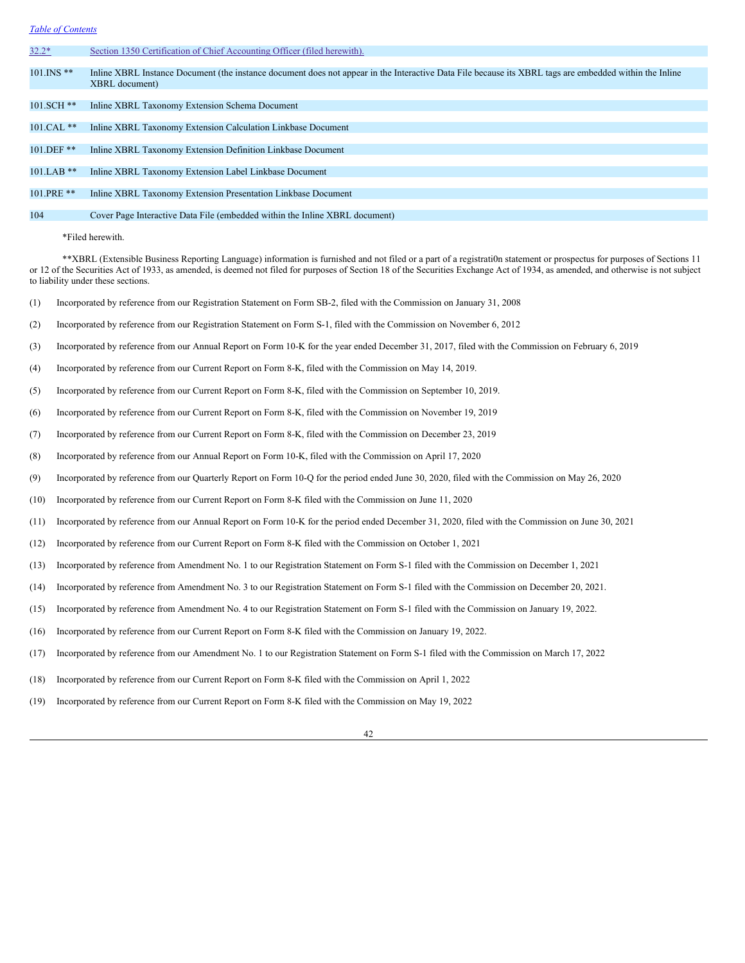| $32.2*$        | Section 1350 Certification of Chief Accounting Officer (filed herewith).                                                                                                         |
|----------------|----------------------------------------------------------------------------------------------------------------------------------------------------------------------------------|
|                |                                                                                                                                                                                  |
| $101$ . INS ** | In line XBRL Instance Document (the instance document does not appear in the Interactive Data File because its XBRL tags are embedded within the Inline<br><b>XBRL</b> document) |
|                |                                                                                                                                                                                  |
| $101.SCH$ **   | Inline XBRL Taxonomy Extension Schema Document                                                                                                                                   |
|                |                                                                                                                                                                                  |
| $101.CAL$ **   | Inline XBRL Taxonomy Extension Calculation Linkbase Document                                                                                                                     |
|                |                                                                                                                                                                                  |
| 101.DEF **     | Inline XBRL Taxonomy Extension Definition Linkbase Document                                                                                                                      |
|                |                                                                                                                                                                                  |
| $101.LAB**$    | Inline XBRL Taxonomy Extension Label Linkbase Document                                                                                                                           |
|                |                                                                                                                                                                                  |
| 101.PRE **     | Inline XBRL Taxonomy Extension Presentation Linkbase Document                                                                                                                    |
|                |                                                                                                                                                                                  |
| 104            | Cover Page Interactive Data File (embedded within the Inline XBRL document)                                                                                                      |

\*Filed herewith.

\*\*XBRL (Extensible Business Reporting Language) information is furnished and not filed or a part of a registrati0n statement or prospectus for purposes of Sections 11 or 12 of the Securities Act of 1933, as amended, is deemed not filed for purposes of Section 18 of the Securities Exchange Act of 1934, as amended, and otherwise is not subject to liability under these sections.

- (1) Incorporated by reference from our Registration Statement on Form SB-2, filed with the Commission on January 31, 2008
- (2) Incorporated by reference from our Registration Statement on Form S-1, filed with the Commission on November 6, 2012
- (3) Incorporated by reference from our Annual Report on Form 10-K for the year ended December 31, 2017, filed with the Commission on February 6, 2019
- (4) Incorporated by reference from our Current Report on Form 8-K, filed with the Commission on May 14, 2019.
- (5) Incorporated by reference from our Current Report on Form 8-K, filed with the Commission on September 10, 2019.
- (6) Incorporated by reference from our Current Report on Form 8-K, filed with the Commission on November 19, 2019
- (7) Incorporated by reference from our Current Report on Form 8-K, filed with the Commission on December 23, 2019
- (8) Incorporated by reference from our Annual Report on Form 10-K, filed with the Commission on April 17, 2020
- (9) Incorporated by reference from our Quarterly Report on Form 10-Q for the period ended June 30, 2020, filed with the Commission on May 26, 2020
- (10) Incorporated by reference from our Current Report on Form 8-K filed with the Commission on June 11, 2020
- (11) Incorporated by reference from our Annual Report on Form 10-K for the period ended December 31, 2020, filed with the Commission on June 30, 2021
- (12) Incorporated by reference from our Current Report on Form 8-K filed with the Commission on October 1, 2021
- (13) Incorporated by reference from Amendment No. 1 to our Registration Statement on Form S-1 filed with the Commission on December 1, 2021
- (14) Incorporated by reference from Amendment No. 3 to our Registration Statement on Form S-1 filed with the Commission on December 20, 2021.
- (15) Incorporated by reference from Amendment No. 4 to our Registration Statement on Form S-1 filed with the Commission on January 19, 2022.
- (16) Incorporated by reference from our Current Report on Form 8-K filed with the Commission on January 19, 2022.
- (17) Incorporated by reference from our Amendment No. 1 to our Registration Statement on Form S-1 filed with the Commission on March 17, 2022
- (18) Incorporated by reference from our Current Report on Form 8-K filed with the Commission on April 1, 2022
- (19) Incorporated by reference from our Current Report on Form 8-K filed with the Commission on May 19, 2022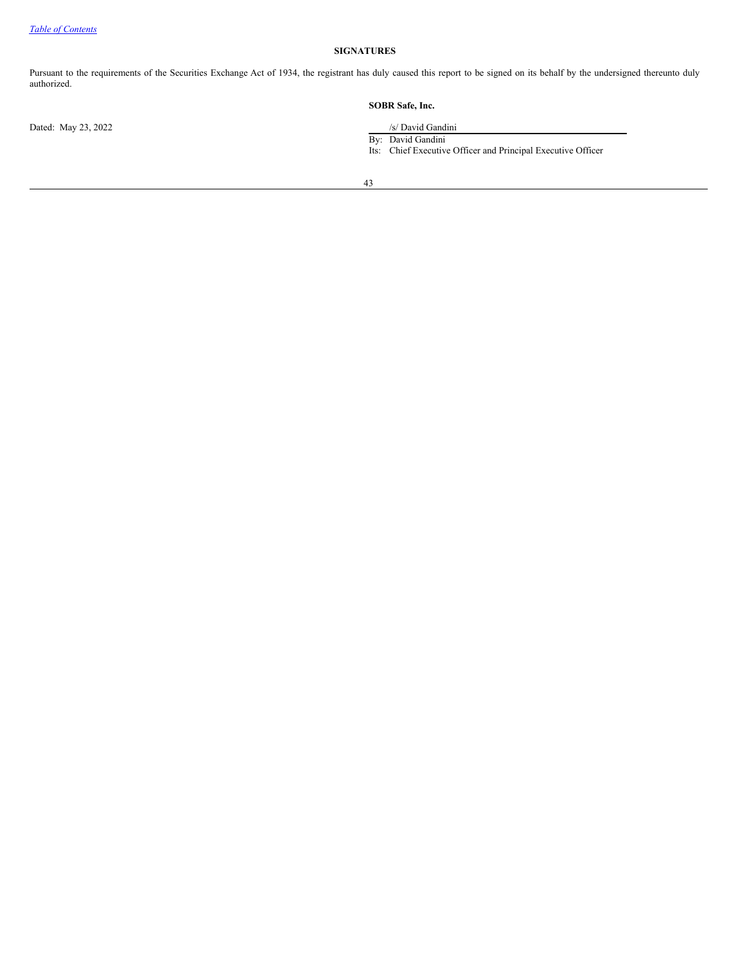# **SIGNATURES**

Pursuant to the requirements of the Securities Exchange Act of 1934, the registrant has duly caused this report to be signed on its behalf by the undersigned thereunto duly authorized.

# **SOBR Safe, Inc.** Dated: May 23, 2022 /s/ David Gandini By: David Gandini Its: Chief Executive Officer and Principal Executive Officer 43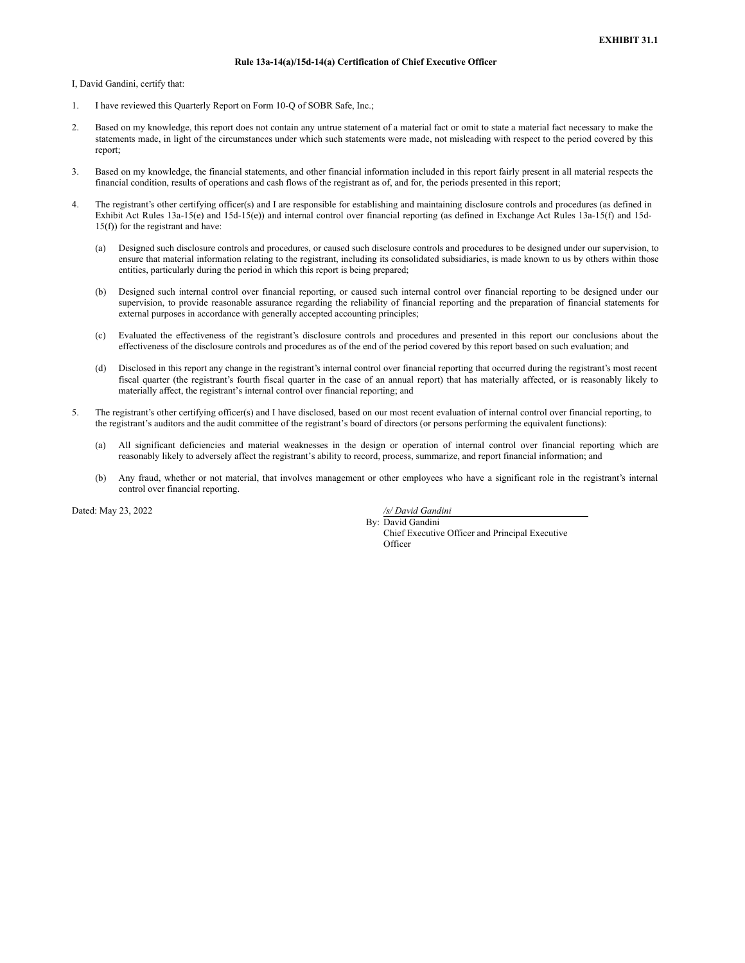#### **Rule 13a-14(a)/15d-14(a) Certification of Chief Executive Officer**

<span id="page-43-0"></span>I, David Gandini, certify that:

- 1. I have reviewed this Quarterly Report on Form 10-Q of SOBR Safe, Inc.;
- 2. Based on my knowledge, this report does not contain any untrue statement of a material fact or omit to state a material fact necessary to make the statements made, in light of the circumstances under which such statements were made, not misleading with respect to the period covered by this report;
- 3. Based on my knowledge, the financial statements, and other financial information included in this report fairly present in all material respects the financial condition, results of operations and cash flows of the registrant as of, and for, the periods presented in this report;
- 4. The registrant's other certifying officer(s) and I are responsible for establishing and maintaining disclosure controls and procedures (as defined in Exhibit Act Rules 13a-15(e) and 15d-15(e)) and internal control over financial reporting (as defined in Exchange Act Rules 13a-15(f) and 15d-15(f)) for the registrant and have:
	- (a) Designed such disclosure controls and procedures, or caused such disclosure controls and procedures to be designed under our supervision, to ensure that material information relating to the registrant, including its consolidated subsidiaries, is made known to us by others within those entities, particularly during the period in which this report is being prepared;
	- (b) Designed such internal control over financial reporting, or caused such internal control over financial reporting to be designed under our supervision, to provide reasonable assurance regarding the reliability of financial reporting and the preparation of financial statements for external purposes in accordance with generally accepted accounting principles;
	- (c) Evaluated the effectiveness of the registrant's disclosure controls and procedures and presented in this report our conclusions about the effectiveness of the disclosure controls and procedures as of the end of the period covered by this report based on such evaluation; and
	- (d) Disclosed in this report any change in the registrant's internal control over financial reporting that occurred during the registrant's most recent fiscal quarter (the registrant's fourth fiscal quarter in the case of an annual report) that has materially affected, or is reasonably likely to materially affect, the registrant's internal control over financial reporting; and
- 5. The registrant's other certifying officer(s) and I have disclosed, based on our most recent evaluation of internal control over financial reporting, to the registrant's auditors and the audit committee of the registrant's board of directors (or persons performing the equivalent functions):
	- (a) All significant deficiencies and material weaknesses in the design or operation of internal control over financial reporting which are reasonably likely to adversely affect the registrant's ability to record, process, summarize, and report financial information; and
	- (b) Any fraud, whether or not material, that involves management or other employees who have a significant role in the registrant's internal control over financial reporting.

Dated: May 23, 2022 */s/ David Gandini*

By: David Gandini Chief Executive Officer and Principal Executive Officer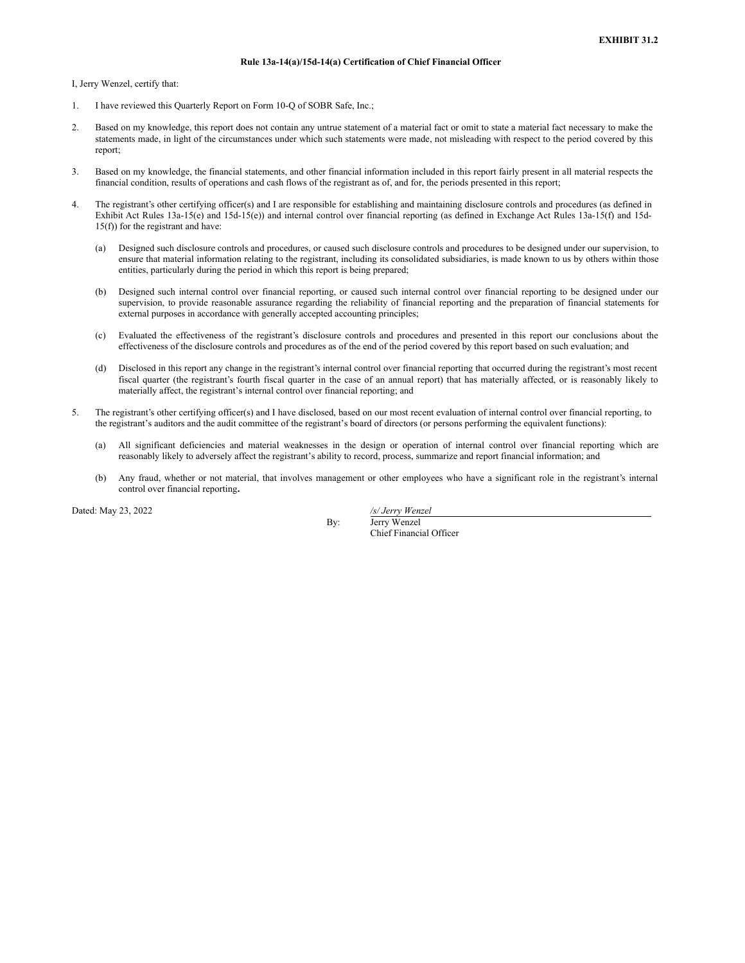#### **Rule 13a-14(a)/15d-14(a) Certification of Chief Financial Officer**

<span id="page-44-0"></span>I, Jerry Wenzel, certify that:

- 1. I have reviewed this Quarterly Report on Form 10-Q of SOBR Safe, Inc.;
- 2. Based on my knowledge, this report does not contain any untrue statement of a material fact or omit to state a material fact necessary to make the statements made, in light of the circumstances under which such statements were made, not misleading with respect to the period covered by this report;
- 3. Based on my knowledge, the financial statements, and other financial information included in this report fairly present in all material respects the financial condition, results of operations and cash flows of the registrant as of, and for, the periods presented in this report;
- 4. The registrant's other certifying officer(s) and I are responsible for establishing and maintaining disclosure controls and procedures (as defined in Exhibit Act Rules 13a-15(e) and 15d-15(e)) and internal control over financial reporting (as defined in Exchange Act Rules 13a-15(f) and 15d-15(f)) for the registrant and have:
	- (a) Designed such disclosure controls and procedures, or caused such disclosure controls and procedures to be designed under our supervision, to ensure that material information relating to the registrant, including its consolidated subsidiaries, is made known to us by others within those entities, particularly during the period in which this report is being prepared;
	- (b) Designed such internal control over financial reporting, or caused such internal control over financial reporting to be designed under our supervision, to provide reasonable assurance regarding the reliability of financial reporting and the preparation of financial statements for external purposes in accordance with generally accepted accounting principles;
	- (c) Evaluated the effectiveness of the registrant's disclosure controls and procedures and presented in this report our conclusions about the effectiveness of the disclosure controls and procedures as of the end of the period covered by this report based on such evaluation; and
	- (d) Disclosed in this report any change in the registrant's internal control over financial reporting that occurred during the registrant's most recent fiscal quarter (the registrant's fourth fiscal quarter in the case of an annual report) that has materially affected, or is reasonably likely to materially affect, the registrant's internal control over financial reporting; and
- 5. The registrant's other certifying officer(s) and I have disclosed, based on our most recent evaluation of internal control over financial reporting, to the registrant's auditors and the audit committee of the registrant's board of directors (or persons performing the equivalent functions):
	- (a) All significant deficiencies and material weaknesses in the design or operation of internal control over financial reporting which are reasonably likely to adversely affect the registrant's ability to record, process, summarize and report financial information; and
	- (b) Any fraud, whether or not material, that involves management or other employees who have a significant role in the registrant's internal control over financial reporting**.**

Dated: May 23, 2022 */s/ Jerry Wenzel*

By: Jerry Wenzel Chief Financial Officer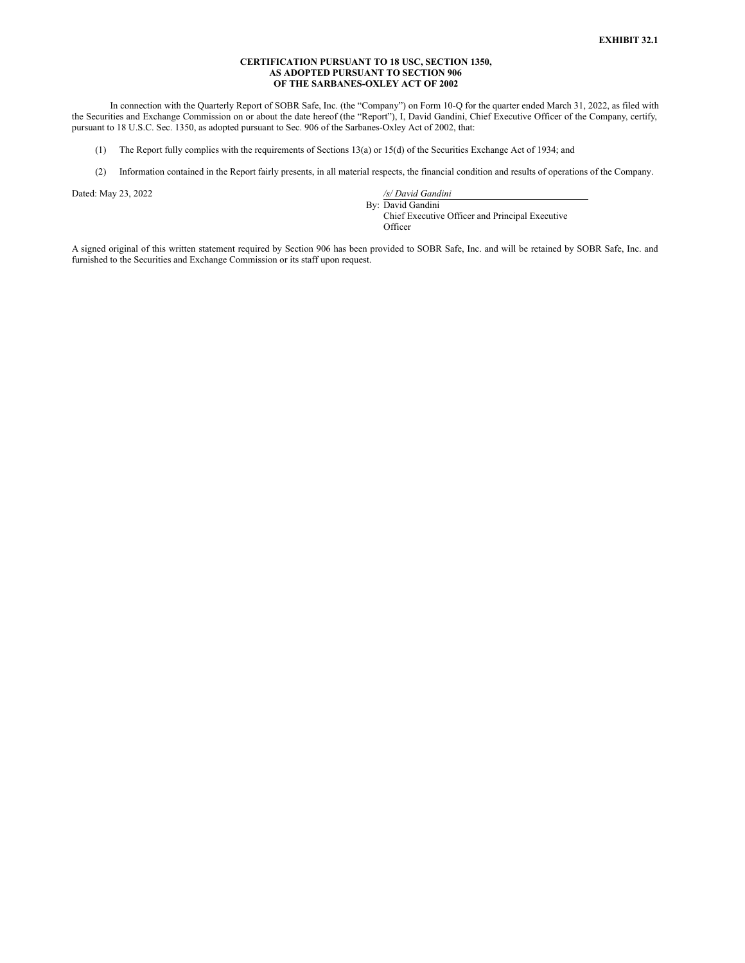### **CERTIFICATION PURSUANT TO 18 USC, SECTION 1350, AS ADOPTED PURSUANT TO SECTION 906 OF THE SARBANES-OXLEY ACT OF 2002**

<span id="page-45-0"></span>In connection with the Quarterly Report of SOBR Safe, Inc. (the "Company") on Form 10-Q for the quarter ended March 31, 2022, as filed with the Securities and Exchange Commission on or about the date hereof (the "Report"), I, David Gandini, Chief Executive Officer of the Company, certify, pursuant to 18 U.S.C. Sec. 1350, as adopted pursuant to Sec. 906 of the Sarbanes-Oxley Act of 2002, that:

- (1) The Report fully complies with the requirements of Sections 13(a) or 15(d) of the Securities Exchange Act of 1934; and
- (2) Information contained in the Report fairly presents, in all material respects, the financial condition and results of operations of the Company.

Dated: May 23, 2022 */s/ David Gandini* By: David Gandini

Chief Executive Officer and Principal Executive Officer

A signed original of this written statement required by Section 906 has been provided to SOBR Safe, Inc. and will be retained by SOBR Safe, Inc. and furnished to the Securities and Exchange Commission or its staff upon request.